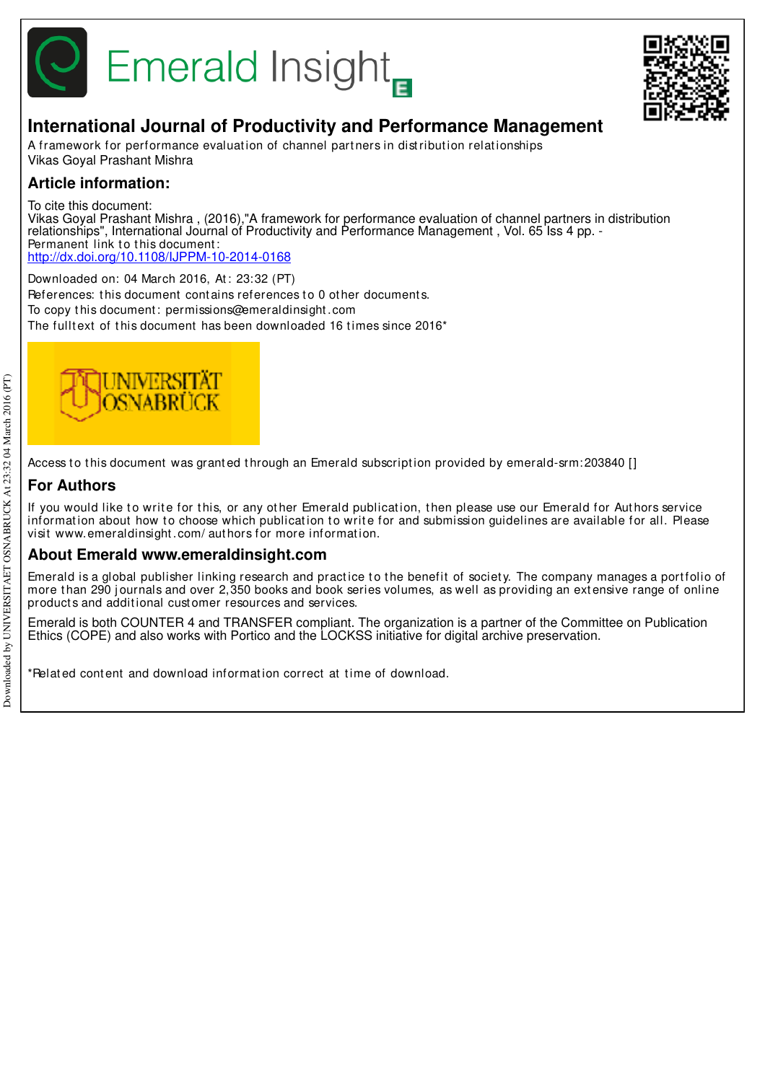

# **Emerald Insight**



## **International Journal of Productivity and Performance Management**

A framework for performance evaluation of channel partners in distribution relationships Vikas Goyal Prashant Mishra

## **Article information:**

To cite this document: Vikas Goyal Prashant Mishra , (2016),"A framework for performance evaluation of channel partners in distribution relationships", International Journal of Productivity and Performance Management, Vol. 65 Iss 4 pp. -Permanent link to this document: http://dx.doi.org/10.1108/IJPPM-10-2014-0168

Downloaded on: 04 March 2016, At : 23:32 (PT) References: this document contains references to 0 other documents. To copy t his document : permissions@emeraldinsight .com The fulltext of this document has been downloaded 16 times since 2016\*



Access to this document was granted through an Emerald subscription provided by emerald-srm: 203840 []

## **For Authors**

If you would like to write for this, or any other Emerald publication, then please use our Emerald for Authors service information about how to choose which publication to write for and submission guidelines are available for all. Please visit www.emeraldinsight .com/ aut hors for more informat ion.

## **About Emerald www.emeraldinsight.com**

Emerald is a global publisher linking research and practice to the benefit of society. The company manages a portfolio of more than 290 journals and over 2,350 books and book series volumes, as well as providing an extensive range of online product s and addit ional cust omer resources and services.

Emerald is both COUNTER 4 and TRANSFER compliant. The organization is a partner of the Committee on Publication Ethics (COPE) and also works with Portico and the LOCKSS initiative for digital archive preservation.

\*Related content and download information correct at time of download.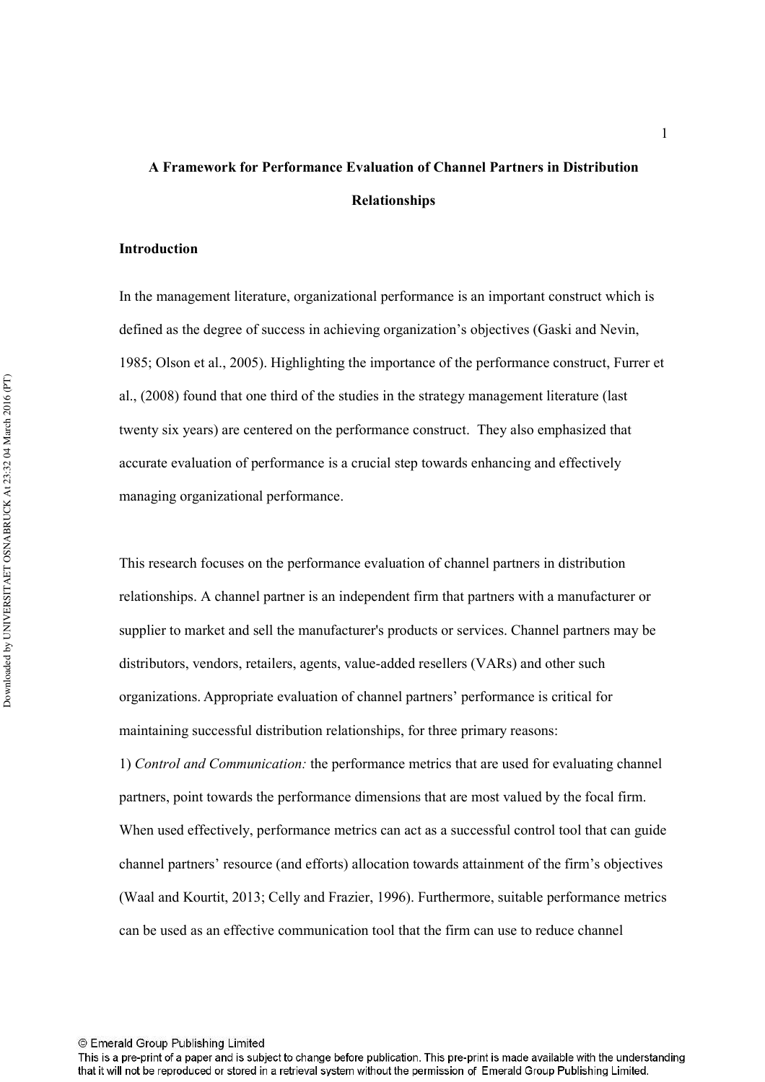# **A Framework for Performance Evaluation of Channel Partners in Distribution Relationships**

#### **Introduction**

In the management literature, organizational performance is an important construct which is defined as the degree of success in achieving organization's objectives (Gaski and Nevin, 1985; Olson et al., 2005). Highlighting the importance of the performance construct, Furrer et al., (2008) found that one third of the studies in the strategy management literature (last twenty six years) are centered on the performance construct. They also emphasized that accurate evaluation of performance is a crucial step towards enhancing and effectively managing organizational performance.

This research focuses on the performance evaluation of channel partners in distribution relationships. A channel partner is an independent firm that partners with a manufacturer or supplier to market and sell the manufacturer's products or services. Channel partners may be distributors, vendors, retailers, agents, value-added resellers (VARs) and other such organizations. Appropriate evaluation of channel partners' performance is critical for maintaining successful distribution relationships, for three primary reasons:

1) *Control and Communication:* the performance metrics that are used for evaluating channel partners, point towards the performance dimensions that are most valued by the focal firm. When used effectively, performance metrics can act as a successful control tool that can guide channel partners' resource (and efforts) allocation towards attainment of the firm's objectives (Waal and Kourtit, 2013; Celly and Frazier, 1996). Furthermore, suitable performance metrics can be used as an effective communication tool that the firm can use to reduce channel

This is a pre-print of a paper and is subject to change before publication. This pre-print is made available with the understanding that it will not be reproduced or stored in a retrieval system without the permission of Emerald Group Publishing Limited.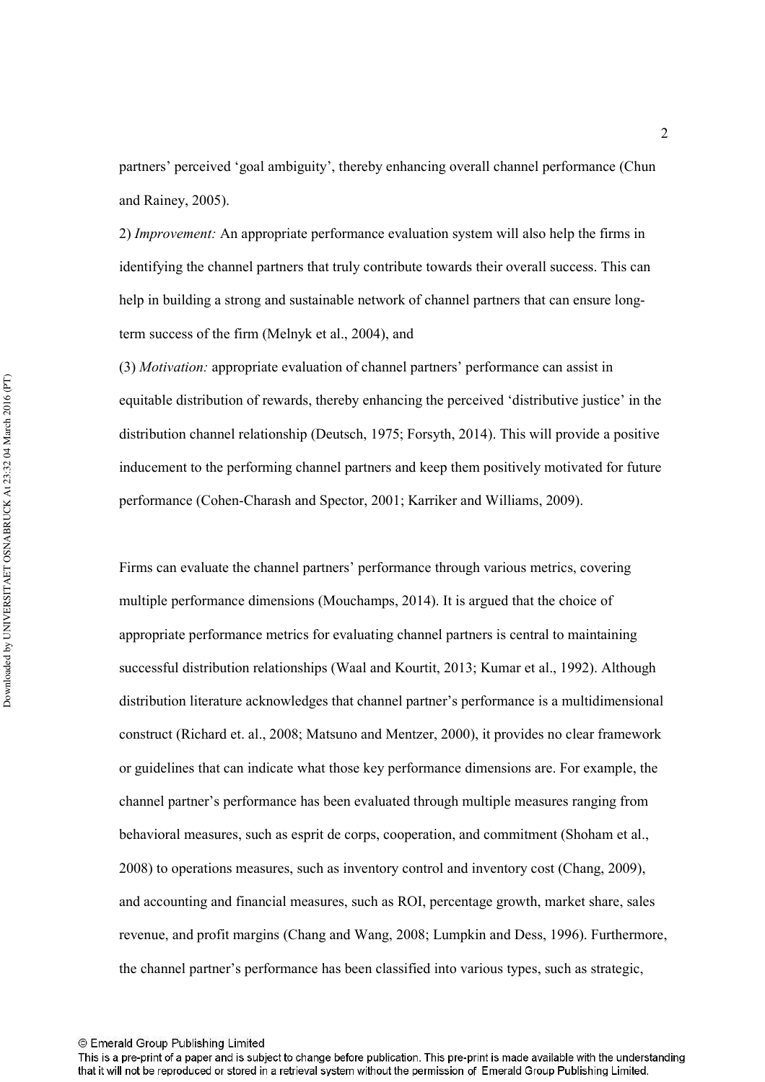partners' perceived 'goal ambiguity', thereby enhancing overall channel performance (Chun and Rainey, 2005).

2) *Improvement*: An appropriate performance evaluation system will also help the firms in identifying the channel partners that truly contribute towards their overall success. This can help in building a strong and sustainable network of channel partners that can ensure longterm success of the firm (Melnyk et al., 2004), and

(3) *Motivation:* appropriate evaluation of channel partners' performance can assist in equitable distribution of rewards, thereby enhancing the perceived 'distributive justice' in the distribution channel relationship (Deutsch, 1975; Forsyth, 2014). This will provide a positive inducement to the performing channel partners and keep them positively motivated for future performance (Cohen-Charash and Spector, 2001; Karriker and Williams, 2009).

Firms can evaluate the channel partners' performance through various metrics, covering multiple performance dimensions (Mouchamps, 2014). It is argued that the choice of appropriate performance metrics for evaluating channel partners is central to maintaining successful distribution relationships (Waal and Kourtit, 2013; Kumar et al., 1992). Although distribution literature acknowledges that channel partner's performance is a multidimensional construct (Richard et. al., 2008; Matsuno and Mentzer, 2000), it provides no clear framework or guidelines that can indicate what those key performance dimensions are. For example, the channel partner's performance has been evaluated through multiple measures ranging from behavioral measures, such as esprit de corps, cooperation, and commitment (Shoham et al., 2008) to operations measures, such as inventory control and inventory cost (Chang, 2009), and accounting and financial measures, such as ROI, percentage growth, market share, sales revenue, and profit margins (Chang and Wang, 2008; Lumpkin and Dess, 1996). Furthermore, the channel partner's performance has been classified into various types, such as strategic,

This is a pre-print of a paper and is subject to change before publication. This pre-print is made available with the understanding that it will not be reproduced or stored in a retrieval system without the permission of Emerald Group Publishing Limited.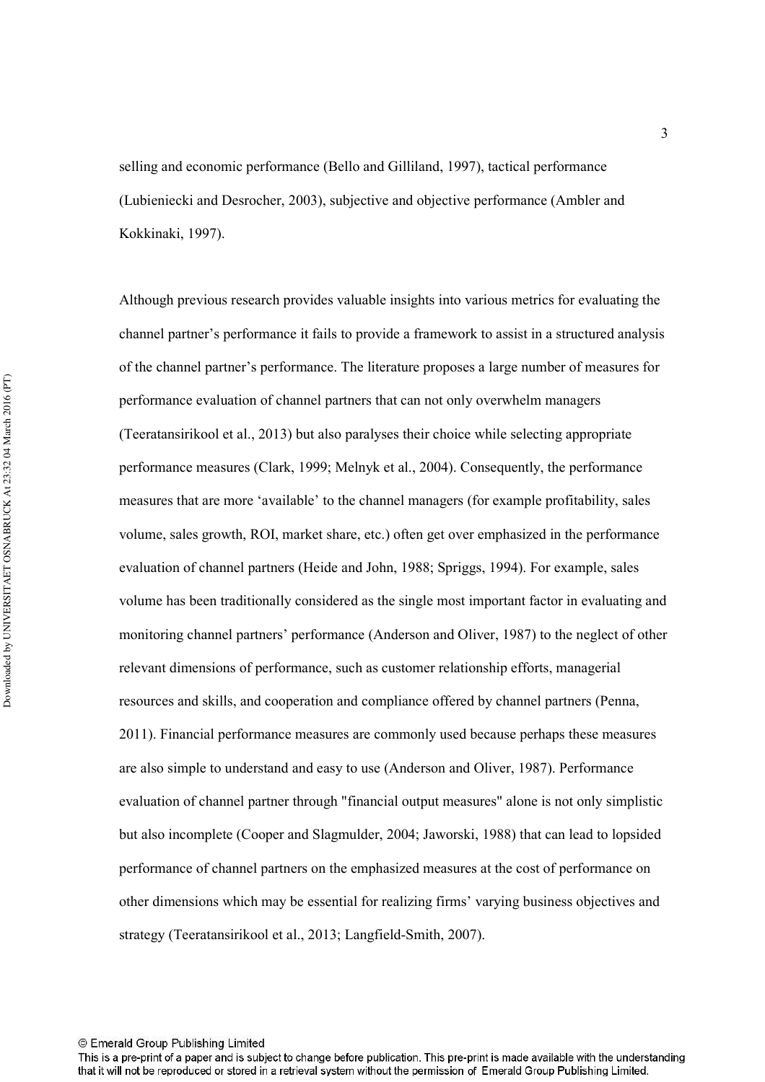selling and economic performance (Bello and Gilliland, 1997), tactical performance (Lubieniecki and Desrocher, 2003), subjective and objective performance (Ambler and Kokkinaki, 1997).

Although previous research provides valuable insights into various metrics for evaluating the channel partner's performance it fails to provide a framework to assist in a structured analysis of the channel partner's performance. The literature proposes a large number of measures for performance evaluation of channel partners that can not only overwhelm managers (Teeratansirikool et al., 2013) but also paralyses their choice while selecting appropriate performance measures (Clark, 1999; Melnyk et al., 2004). Consequently, the performance measures that are more 'available' to the channel managers (for example profitability, sales volume, sales growth, ROI, market share, etc.) often get over emphasized in the performance evaluation of channel partners (Heide and John, 1988; Spriggs, 1994). For example, sales volume has been traditionally considered as the single most important factor in evaluating and monitoring channel partners' performance (Anderson and Oliver, 1987) to the neglect of other relevant dimensions of performance, such as customer relationship efforts, managerial resources and skills, and cooperation and compliance offered by channel partners (Penna, 2011). Financial performance measures are commonly used because perhaps these measures are also simple to understand and easy to use (Anderson and Oliver, 1987). Performance evaluation of channel partner through "financial output measures" alone is not only simplistic but also incomplete (Cooper and Slagmulder, 2004; Jaworski, 1988) that can lead to lopsided performance of channel partners on the emphasized measures at the cost of performance on other dimensions which may be essential for realizing firms' varying business objectives and strategy (Teeratansirikool et al., 2013; Langfield-Smith, 2007).

This is a pre-print of a paper and is subject to change before publication. This pre-print is made available with the understanding that it will not be reproduced or stored in a retrieval system without the permission of Emerald Group Publishing Limited.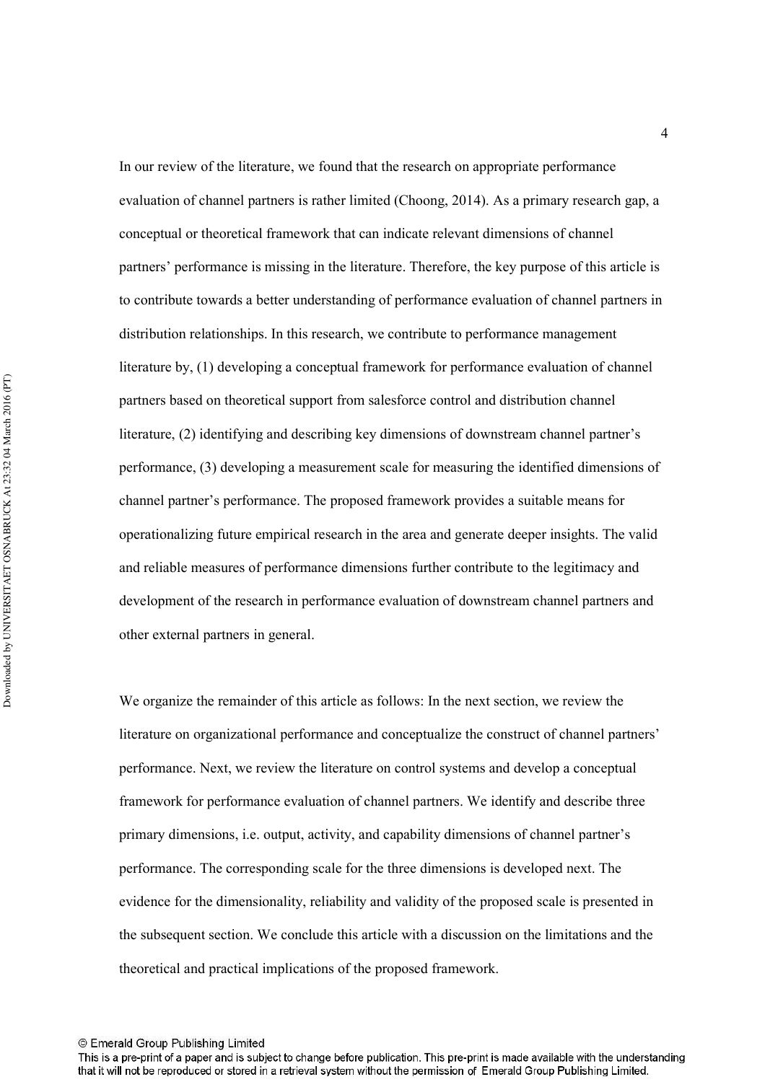In our review of the literature, we found that the research on appropriate performance evaluation of channel partners is rather limited (Choong, 2014). As a primary research gap, a conceptual or theoretical framework that can indicate relevant dimensions of channel partners' performance is missing in the literature. Therefore, the key purpose of this article is to contribute towards a better understanding of performance evaluation of channel partners in distribution relationships. In this research, we contribute to performance management literature by, (1) developing a conceptual framework for performance evaluation of channel partners based on theoretical support from salesforce control and distribution channel literature, (2) identifying and describing key dimensions of downstream channel partner's performance, (3) developing a measurement scale for measuring the identified dimensions of channel partner's performance. The proposed framework provides a suitable means for operationalizing future empirical research in the area and generate deeper insights. The valid and reliable measures of performance dimensions further contribute to the legitimacy and development of the research in performance evaluation of downstream channel partners and other external partners in general.

We organize the remainder of this article as follows: In the next section, we review the literature on organizational performance and conceptualize the construct of channel partners' performance. Next, we review the literature on control systems and develop a conceptual framework for performance evaluation of channel partners. We identify and describe three primary dimensions, i.e. output, activity, and capability dimensions of channel partner's performance. The corresponding scale for the three dimensions is developed next. The evidence for the dimensionality, reliability and validity of the proposed scale is presented in the subsequent section. We conclude this article with a discussion on the limitations and the theoretical and practical implications of the proposed framework.

This is a pre-print of a paper and is subject to change before publication. This pre-print is made available with the understanding that it will not be reproduced or stored in a retrieval system without the permission of Emerald Group Publishing Limited.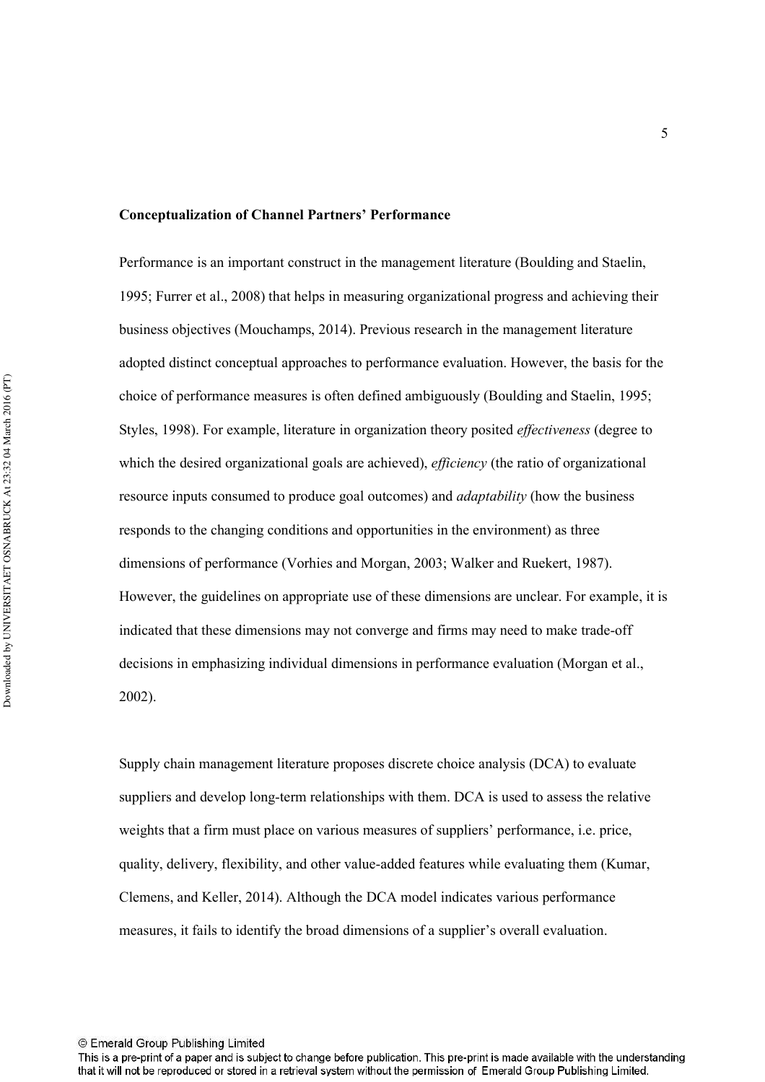#### **Conceptualization of Channel Partners' Performance**

Performance is an important construct in the management literature (Boulding and Staelin, 1995; Furrer et al., 2008) that helps in measuring organizational progress and achieving their business objectives (Mouchamps, 2014). Previous research in the management literature adopted distinct conceptual approaches to performance evaluation. However, the basis for the choice of performance measures is often defined ambiguously (Boulding and Staelin, 1995; Styles, 1998). For example, literature in organization theory posited *effectiveness* (degree to which the desired organizational goals are achieved), *efficiency* (the ratio of organizational resource inputs consumed to produce goal outcomes) and *adaptability* (how the business responds to the changing conditions and opportunities in the environment) as three dimensions of performance (Vorhies and Morgan, 2003; Walker and Ruekert, 1987). However, the guidelines on appropriate use of these dimensions are unclear. For example, it is indicated that these dimensions may not converge and firms may need to make trade-off decisions in emphasizing individual dimensions in performance evaluation (Morgan et al., 2002).

Supply chain management literature proposes discrete choice analysis (DCA) to evaluate suppliers and develop long-term relationships with them. DCA is used to assess the relative weights that a firm must place on various measures of suppliers' performance, i.e. price, quality, delivery, flexibility, and other value-added features while evaluating them (Kumar, Clemens, and Keller, 2014). Although the DCA model indicates various performance measures, it fails to identify the broad dimensions of a supplier's overall evaluation.

This is a pre-print of a paper and is subject to change before publication. This pre-print is made available with the understanding that it will not be reproduced or stored in a retrieval system without the permission of Emerald Group Publishing Limited.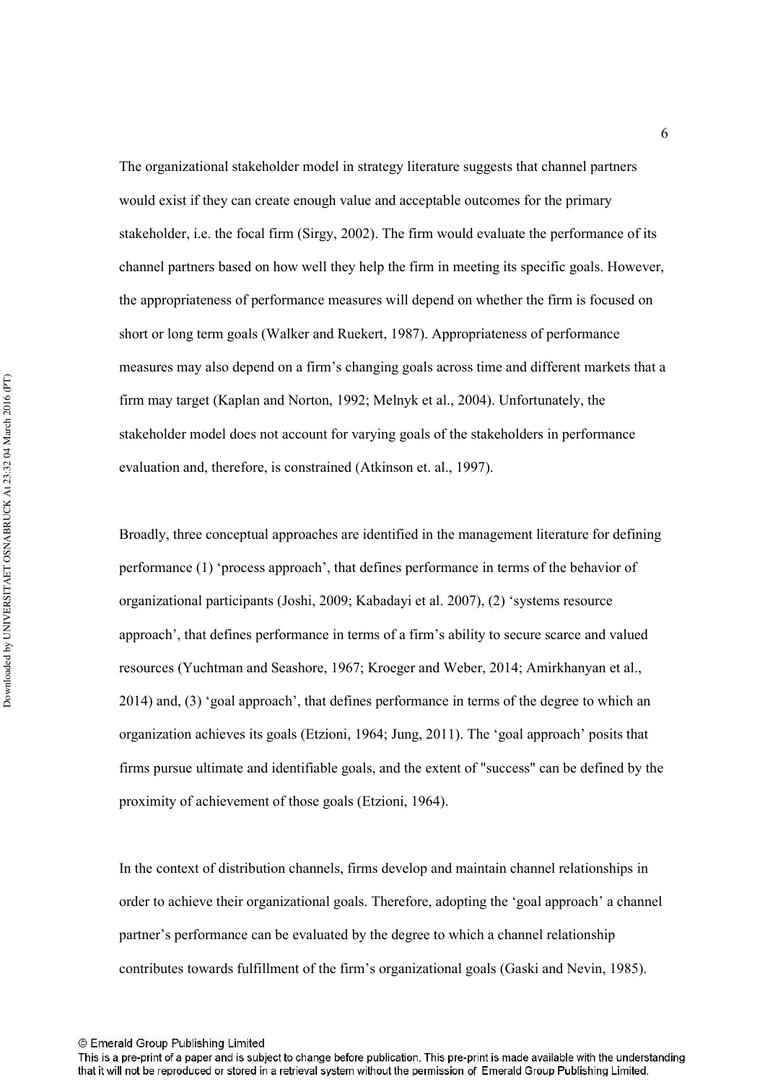The organizational stakeholder model in strategy literature suggests that channel partners would exist if they can create enough value and acceptable outcomes for the primary stakeholder, i.e. the focal firm (Sirgy, 2002). The firm would evaluate the performance of its channel partners based on how well they help the firm in meeting its specific goals. However, the appropriateness of performance measures will depend on whether the firm is focused on short or long term goals (Walker and Ruekert, 1987). Appropriateness of performance measures may also depend on a firm's changing goals across time and different markets that a firm may target (Kaplan and Norton, 1992; Melnyk et al., 2004). Unfortunately, the stakeholder model does not account for varying goals of the stakeholders in performance evaluation and, therefore, is constrained (Atkinson et. al., 1997).

Broadly, three conceptual approaches are identified in the management literature for defining performance (1) 'process approach', that defines performance in terms of the behavior of organizational participants (Joshi, 2009; Kabadayi et al. 2007), (2) 'systems resource approach', that defines performance in terms of a firm's ability to secure scarce and valued resources (Yuchtman and Seashore, 1967; Kroeger and Weber, 2014; Amirkhanyan et al., 2014) and, (3) 'goal approach', that defines performance in terms of the degree to which an organization achieves its goals (Etzioni, 1964; Jung, 2011). The 'goal approach' posits that firms pursue ultimate and identifiable goals, and the extent of "success" can be defined by the proximity of achievement of those goals (Etzioni, 1964).

In the context of distribution channels, firms develop and maintain channel relationships in order to achieve their organizational goals. Therefore, adopting the 'goal approach' a channel partner's performance can be evaluated by the degree to which a channel relationship contributes towards fulfillment of the firm's organizational goals (Gaski and Nevin, 1985).

6

<sup>©</sup> Emerald Group Publishing Limited

This is a pre-print of a paper and is subject to change before publication. This pre-print is made available with the understanding that it will not be reproduced or stored in a retrieval system without the permission of Emerald Group Publishing Limited.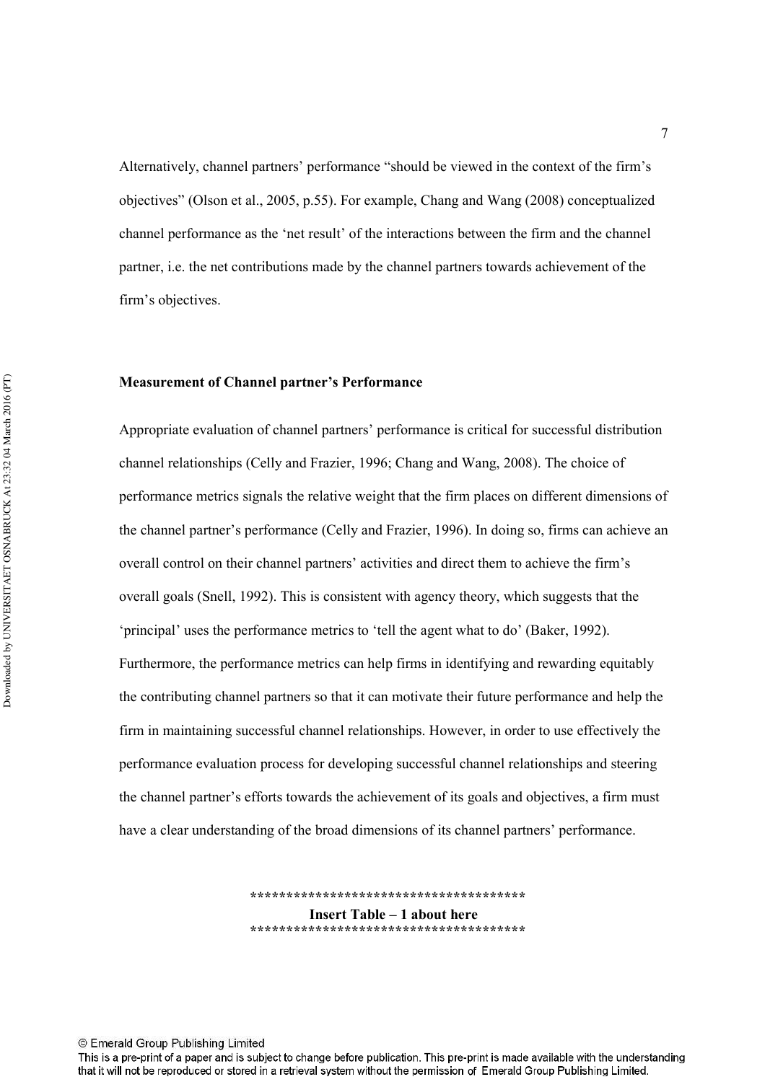Alternatively, channel partners' performance "should be viewed in the context of the firm's objectives" (Olson et al., 2005, p.55). For example, Chang and Wang (2008) conceptualized channel performance as the 'net result' of the interactions between the firm and the channel partner, i.e. the net contributions made by the channel partners towards achievement of the firm's objectives.

#### **Measurement of Channel partner's Performance**

Appropriate evaluation of channel partners' performance is critical for successful distribution channel relationships (Celly and Frazier, 1996; Chang and Wang, 2008). The choice of performance metrics signals the relative weight that the firm places on different dimensions of the channel partner's performance (Celly and Frazier, 1996). In doing so, firms can achieve an overall control on their channel partners' activities and direct them to achieve the firm's overall goals (Snell, 1992). This is consistent with agency theory, which suggests that the 'principal' uses the performance metrics to 'tell the agent what to do' (Baker, 1992). Furthermore, the performance metrics can help firms in identifying and rewarding equitably the contributing channel partners so that it can motivate their future performance and help the firm in maintaining successful channel relationships. However, in order to use effectively the performance evaluation process for developing successful channel relationships and steering the channel partner's efforts towards the achievement of its goals and objectives, a firm must have a clear understanding of the broad dimensions of its channel partners' performance.

> \*\*\*\*\*\*\*\*\*\*\*\*\*\*\*\*\*\*\*\*\*\*\*\*\*\*\*\*\*\*\*\*\*\*\* **Insert Table – 1 about here !!!!!!!!!!!!!!!!!!!!!!!!!!!!!!!!!!!!!!-**

© Emerald Group Publishing Limited

This is a pre-print of a paper and is subject to change before publication. This pre-print is made available with the understanding that it will not be reproduced or stored in a retrieval system without the permission of Emerald Group Publishing Limited.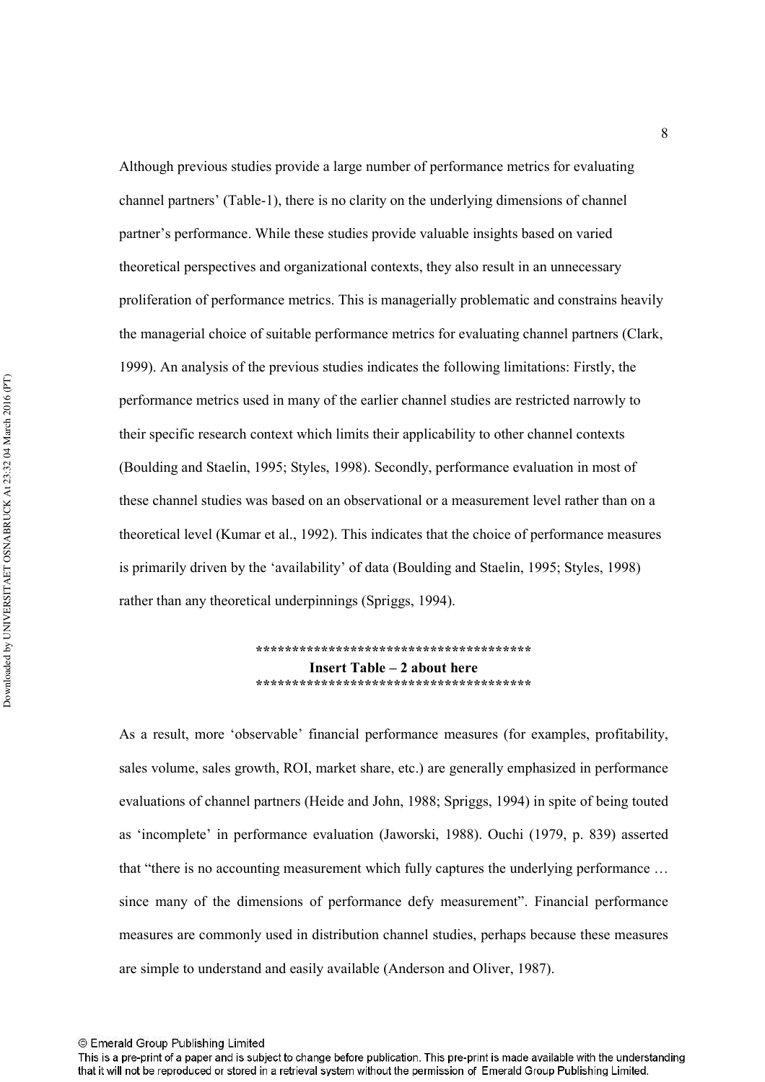Although previous studies provide a large number of performance metrics for evaluating channel partners' (Table-1), there is no clarity on the underlying dimensions of channel partner's performance. While these studies provide valuable insights based on varied theoretical perspectives and organizational contexts, they also result in an unnecessary proliferation of performance metrics. This is managerially problematic and constrains heavily the managerial choice of suitable performance metrics for evaluating channel partners (Clark, 1999). An analysis of the previous studies indicates the following limitations: Firstly, the performance metrics used in many of the earlier channel studies are restricted narrowly to their specific research context which limits their applicability to other channel contexts (Boulding and Staelin, 1995; Styles, 1998). Secondly, performance evaluation in most of these channel studies was based on an observational or a measurement level rather than on a theoretical level (Kumar et al., 1992). This indicates that the choice of performance measures is primarily driven by the 'availability' of data (Boulding and Staelin, 1995; Styles, 1998) rather than any theoretical underpinnings (Spriggs, 1994).

> **!!!!!!!!!!!!!!!!!!!!!!!!!!!!!!!!!!!!!!-Insert Table – 2 about here \*\*\*\*\*\*\*\*\*\*\*\*\*\*\*\*\*\*\*\*\*\*\*\*\*\*\*\*\*\*\*\*\*\*\*\***

As a result, more 'observable' financial performance measures (for examples, profitability, sales volume, sales growth, ROI, market share, etc.) are generally emphasized in performance evaluations of channel partners (Heide and John, 1988; Spriggs, 1994) in spite of being touted as 'incomplete' in performance evaluation (Jaworski, 1988). Ouchi (1979, p. 839) asserted that "there is no accounting measurement which fully captures the underlying performance … since many of the dimensions of performance defy measurement". Financial performance measures are commonly used in distribution channel studies, perhaps because these measures are simple to understand and easily available (Anderson and Oliver, 1987).

8

<sup>©</sup> Emerald Group Publishing Limited

This is a pre-print of a paper and is subject to change before publication. This pre-print is made available with the understanding that it will not be reproduced or stored in a retrieval system without the permission of Emerald Group Publishing Limited.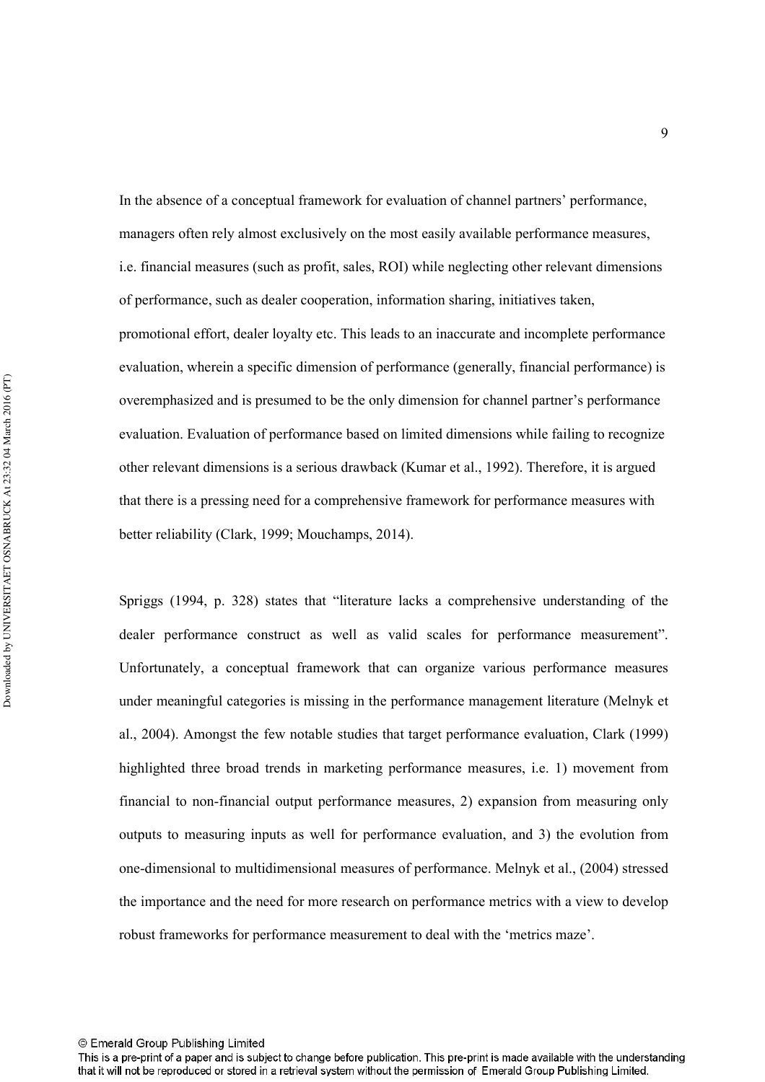In the absence of a conceptual framework for evaluation of channel partners' performance, managers often rely almost exclusively on the most easily available performance measures, i.e. financial measures (such as profit, sales, ROI) while neglecting other relevant dimensions of performance, such as dealer cooperation, information sharing, initiatives taken, promotional effort, dealer loyalty etc. This leads to an inaccurate and incomplete performance evaluation, wherein a specific dimension of performance (generally, financial performance) is overemphasized and is presumed to be the only dimension for channel partner's performance evaluation. Evaluation of performance based on limited dimensions while failing to recognize other relevant dimensions is a serious drawback (Kumar et al., 1992). Therefore, it is argued that there is a pressing need for a comprehensive framework for performance measures with better reliability (Clark, 1999; Mouchamps, 2014).

Spriggs (1994, p. 328) states that "literature lacks a comprehensive understanding of the dealer performance construct as well as valid scales for performance measurement". Unfortunately, a conceptual framework that can organize various performance measures under meaningful categories is missing in the performance management literature (Melnyk et al., 2004). Amongst the few notable studies that target performance evaluation, Clark (1999) highlighted three broad trends in marketing performance measures, i.e. 1) movement from financial to non-financial output performance measures,  $2$ ) expansion from measuring only outputs to measuring inputs as well for performance evaluation, and 3) the evolution from one-dimensional to multidimensional measures of performance. Melnyk et al., (2004) stressed the importance and the need for more research on performance metrics with a view to develop robust frameworks for performance measurement to deal with the 'metrics maze'.

This is a pre-print of a paper and is subject to change before publication. This pre-print is made available with the understanding that it will not be reproduced or stored in a retrieval system without the permission of Emerald Group Publishing Limited.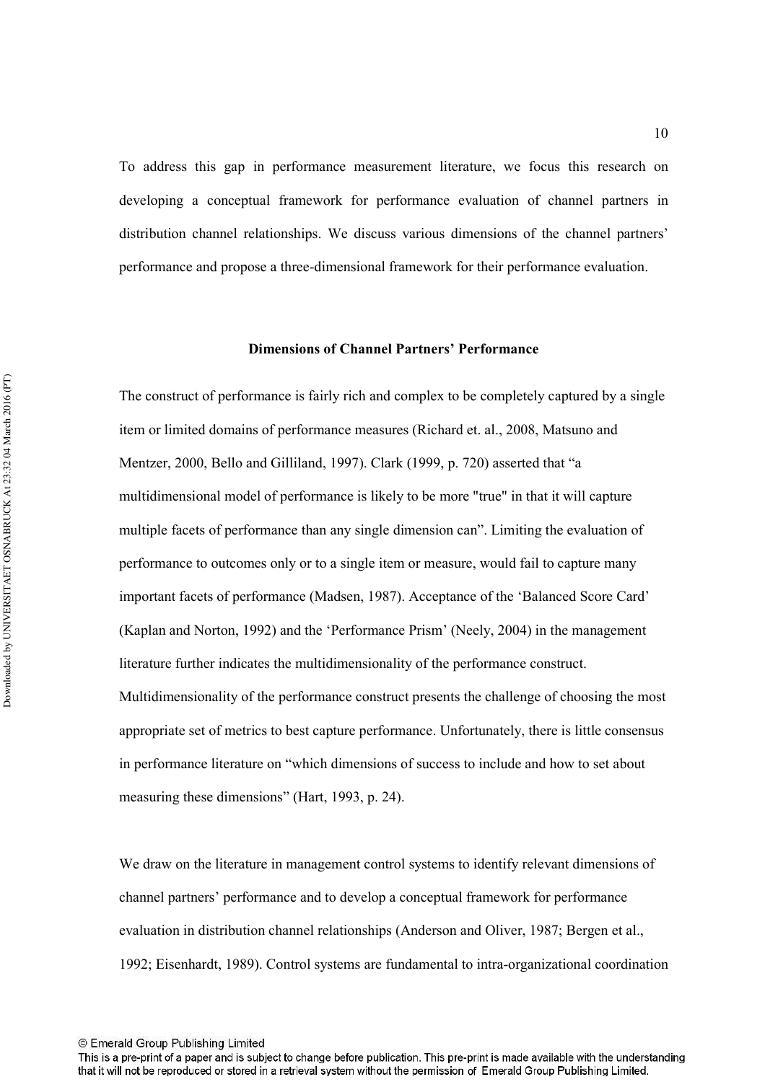To address this gap in performance measurement literature, we focus this research on developing a conceptual framework for performance evaluation of channel partners in distribution channel relationships. We discuss various dimensions of the channel partners' performance and propose a three-dimensional framework for their performance evaluation.

#### **Dimensions of Channel Partners' Performance**

The construct of performance is fairly rich and complex to be completely captured by a single item or limited domains of performance measures (Richard et. al., 2008, Matsuno and Mentzer, 2000, Bello and Gilliland, 1997). Clark (1999, p. 720) asserted that "a multidimensional model of performance is likely to be more "true" in that it will capture multiple facets of performance than any single dimension can". Limiting the evaluation of performance to outcomes only or to a single item or measure, would fail to capture many important facets of performance (Madsen, 1987). Acceptance of the 'Balanced Score Card' (Kaplan and Norton, 1992) and the 'Performance Prism' (Neely, 2004) in the management literature further indicates the multidimensionality of the performance construct. Multidimensionality of the performance construct presents the challenge of choosing the most appropriate set of metrics to best capture performance. Unfortunately, there is little consensus in performance literature on "which dimensions of success to include and how to set about measuring these dimensions" (Hart, 1993, p. 24).

We draw on the literature in management control systems to identify relevant dimensions of channel partners' performance and to develop a conceptual framework for performance evaluation in distribution channel relationships (Anderson and Oliver, 1987; Bergen et al., 1992; Eisenhardt, 1989). Control systems are fundamental to intra-organizational coordination

This is a pre-print of a paper and is subject to change before publication. This pre-print is made available with the understanding that it will not be reproduced or stored in a retrieval system without the permission of Emerald Group Publishing Limited.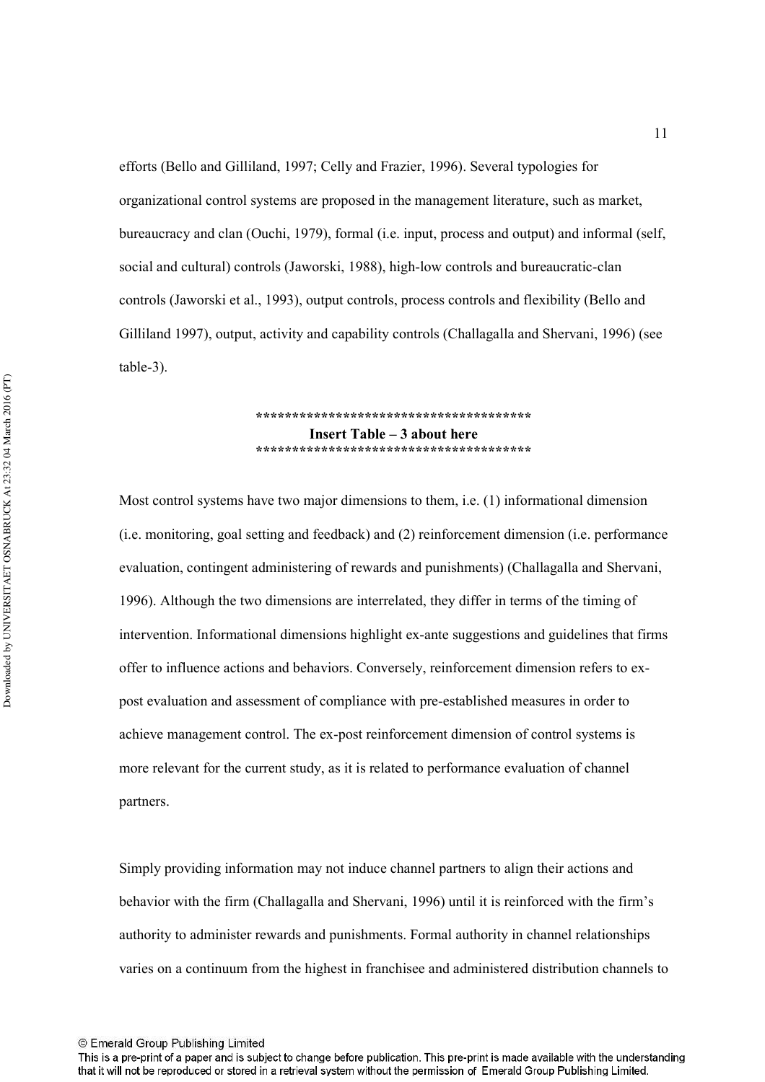efforts (Bello and Gilliland, 1997; Celly and Frazier, 1996). Several typologies for organizational control systems are proposed in the management literature, such as market, bureaucracy and clan (Ouchi, 1979), formal (i.e. input, process and output) and informal (self, social and cultural) controls (Jaworski, 1988), high-low controls and bureaucratic-clan controls (Jaworski et al., 1993), output controls, process controls and flexibility (Bello and Gilliland 1997), output, activity and capability controls (Challagalla and Shervani, 1996) (see table-3).

#### **!!!!!!!!!!!!!!!!!!!!!!!!!!!!!!!!!!!!!!-Insert Table – 3 about here !!!!!!!!!!!!!!!!!!!!!!!!!!!!!!!!!!!!!!-**

Most control systems have two major dimensions to them, i.e. (1) informational dimension (i.e. monitoring, goal setting and feedback) and (2) reinforcement dimension (i.e. performance evaluation, contingent administering of rewards and punishments) (Challagalla and Shervani, 1996). Although the two dimensions are interrelated, they differ in terms of the timing of intervention. Informational dimensions highlight ex-ante suggestions and guidelines that firms offer to influence actions and behaviors. Conversely, reinforcement dimension refers to expost evaluation and assessment of compliance with pre-established measures in order to achieve management control. The ex-post reinforcement dimension of control systems is more relevant for the current study, as it is related to performance evaluation of channel partners.

Simply providing information may not induce channel partners to align their actions and behavior with the firm (Challagalla and Shervani, 1996) until it is reinforced with the firm's authority to administer rewards and punishments. Formal authority in channel relationships varies on a continuum from the highest in franchisee and administered distribution channels to

<sup>©</sup> Emerald Group Publishing Limited

This is a pre-print of a paper and is subject to change before publication. This pre-print is made available with the understanding that it will not be reproduced or stored in a retrieval system without the permission of Emerald Group Publishing Limited.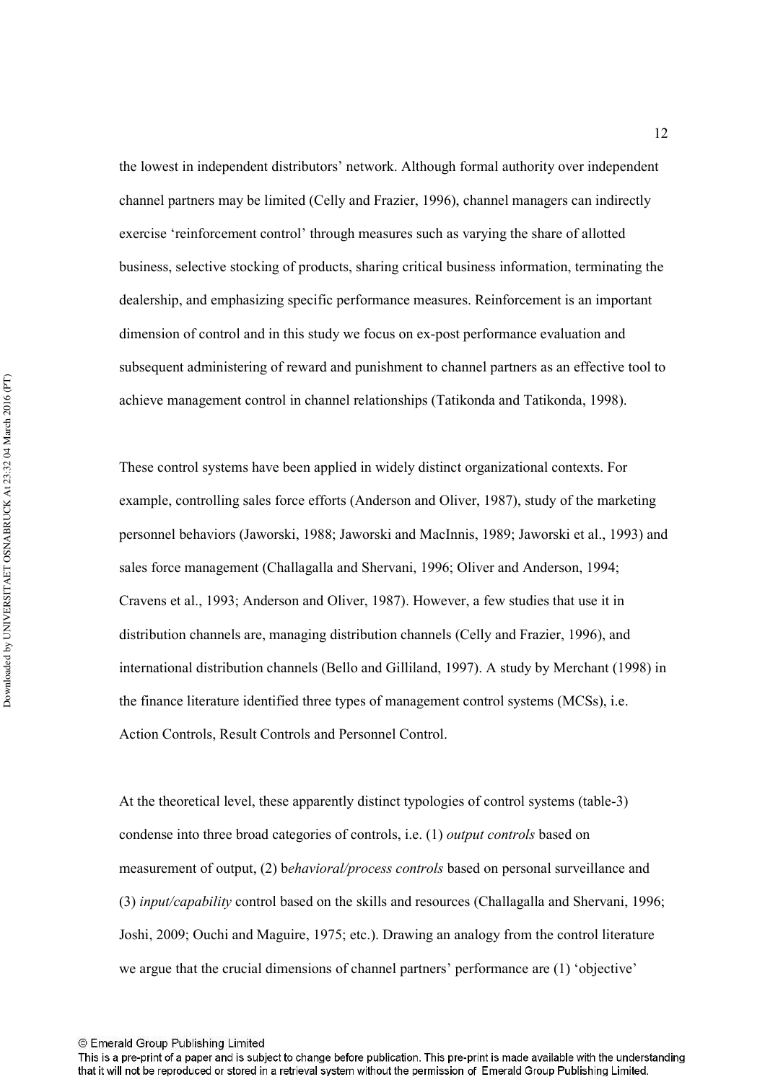the lowest in independent distributors' network. Although formal authority over independent channel partners may be limited (Celly and Frazier, 1996), channel managers can indirectly exercise 'reinforcement control' through measures such as varying the share of allotted business, selective stocking of products, sharing critical business information, terminating the dealership, and emphasizing specific performance measures. Reinforcement is an important dimension of control and in this study we focus on ex-post performance evaluation and subsequent administering of reward and punishment to channel partners as an effective tool to achieve management control in channel relationships (Tatikonda and Tatikonda, 1998).

These control systems have been applied in widely distinct organizational contexts. For example, controlling sales force efforts (Anderson and Oliver, 1987), study of the marketing personnel behaviors (Jaworski, 1988; Jaworski and MacInnis, 1989; Jaworski et al., 1993) and sales force management (Challagalla and Shervani, 1996; Oliver and Anderson, 1994; Cravens et al., 1993; Anderson and Oliver, 1987). However, a few studies that use it in distribution channels are, managing distribution channels (Celly and Frazier, 1996), and international distribution channels (Bello and Gilliland, 1997). A study by Merchant (1998) in the finance literature identified three types of management control systems (MCSs), i.e. Action Controls, Result Controls and Personnel Control.

At the theoretical level, these apparently distinct typologies of control systems (table-3) condense into three broad categories of controls, i.e. (1) *output controls* based on measurement of output, (2) behavioral/process controls based on personal surveillance and (3) *input/capability* control based on the skills and resources (Challagalla and Shervani, 1996; Joshi, 2009; Ouchi and Maguire, 1975; etc.). Drawing an analogy from the control literature we argue that the crucial dimensions of channel partners' performance are (1) 'objective'

12

<sup>©</sup> Emerald Group Publishing Limited

This is a pre-print of a paper and is subject to change before publication. This pre-print is made available with the understanding that it will not be reproduced or stored in a retrieval system without the permission of Emerald Group Publishing Limited.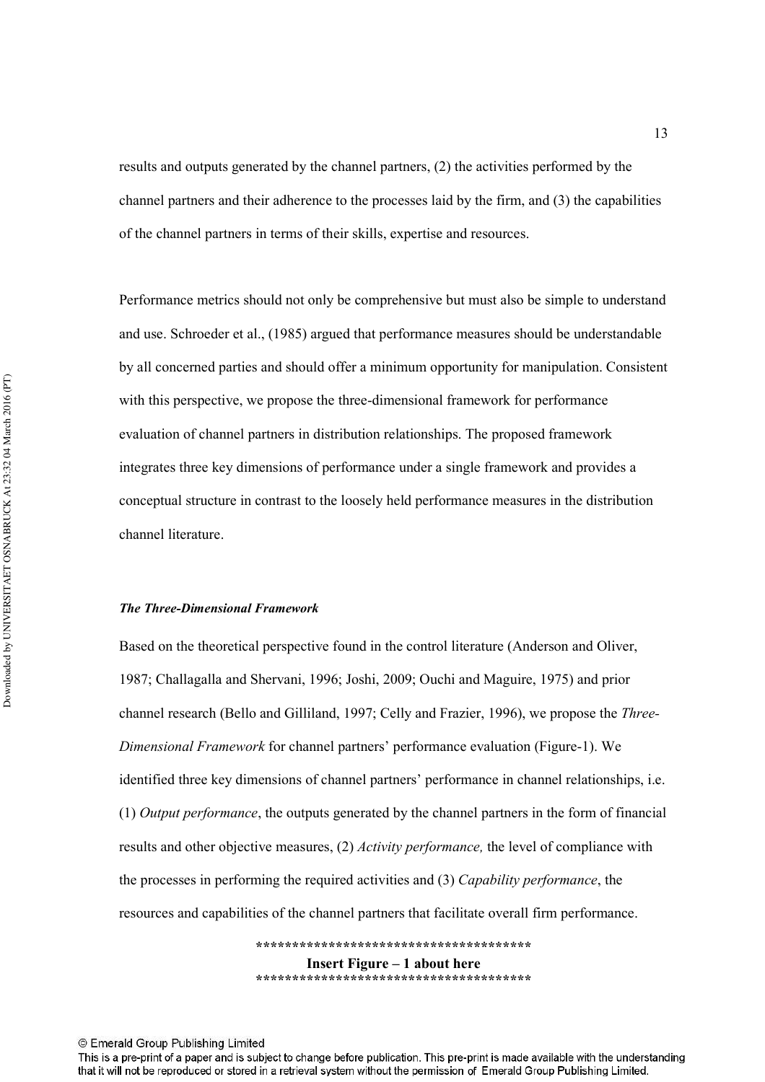results and outputs generated by the channel partners, (2) the activities performed by the channel partners and their adherence to the processes laid by the firm, and (3) the capabilities of the channel partners in terms of their skills, expertise and resources.

Performance metrics should not only be comprehensive but must also be simple to understand and use. Schroeder et al., (1985) argued that performance measures should be understandable by all concerned parties and should offer a minimum opportunity for manipulation. Consistent with this perspective, we propose the three-dimensional framework for performance evaluation of channel partners in distribution relationships. The proposed framework integrates three key dimensions of performance under a single framework and provides a conceptual structure in contrast to the loosely held performance measures in the distribution channel literature.

#### **The Three-Dimensional Framework**

Based on the theoretical perspective found in the control literature (Anderson and Oliver, 1987; Challagalla and Shervani, 1996; Joshi, 2009; Ouchi and Maguire, 1975) and prior channel research (Bello and Gilliland, 1997; Celly and Frazier, 1996), we propose the *Three*-Dimensional Framework for channel partners' performance evaluation (Figure-1). We identified three key dimensions of channel partners' performance in channel relationships, i.e.  $(1)$  *Output performance*, the outputs generated by the channel partners in the form of financial results and other objective measures, (2) *Activity performance*, the level of compliance with the processes in performing the required activities and (3) *Capability performance*, the resources and capabilities of the channel partners that facilitate overall firm performance.

> **!!!!!!!!!!!!!!!!!!!!!!!!!!!!!!!!!!!!!!-Insert Figure – 1 about here !!!!!!!!!!!!!!!!!!!!!!!!!!!!!!!!!!!!!!-**

This is a pre-print of a paper and is subject to change before publication. This pre-print is made available with the understanding that it will not be reproduced or stored in a retrieval system without the permission of Emerald Group Publishing Limited.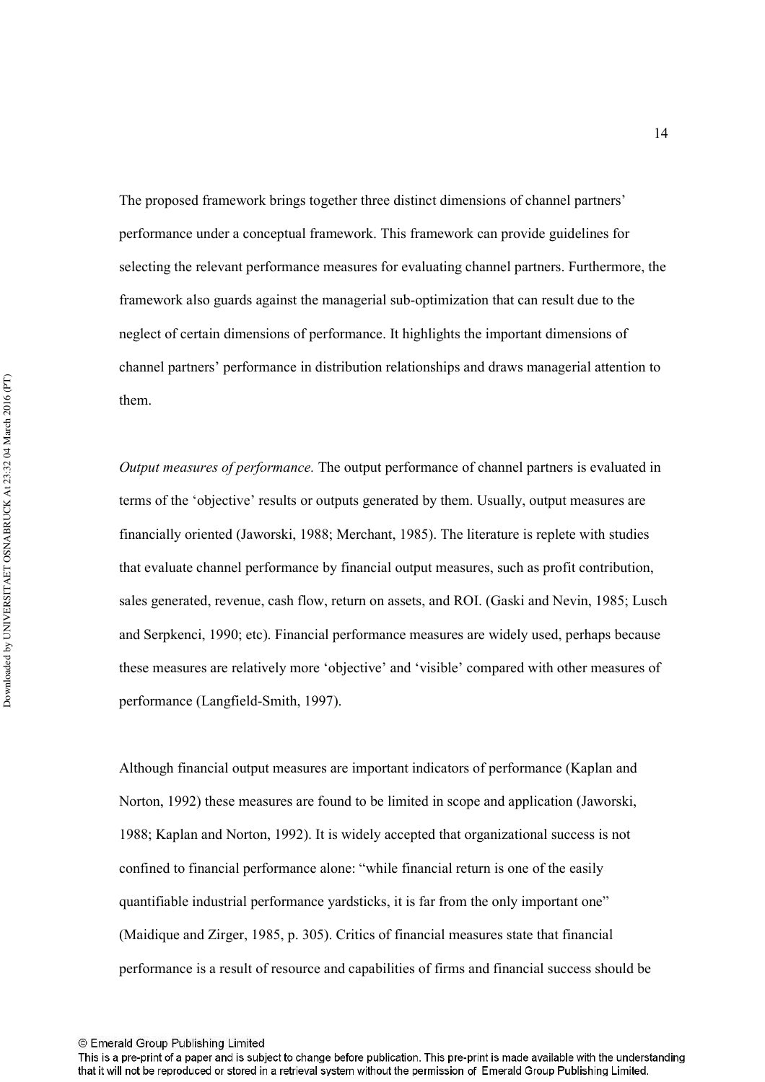The proposed framework brings together three distinct dimensions of channel partners' performance under a conceptual framework. This framework can provide guidelines for selecting the relevant performance measures for evaluating channel partners. Furthermore, the framework also guards against the managerial sub-optimization that can result due to the neglect of certain dimensions of performance. It highlights the important dimensions of channel partners' performance in distribution relationships and draws managerial attention to them.

*Output measures of performance*. The output performance of channel partners is evaluated in terms of the 'objective' results or outputs generated by them. Usually, output measures are financially oriented (Jaworski, 1988; Merchant, 1985). The literature is replete with studies that evaluate channel performance by financial output measures, such as profit contribution, sales generated, revenue, cash flow, return on assets, and ROI. (Gaski and Nevin, 1985; Lusch and Serpkenci, 1990; etc). Financial performance measures are widely used, perhaps because these measures are relatively more 'objective' and 'visible' compared with other measures of performance (Langfield-Smith, 1997).

Although financial output measures are important indicators of performance (Kaplan and Norton, 1992) these measures are found to be limited in scope and application (Jaworski, 1988; Kaplan and Norton, 1992). It is widely accepted that organizational success is not confined to financial performance alone: "while financial return is one of the easily quantifiable industrial performance yardsticks, it is far from the only important one" (Maidique and Zirger, 1985, p. 305). Critics of financial measures state that financial performance is a result of resource and capabilities of firms and financial success should be

This is a pre-print of a paper and is subject to change before publication. This pre-print is made available with the understanding that it will not be reproduced or stored in a retrieval system without the permission of Emerald Group Publishing Limited.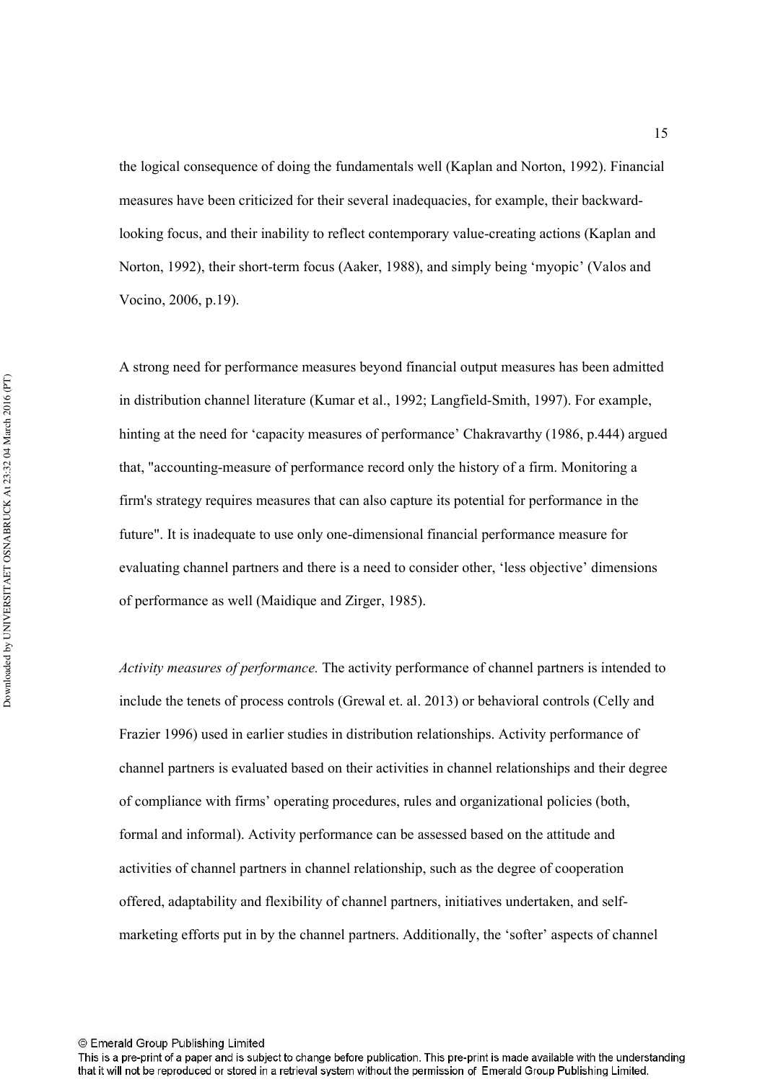the logical consequence of doing the fundamentals well (Kaplan and Norton, 1992). Financial measures have been criticized for their several inadequacies, for example, their backwardlooking focus, and their inability to reflect contemporary value-creating actions (Kaplan and Norton, 1992), their short-term focus (Aaker, 1988), and simply being 'myopic' (Valos and Vocino, 2006, p.19).

A strong need for performance measures beyond financial output measures has been admitted in distribution channel literature (Kumar et al., 1992; Langfield-Smith, 1997). For example, hinting at the need for 'capacity measures of performance' Chakravarthy (1986, p.444) argued that, "accounting-measure of performance record only the history of a firm. Monitoring a firm's strategy requires measures that can also capture its potential for performance in the future". It is inadequate to use only one-dimensional financial performance measure for evaluating channel partners and there is a need to consider other, 'less objective' dimensions of performance as well (Maidique and Zirger, 1985).

Activity measures of performance. The activity performance of channel partners is intended to include the tenets of process controls (Grewal et. al. 2013) or behavioral controls (Celly and Frazier 1996) used in earlier studies in distribution relationships. Activity performance of channel partners is evaluated based on their activities in channel relationships and their degree of compliance with firms' operating procedures, rules and organizational policies (both, formal and informal). Activity performance can be assessed based on the attitude and activities of channel partners in channel relationship, such as the degree of cooperation offered, adaptability and flexibility of channel partners, initiatives undertaken, and self1 marketing efforts put in by the channel partners. Additionally, the 'softer' aspects of channel

This is a pre-print of a paper and is subject to change before publication. This pre-print is made available with the understanding that it will not be reproduced or stored in a retrieval system without the permission of Emerald Group Publishing Limited.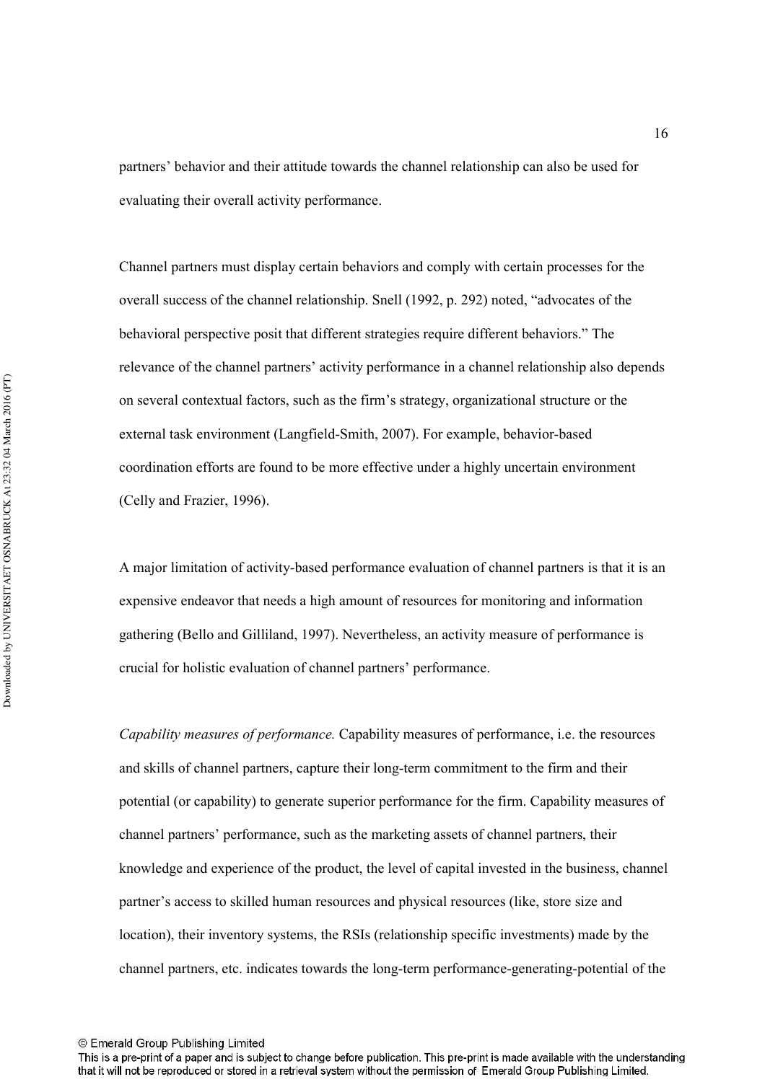partners' behavior and their attitude towards the channel relationship can also be used for evaluating their overall activity performance.

Channel partners must display certain behaviors and comply with certain processes for the overall success of the channel relationship. Snell (1992, p. 292) noted, "advocates of the behavioral perspective posit that different strategies require different behaviors." The relevance of the channel partners' activity performance in a channel relationship also depends on several contextual factors, such as the firm's strategy, organizational structure or the external task environment (Langfield-Smith, 2007). For example, behavior-based coordination efforts are found to be more effective under a highly uncertain environment (Celly and Frazier, 1996).

A major limitation of activity-based performance evaluation of channel partners is that it is an expensive endeavor that needs a high amount of resources for monitoring and information gathering (Bello and Gilliland, 1997). Nevertheless, an activity measure of performance is crucial for holistic evaluation of channel partners' performance.

Capability measures of performance. Capability measures of performance, i.e. the resources and skills of channel partners, capture their long-term commitment to the firm and their potential (or capability) to generate superior performance for the firm. Capability measures of channel partners' performance, such as the marketing assets of channel partners, their knowledge and experience of the product, the level of capital invested in the business, channel partner's access to skilled human resources and physical resources (like, store size and location), their inventory systems, the RSIs (relationship specific investments) made by the channel partners, etc. indicates towards the long-term performance-generating-potential of the

<sup>©</sup> Emerald Group Publishing Limited

This is a pre-print of a paper and is subject to change before publication. This pre-print is made available with the understanding that it will not be reproduced or stored in a retrieval system without the permission of Emerald Group Publishing Limited.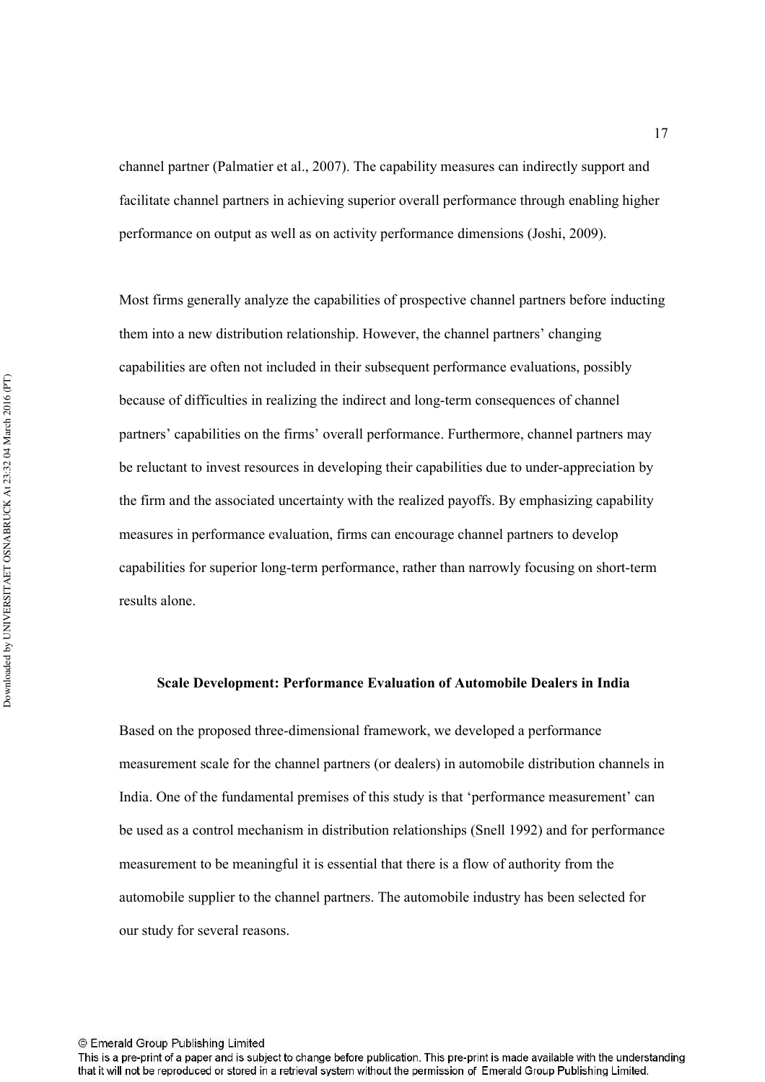channel partner (Palmatier et al., 2007). The capability measures can indirectly support and facilitate channel partners in achieving superior overall performance through enabling higher performance on output as well as on activity performance dimensions (Joshi, 2009).

Most firms generally analyze the capabilities of prospective channel partners before inducting them into a new distribution relationship. However, the channel partners' changing capabilities are often not included in their subsequent performance evaluations, possibly because of difficulties in realizing the indirect and long-term consequences of channel partners' capabilities on the firms' overall performance. Furthermore, channel partners may be reluctant to invest resources in developing their capabilities due to under-appreciation by the firm and the associated uncertainty with the realized payoffs. By emphasizing capability measures in performance evaluation, firms can encourage channel partners to develop capabilities for superior long-term performance, rather than narrowly focusing on short-term results alone.

#### Scale Development: Performance Evaluation of Automobile Dealers in India

Based on the proposed three-dimensional framework, we developed a performance measurement scale for the channel partners (or dealers) in automobile distribution channels in India. One of the fundamental premises of this study is that 'performance measurement' can be used as a control mechanism in distribution relationships (Snell 1992) and for performance measurement to be meaningful it is essential that there is a flow of authority from the automobile supplier to the channel partners. The automobile industry has been selected for our study for several reasons.

This is a pre-print of a paper and is subject to change before publication. This pre-print is made available with the understanding that it will not be reproduced or stored in a retrieval system without the permission of Emerald Group Publishing Limited.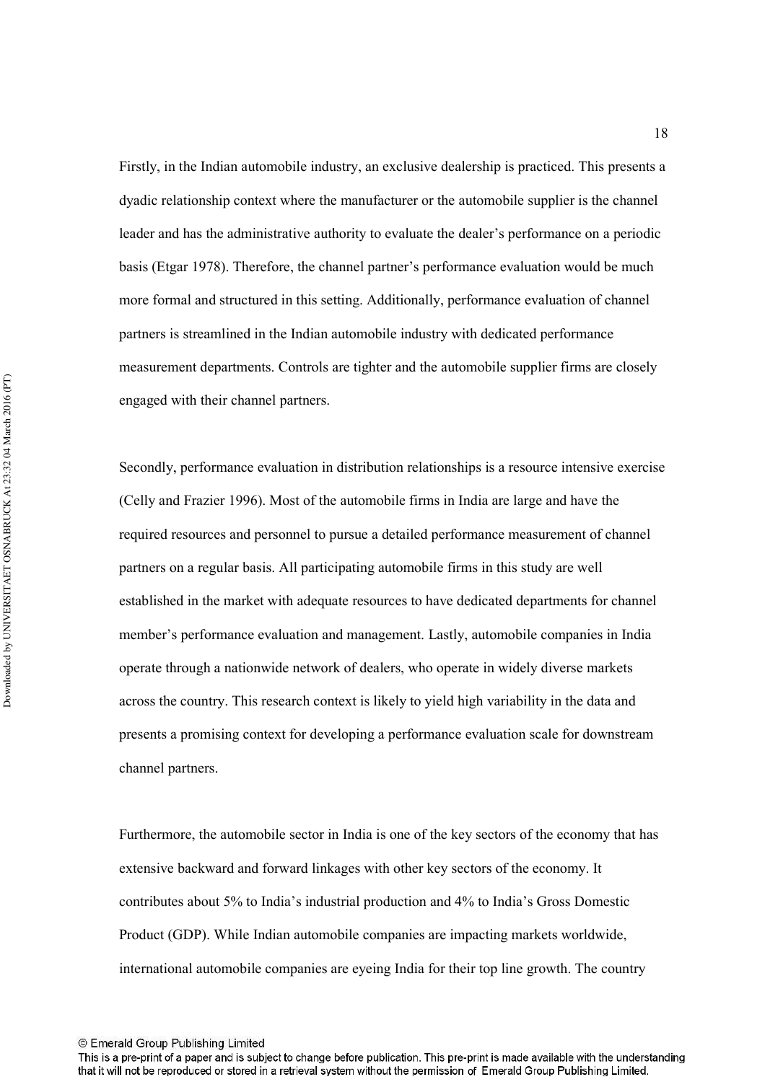Firstly, in the Indian automobile industry, an exclusive dealership is practiced. This presents a dyadic relationship context where the manufacturer or the automobile supplier is the channel leader and has the administrative authority to evaluate the dealer's performance on a periodic basis (Etgar 1978). Therefore, the channel partner's performance evaluation would be much more formal and structured in this setting. Additionally, performance evaluation of channel partners is streamlined in the Indian automobile industry with dedicated performance measurement departments. Controls are tighter and the automobile supplier firms are closely engaged with their channel partners.

Secondly, performance evaluation in distribution relationships is a resource intensive exercise (Celly and Frazier 1996). Most of the automobile firms in India are large and have the required resources and personnel to pursue a detailed performance measurement of channel partners on a regular basis. All participating automobile firms in this study are well established in the market with adequate resources to have dedicated departments for channel member's performance evaluation and management. Lastly, automobile companies in India operate through a nationwide network of dealers, who operate in widely diverse markets across the country. This research context is likely to yield high variability in the data and presents a promising context for developing a performance evaluation scale for downstream channel partners.

Furthermore, the automobile sector in India is one of the key sectors of the economy that has extensive backward and forward linkages with other key sectors of the economy. It contributes about 5% to India's industrial production and 4% to India's Gross Domestic Product (GDP). While Indian automobile companies are impacting markets worldwide, international automobile companies are eyeing India for their top line growth. The country

<sup>©</sup> Emerald Group Publishing Limited

This is a pre-print of a paper and is subject to change before publication. This pre-print is made available with the understanding that it will not be reproduced or stored in a retrieval system without the permission of Emerald Group Publishing Limited.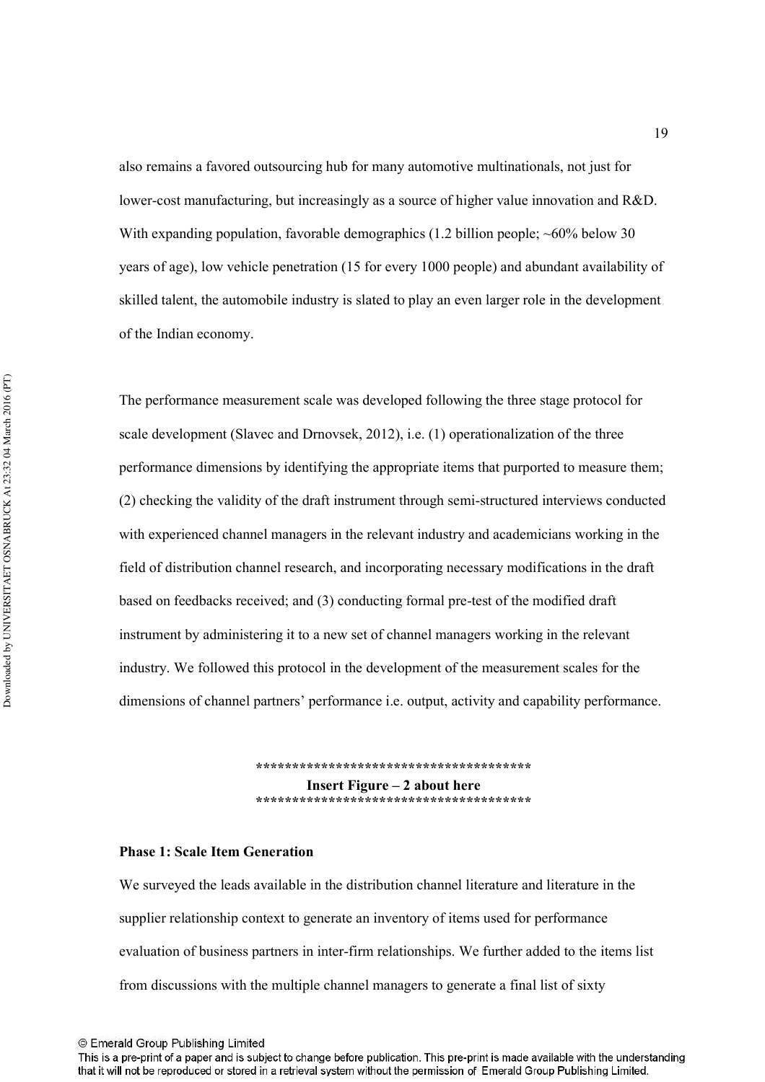also remains a favored outsourcing hub for many automotive multinationals, not just for lower-cost manufacturing, but increasingly as a source of higher value innovation and R&D. With expanding population, favorable demographics  $(1.2 \text{ billion people}; \sim 60\% \text{ below } 30$ years of age), low vehicle penetration (15 for every 1000 people) and abundant availability of skilled talent, the automobile industry is slated to play an even larger role in the development of the Indian economy.

The performance measurement scale was developed following the three stage protocol for scale development (Slavec and Drnovsek, 2012), i.e. (1) operationalization of the three performance dimensions by identifying the appropriate items that purported to measure them;  $(2)$  checking the validity of the draft instrument through semi-structured interviews conducted with experienced channel managers in the relevant industry and academicians working in the field of distribution channel research, and incorporating necessary modifications in the draft based on feedbacks received; and (3) conducting formal pre-test of the modified draft instrument by administering it to a new set of channel managers working in the relevant industry. We followed this protocol in the development of the measurement scales for the dimensions of channel partners' performance i.e. output, activity and capability performance.

> **!!!!!!!!!!!!!!!!!!!!!!!!!!!!!!!!!!!!!!-Insert Figure – 2 about here** \*\*\*\*\*\*\*\*\*\*\*\*\*\*\*\*\*\*\*\*\*\*\*\*\*\*\*\*\*\*\*\*\*\*\*\*

#### **Phase 1: Scale Item Generation**

We surveyed the leads available in the distribution channel literature and literature in the supplier relationship context to generate an inventory of items used for performance evaluation of business partners in inter-firm relationships. We further added to the items list from discussions with the multiple channel managers to generate a final list of sixty

This is a pre-print of a paper and is subject to change before publication. This pre-print is made available with the understanding that it will not be reproduced or stored in a retrieval system without the permission of Emerald Group Publishing Limited.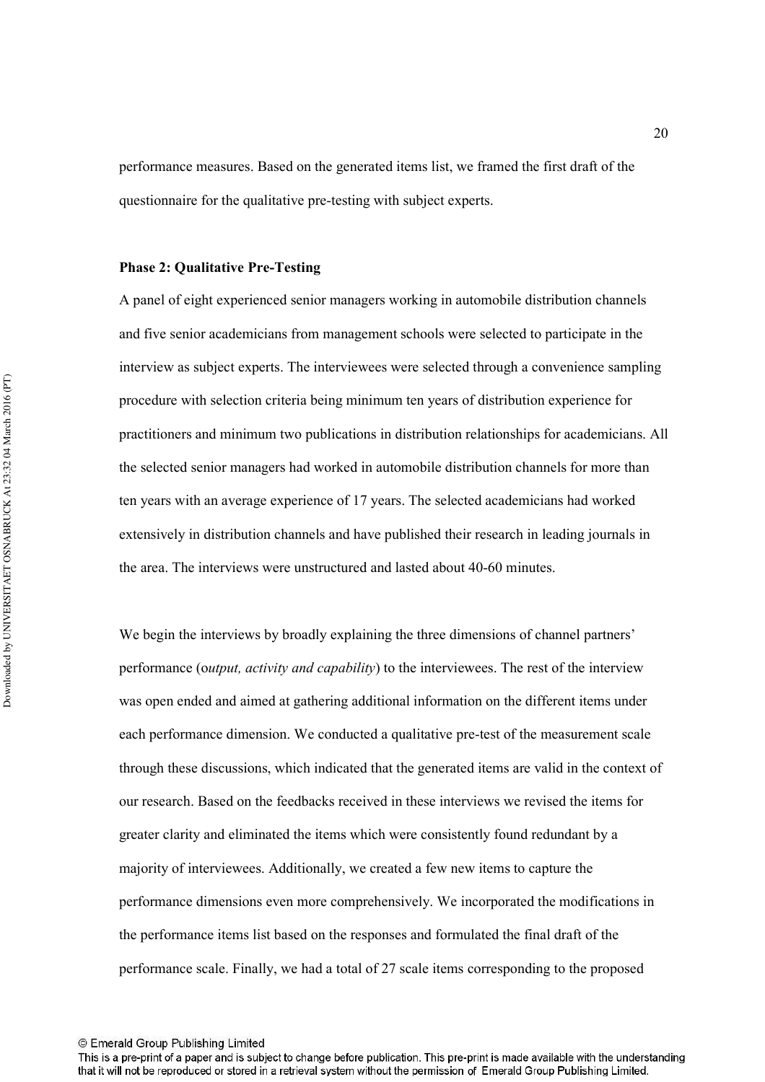performance measures. Based on the generated items list, we framed the first draft of the questionnaire for the qualitative pre-testing with subject experts.

#### **Phase 2: Qualitative Pre-Testing**

A panel of eight experienced senior managers working in automobile distribution channels and five senior academicians from management schools were selected to participate in the interview as subject experts. The interviewees were selected through a convenience sampling procedure with selection criteria being minimum ten years of distribution experience for practitioners and minimum two publications in distribution relationships for academicians. All the selected senior managers had worked in automobile distribution channels for more than ten years with an average experience of 17 years. The selected academicians had worked extensively in distribution channels and have published their research in leading journals in the area. The interviews were unstructured and lasted about 40-60 minutes.

We begin the interviews by broadly explaining the three dimensions of channel partners' performance (output, activity and capability) to the interviewees. The rest of the interview was open ended and aimed at gathering additional information on the different items under each performance dimension. We conducted a qualitative pre-test of the measurement scale through these discussions, which indicated that the generated items are valid in the context of our research. Based on the feedbacks received in these interviews we revised the items for greater clarity and eliminated the items which were consistently found redundant by a majority of interviewees. Additionally, we created a few new items to capture the performance dimensions even more comprehensively. We incorporated the modifications in the performance items list based on the responses and formulated the final draft of the performance scale. Finally, we had a total of 27 scale items corresponding to the proposed

<sup>©</sup> Emerald Group Publishing Limited

This is a pre-print of a paper and is subject to change before publication. This pre-print is made available with the understanding that it will not be reproduced or stored in a retrieval system without the permission of Emerald Group Publishing Limited.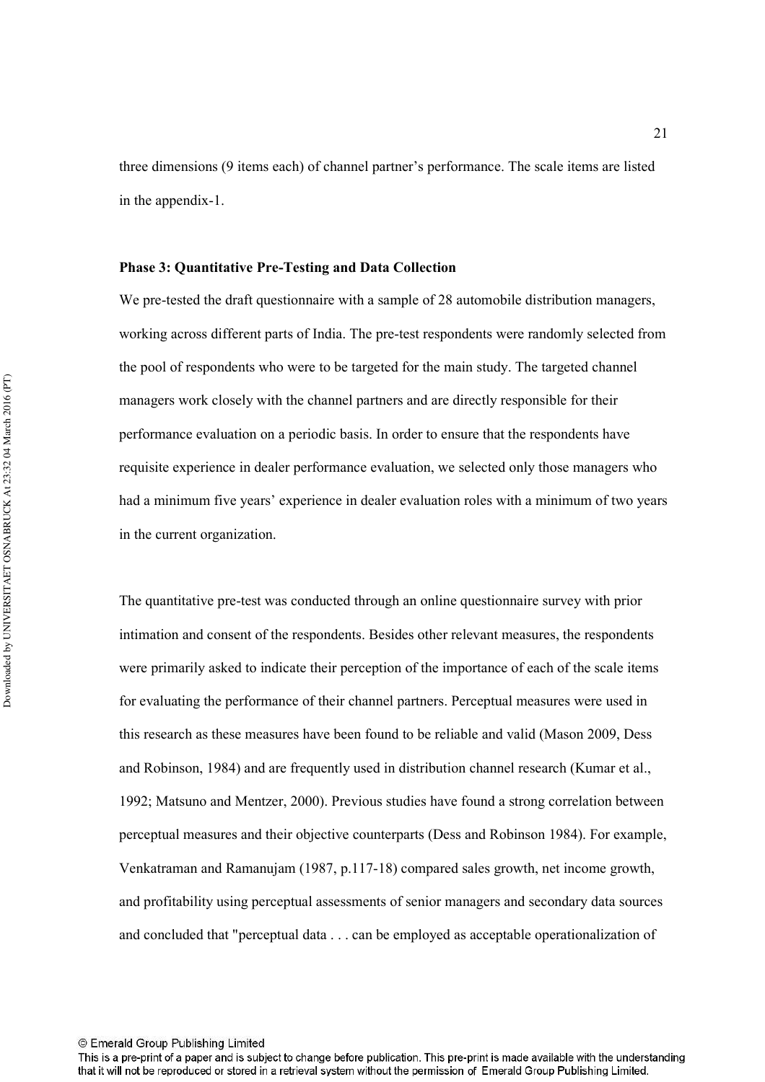three dimensions (9 items each) of channel partner's performance. The scale items are listed in the appendix-1.

#### Phase 3: Quantitative Pre-Testing and Data Collection

We pre-tested the draft questionnaire with a sample of 28 automobile distribution managers, working across different parts of India. The pre-test respondents were randomly selected from the pool of respondents who were to be targeted for the main study. The targeted channel managers work closely with the channel partners and are directly responsible for their performance evaluation on a periodic basis. In order to ensure that the respondents have requisite experience in dealer performance evaluation, we selected only those managers who had a minimum five years' experience in dealer evaluation roles with a minimum of two years in the current organization.

The quantitative pre-test was conducted through an online questionnaire survey with prior intimation and consent of the respondents. Besides other relevant measures, the respondents were primarily asked to indicate their perception of the importance of each of the scale items for evaluating the performance of their channel partners. Perceptual measures were used in this research as these measures have been found to be reliable and valid (Mason 2009, Dess and Robinson, 1984) and are frequently used in distribution channel research (Kumar et al., 1992; Matsuno and Mentzer, 2000). Previous studies have found a strong correlation between perceptual measures and their objective counterparts (Dess and Robinson 1984). For example, Venkatraman and Ramanujam (1987, p.117118) compared sales growth, net income growth, and profitability using perceptual assessments of senior managers and secondary data sources and concluded that "perceptual data . . . can be employed as acceptable operationalization of

This is a pre-print of a paper and is subject to change before publication. This pre-print is made available with the understanding that it will not be reproduced or stored in a retrieval system without the permission of Emerald Group Publishing Limited.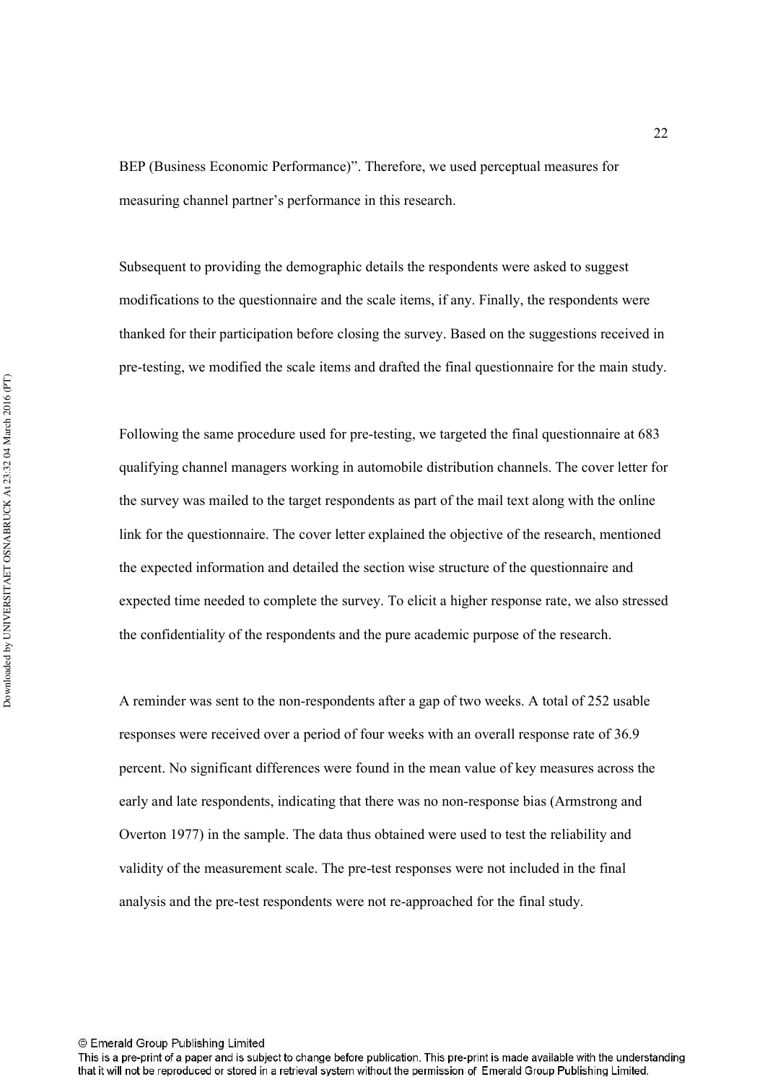BEP (Business Economic Performance)". Therefore, we used perceptual measures for measuring channel partner's performance in this research.

Subsequent to providing the demographic details the respondents were asked to suggest modifications to the questionnaire and the scale items, if any. Finally, the respondents were thanked for their participation before closing the survey. Based on the suggestions received in pre-testing, we modified the scale items and drafted the final questionnaire for the main study.

Following the same procedure used for pre-testing, we targeted the final questionnaire at 683 qualifying channel managers working in automobile distribution channels. The cover letter for the survey was mailed to the target respondents as part of the mail text along with the online link for the questionnaire. The cover letter explained the objective of the research, mentioned the expected information and detailed the section wise structure of the questionnaire and expected time needed to complete the survey. To elicit a higher response rate, we also stressed the confidentiality of the respondents and the pure academic purpose of the research.

A reminder was sent to the non-respondents after a gap of two weeks. A total of 252 usable responses were received over a period of four weeks with an overall response rate of 36.9 percent. No significant differences were found in the mean value of key measures across the early and late respondents, indicating that there was no non-response bias (Armstrong and Overton 1977) in the sample. The data thus obtained were used to test the reliability and validity of the measurement scale. The pre-test responses were not included in the final analysis and the pre-test respondents were not re-approached for the final study.

This is a pre-print of a paper and is subject to change before publication. This pre-print is made available with the understanding that it will not be reproduced or stored in a retrieval system without the permission of Emerald Group Publishing Limited.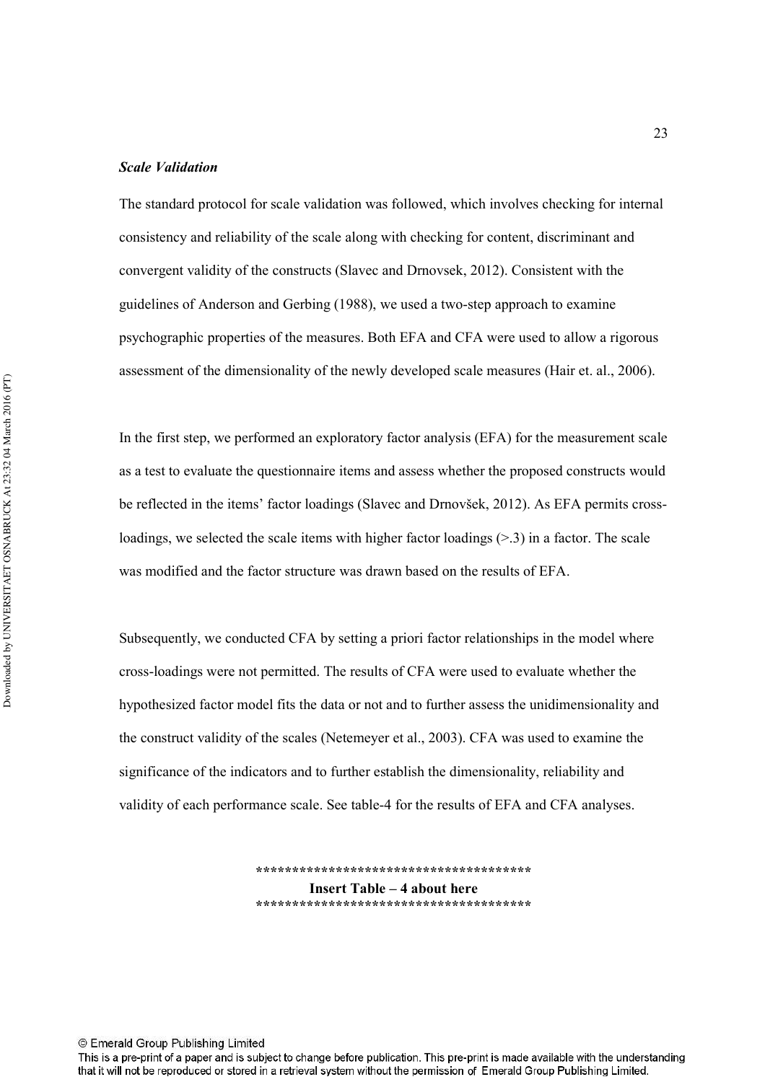#### **Scale Validation**

The standard protocol for scale validation was followed, which involves checking for internal consistency and reliability of the scale along with checking for content, discriminant and convergent validity of the constructs (Slavec and Drnovsek, 2012). Consistent with the guidelines of Anderson and Gerbing (1988), we used a two-step approach to examine psychographic properties of the measures. Both EFA and CFA were used to allow a rigorous assessment of the dimensionality of the newly developed scale measures (Hair et. al., 2006).

In the first step, we performed an exploratory factor analysis (EFA) for the measurement scale as a test to evaluate the questionnaire items and assess whether the proposed constructs would be reflected in the items' factor loadings (Slavec and Drnovšek, 2012). As EFA permits crossloadings, we selected the scale items with higher factor loadings  $(> 3)$  in a factor. The scale was modified and the factor structure was drawn based on the results of EFA.

Subsequently, we conducted CFA by setting a priori factor relationships in the model where cross1loadings were not permitted. The results of CFA were used to evaluate whether the hypothesized factor model fits the data or not and to further assess the unidimensionality and the construct validity of the scales (Netemeyer et al., 2003). CFA was used to examine the significance of the indicators and to further establish the dimensionality, reliability and validity of each performance scale. See table-4 for the results of EFA and CFA analyses.

> **!!!!!!!!!!!!!!!!!!!!!!!!!!!!!!!!!!!!!!-Insert Table – 4 about here !!!!!!!!!!!!!!!!!!!!!!!!!!!!!!!!!!!!!!-**

© Emerald Group Publishing Limited

This is a pre-print of a paper and is subject to change before publication. This pre-print is made available with the understanding that it will not be reproduced or stored in a retrieval system without the permission of Emerald Group Publishing Limited.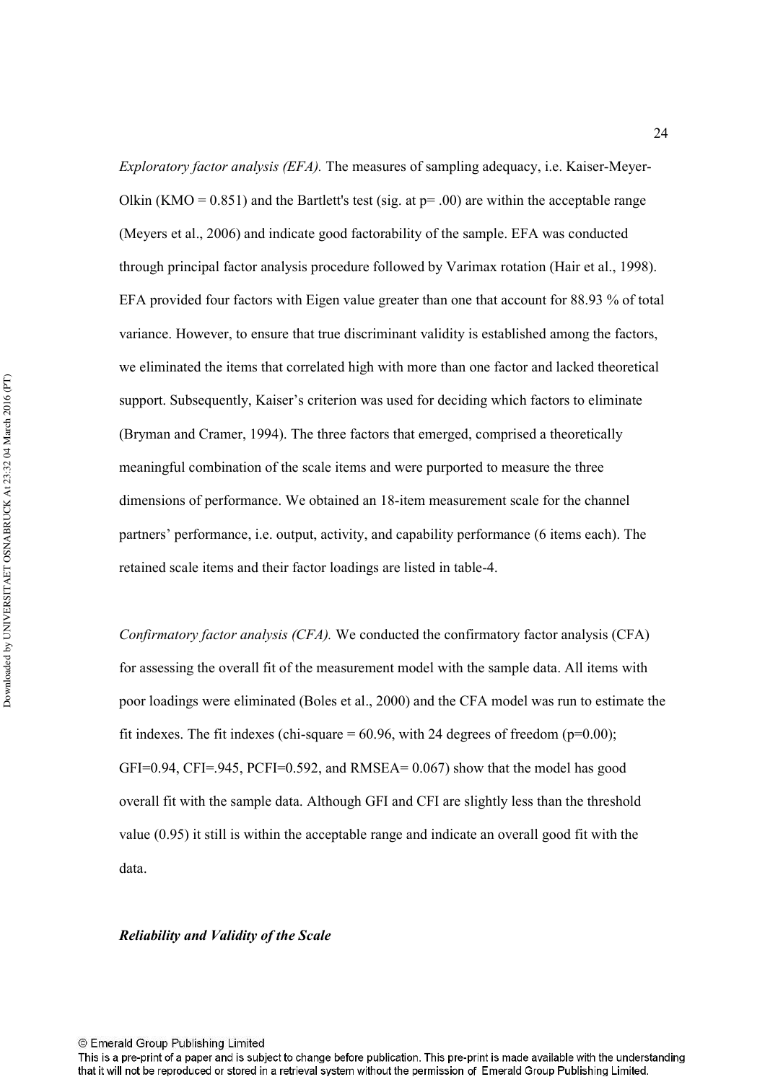*Exploratory factor analysis (EFA)*. The measures of sampling adequacy, i.e. Kaiser-Meyer-Olkin (KMO =  $0.851$ ) and the Bartlett's test (sig. at  $p = .00$ ) are within the acceptable range (Meyers et al., 2006) and indicate good factorability of the sample. EFA was conducted through principal factor analysis procedure followed by Varimax rotation (Hair et al., 1998). EFA provided four factors with Eigen value greater than one that account for 88.93 % of total variance. However, to ensure that true discriminant validity is established among the factors, we eliminated the items that correlated high with more than one factor and lacked theoretical support. Subsequently, Kaiser's criterion was used for deciding which factors to eliminate (Bryman and Cramer, 1994). The three factors that emerged, comprised a theoretically meaningful combination of the scale items and were purported to measure the three dimensions of performance. We obtained an 18-item measurement scale for the channel partners' performance, i.e. output, activity, and capability performance (6 items each). The retained scale items and their factor loadings are listed in table-4.

Confirmatory factor analysis (CFA). We conducted the confirmatory factor analysis (CFA) for assessing the overall fit of the measurement model with the sample data. All items with poor loadings were eliminated (Boles et al., 2000) and the CFA model was run to estimate the fit indexes. The fit indexes (chi-square  $= 60.96$ , with 24 degrees of freedom (p=0.00);  $GFI=0.94$ ,  $CFI=0.945$ ,  $PCFI=0.592$ , and  $RMSEA= 0.067$ ) show that the model has good overall fit with the sample data. Although GFI and CFI are slightly less than the threshold value (0.95) it still is within the acceptable range and indicate an overall good fit with the data.

Reliability and Validity of the Scale

This is a pre-print of a paper and is subject to change before publication. This pre-print is made available with the understanding that it will not be reproduced or stored in a retrieval system without the permission of Emerald Group Publishing Limited.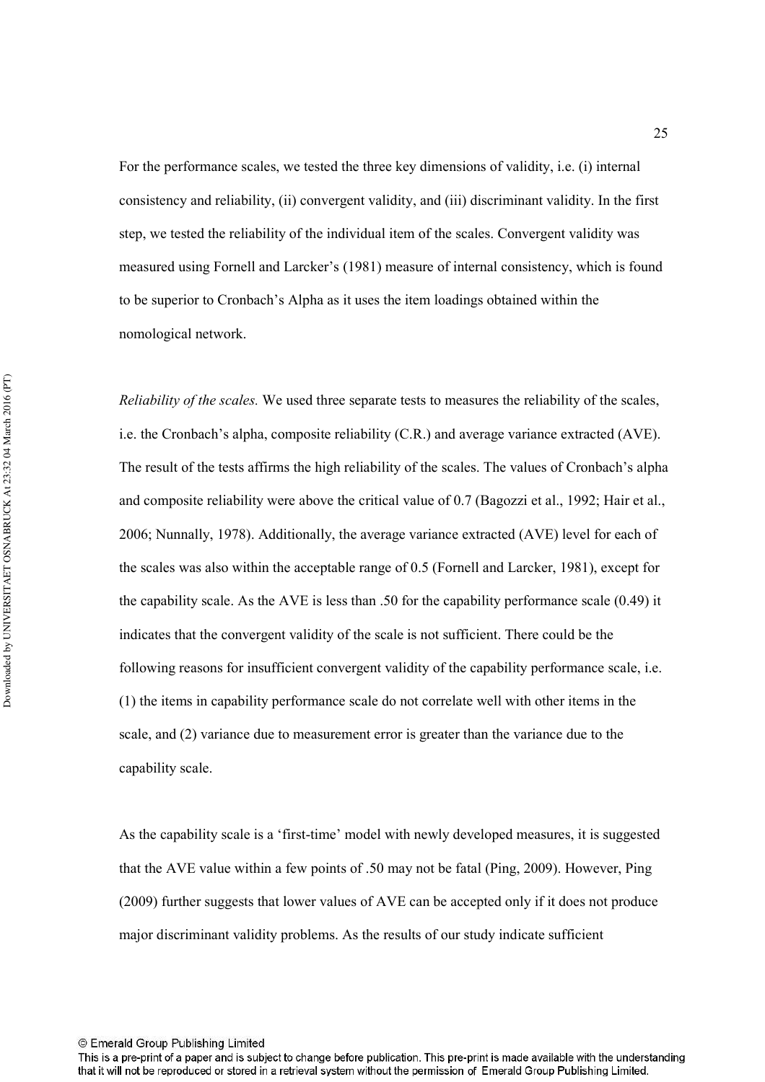For the performance scales, we tested the three key dimensions of validity, i.e. (i) internal consistency and reliability, (ii) convergent validity, and (iii) discriminant validity. In the first step, we tested the reliability of the individual item of the scales. Convergent validity was measured using Fornell and Larcker's (1981) measure of internal consistency, which is found to be superior to Cronbach's Alpha as it uses the item loadings obtained within the nomological network.

Reliability of the scales. We used three separate tests to measures the reliability of the scales, i.e. the Cronbach's alpha, composite reliability (C.R.) and average variance extracted (AVE). The result of the tests affirms the high reliability of the scales. The values of Cronbach's alpha and composite reliability were above the critical value of 0.7 (Bagozzi et al., 1992; Hair et al., 2006; Nunnally, 1978). Additionally, the average variance extracted (AVE) level for each of the scales was also within the acceptable range of 0.5 (Fornell and Larcker, 1981), except for the capability scale. As the AVE is less than .50 for the capability performance scale (0.49) it indicates that the convergent validity of the scale is not sufficient. There could be the following reasons for insufficient convergent validity of the capability performance scale, i.e. (1) the items in capability performance scale do not correlate well with other items in the scale, and (2) variance due to measurement error is greater than the variance due to the capability scale.

As the capability scale is a 'first-time' model with newly developed measures, it is suggested that the AVE value within a few points of .50 may not be fatal (Ping, 2009). However, Ping (2009) further suggests that lower values of AVE can be accepted only if it does not produce major discriminant validity problems. As the results of our study indicate sufficient

This is a pre-print of a paper and is subject to change before publication. This pre-print is made available with the understanding that it will not be reproduced or stored in a retrieval system without the permission of Emerald Group Publishing Limited.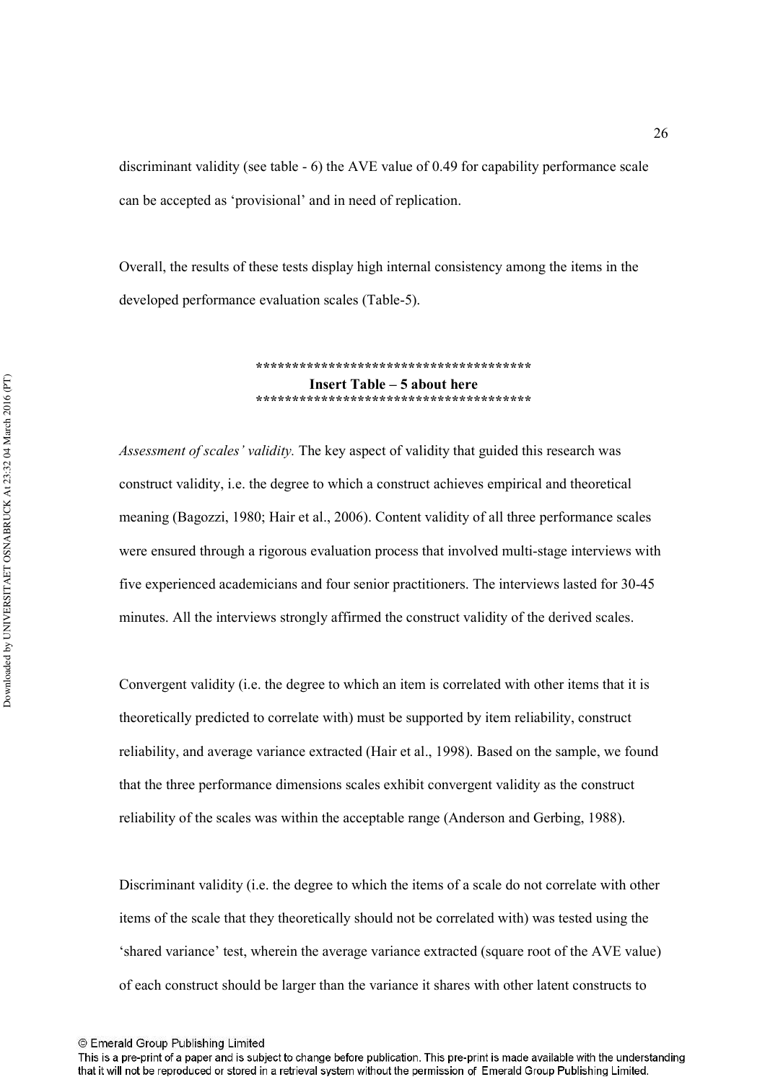discriminant validity (see table  $-6$ ) the AVE value of 0.49 for capability performance scale can be accepted as 'provisional' and in need of replication.

Overall, the results of these tests display high internal consistency among the items in the developed performance evaluation scales (Table-5).

> **!!!!!!!!!!!!!!!!!!!!!!!!!!!!!!!!!!!!!!-Insert Table – 5 about here** \*\*\*\*\*\*\*\*\*\*\*\*\*\*\*\*\*\*\*\*\*\*\*\*\*\*\*\*\*\*\*\*\*\*\*

Assessment of scales' validity. The key aspect of validity that guided this research was construct validity, i.e. the degree to which a construct achieves empirical and theoretical meaning (Bagozzi, 1980; Hair et al., 2006). Content validity of all three performance scales were ensured through a rigorous evaluation process that involved multi-stage interviews with five experienced academicians and four senior practitioners. The interviews lasted for 30-45 minutes. All the interviews strongly affirmed the construct validity of the derived scales.

Convergent validity (i.e. the degree to which an item is correlated with other items that it is theoretically predicted to correlate with) must be supported by item reliability, construct reliability, and average variance extracted (Hair et al., 1998). Based on the sample, we found that the three performance dimensions scales exhibit convergent validity as the construct reliability of the scales was within the acceptable range (Anderson and Gerbing, 1988).

Discriminant validity (i.e. the degree to which the items of a scale do not correlate with other items of the scale that they theoretically should not be correlated with) was tested using the 'shared variance' test, wherein the average variance extracted (square root of the AVE value) of each construct should be larger than the variance it shares with other latent constructs to

This is a pre-print of a paper and is subject to change before publication. This pre-print is made available with the understanding that it will not be reproduced or stored in a retrieval system without the permission of Emerald Group Publishing Limited.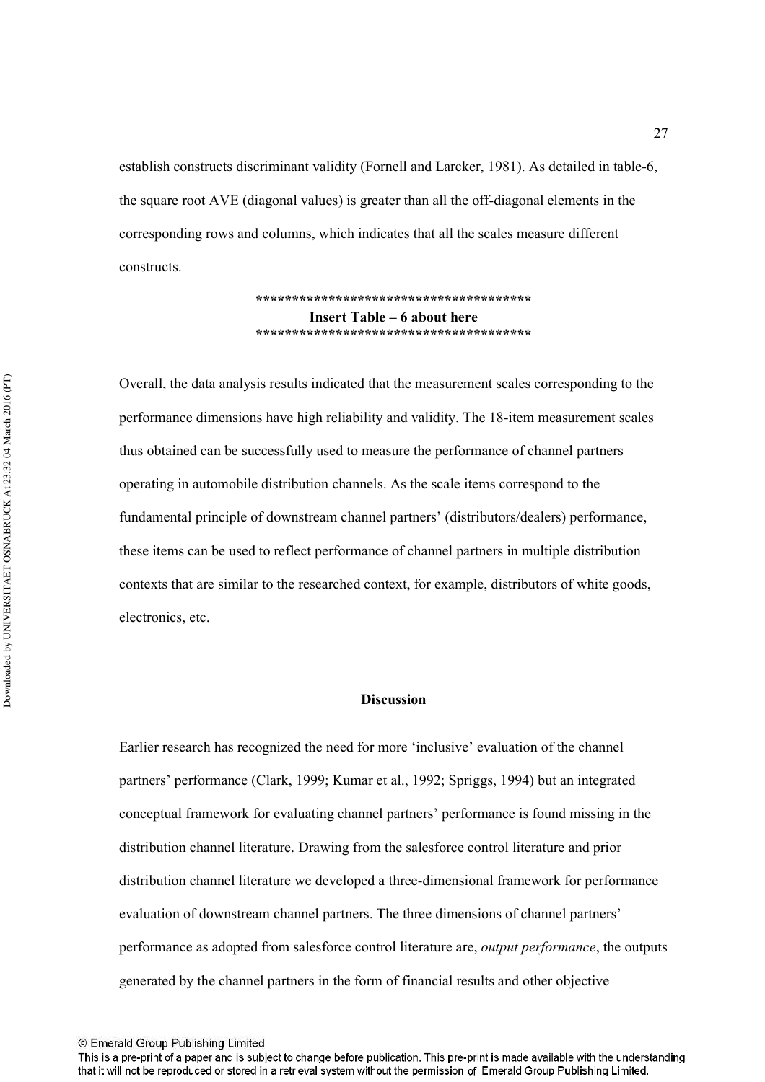establish constructs discriminant validity (Fornell and Larcker, 1981). As detailed in table-6, the square root AVE (diagonal values) is greater than all the off-diagonal elements in the corresponding rows and columns, which indicates that all the scales measure different constructs.

> **!!!!!!!!!!!!!!!!!!!!!!!!!!!!!!!!!!!!!!-Insert Table – 6 about here !!!!!!!!!!!!!!!!!!!!!!!!!!!!!!!!!!!!!!-**

Overall, the data analysis results indicated that the measurement scales corresponding to the performance dimensions have high reliability and validity. The 18-item measurement scales thus obtained can be successfully used to measure the performance of channel partners operating in automobile distribution channels. As the scale items correspond to the fundamental principle of downstream channel partners' (distributors/dealers) performance, these items can be used to reflect performance of channel partners in multiple distribution contexts that are similar to the researched context, for example, distributors of white goods, electronics, etc.

#### **Discussion**

Earlier research has recognized the need for more 'inclusive' evaluation of the channel partners' performance (Clark, 1999; Kumar et al., 1992; Spriggs, 1994) but an integrated conceptual framework for evaluating channel partners' performance is found missing in the distribution channel literature. Drawing from the salesforce control literature and prior distribution channel literature we developed a three-dimensional framework for performance evaluation of downstream channel partners. The three dimensions of channel partners' performance as adopted from salesforce control literature are, *output performance*, the outputs generated by the channel partners in the form of financial results and other objective

<sup>©</sup> Emerald Group Publishing Limited

This is a pre-print of a paper and is subject to change before publication. This pre-print is made available with the understanding that it will not be reproduced or stored in a retrieval system without the permission of Emerald Group Publishing Limited.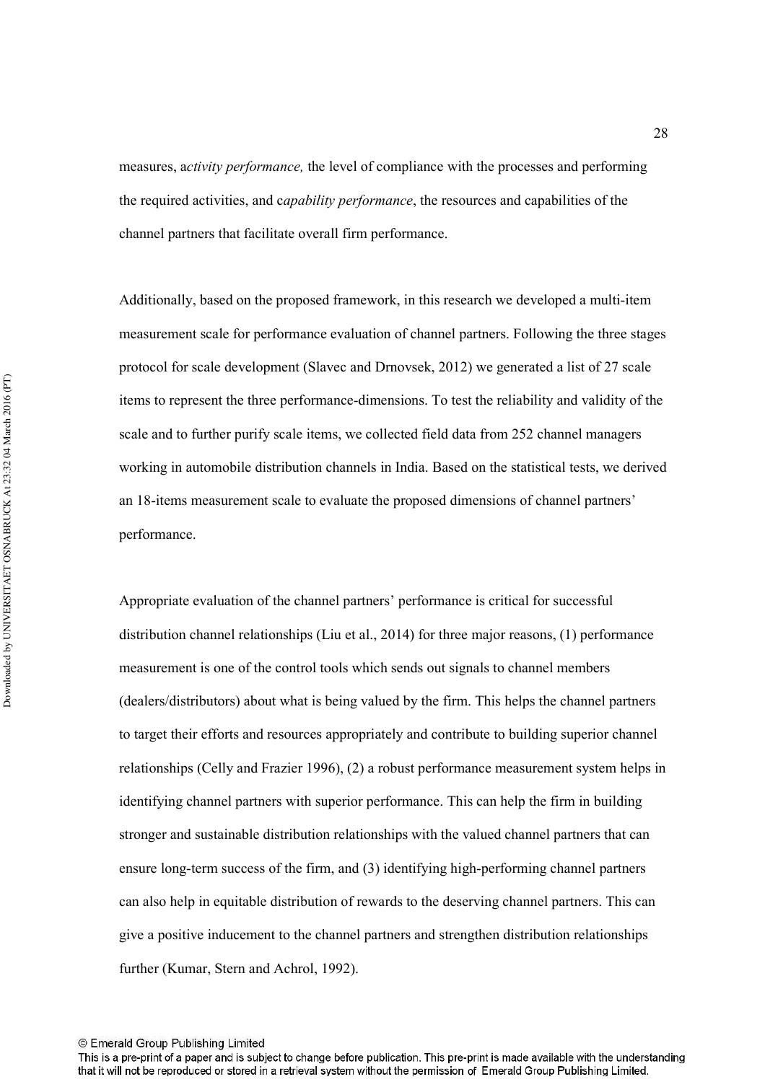measures, activity performance, the level of compliance with the processes and performing the required activities, and capability performance, the resources and capabilities of the channel partners that facilitate overall firm performance.

Additionally, based on the proposed framework, in this research we developed a multi-item measurement scale for performance evaluation of channel partners. Following the three stages protocol for scale development (Slavec and Drnovsek, 2012) we generated a list of 27 scale items to represent the three performance-dimensions. To test the reliability and validity of the scale and to further purify scale items, we collected field data from 252 channel managers working in automobile distribution channels in India. Based on the statistical tests, we derived an 18-items measurement scale to evaluate the proposed dimensions of channel partners' performance.

Appropriate evaluation of the channel partners' performance is critical for successful distribution channel relationships (Liu et al., 2014) for three major reasons, (1) performance measurement is one of the control tools which sends out signals to channel members (dealers/distributors) about what is being valued by the firm. This helps the channel partners to target their efforts and resources appropriately and contribute to building superior channel relationships (Celly and Frazier 1996), (2) a robust performance measurement system helps in identifying channel partners with superior performance. This can help the firm in building stronger and sustainable distribution relationships with the valued channel partners that can ensure long-term success of the firm, and  $(3)$  identifying high-performing channel partners can also help in equitable distribution of rewards to the deserving channel partners. This can give a positive inducement to the channel partners and strengthen distribution relationships further (Kumar, Stern and Achrol, 1992).

<sup>©</sup> Emerald Group Publishing Limited

This is a pre-print of a paper and is subject to change before publication. This pre-print is made available with the understanding that it will not be reproduced or stored in a retrieval system without the permission of Emerald Group Publishing Limited.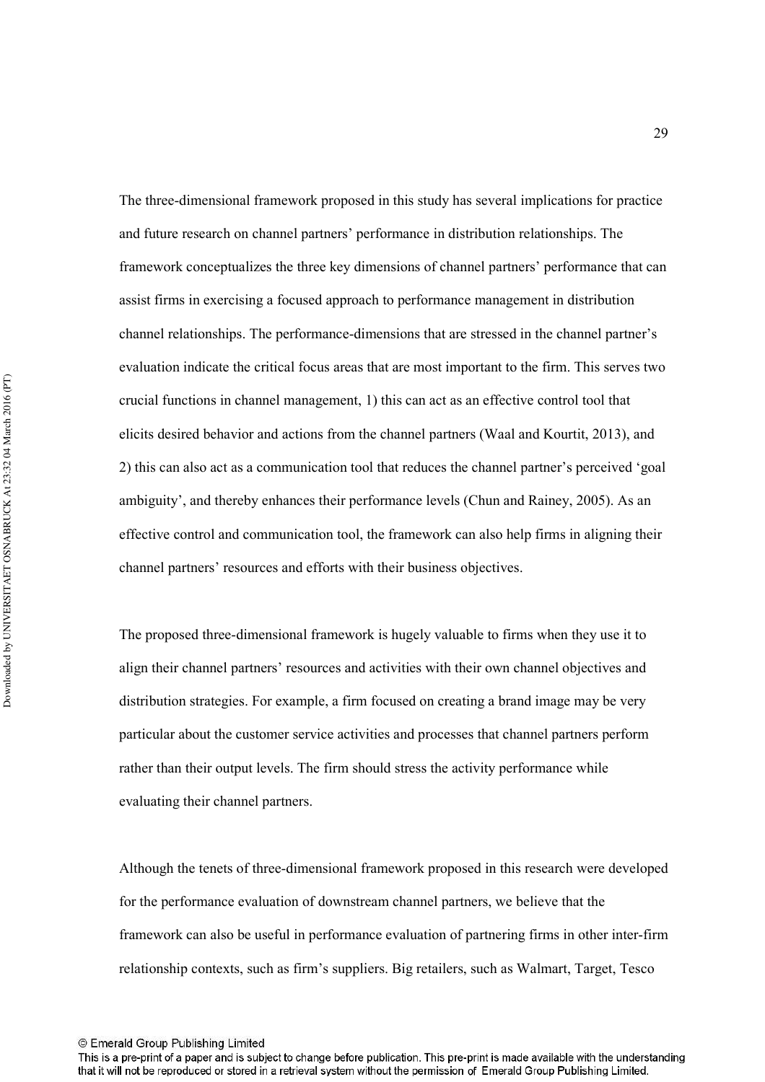The three-dimensional framework proposed in this study has several implications for practice and future research on channel partners' performance in distribution relationships. The framework conceptualizes the three key dimensions of channel partners' performance that can assist firms in exercising a focused approach to performance management in distribution channel relationships. The performance-dimensions that are stressed in the channel partner's evaluation indicate the critical focus areas that are most important to the firm. This serves two crucial functions in channel management, 1) this can act as an effective control tool that elicits desired behavior and actions from the channel partners (Waal and Kourtit, 2013), and 2) this can also act as a communication tool that reduces the channel partner's perceived 'goal ambiguity', and thereby enhances their performance levels (Chun and Rainey, 2005). As an effective control and communication tool, the framework can also help firms in aligning their channel partners' resources and efforts with their business objectives.

The proposed three-dimensional framework is hugely valuable to firms when they use it to align their channel partners' resources and activities with their own channel objectives and distribution strategies. For example, a firm focused on creating a brand image may be very particular about the customer service activities and processes that channel partners perform rather than their output levels. The firm should stress the activity performance while evaluating their channel partners.

Although the tenets of three-dimensional framework proposed in this research were developed for the performance evaluation of downstream channel partners, we believe that the framework can also be useful in performance evaluation of partnering firms in other inter-firm relationship contexts, such as firm's suppliers. Big retailers, such as Walmart, Target, Tesco

<sup>©</sup> Emerald Group Publishing Limited

This is a pre-print of a paper and is subject to change before publication. This pre-print is made available with the understanding that it will not be reproduced or stored in a retrieval system without the permission of Emerald Group Publishing Limited.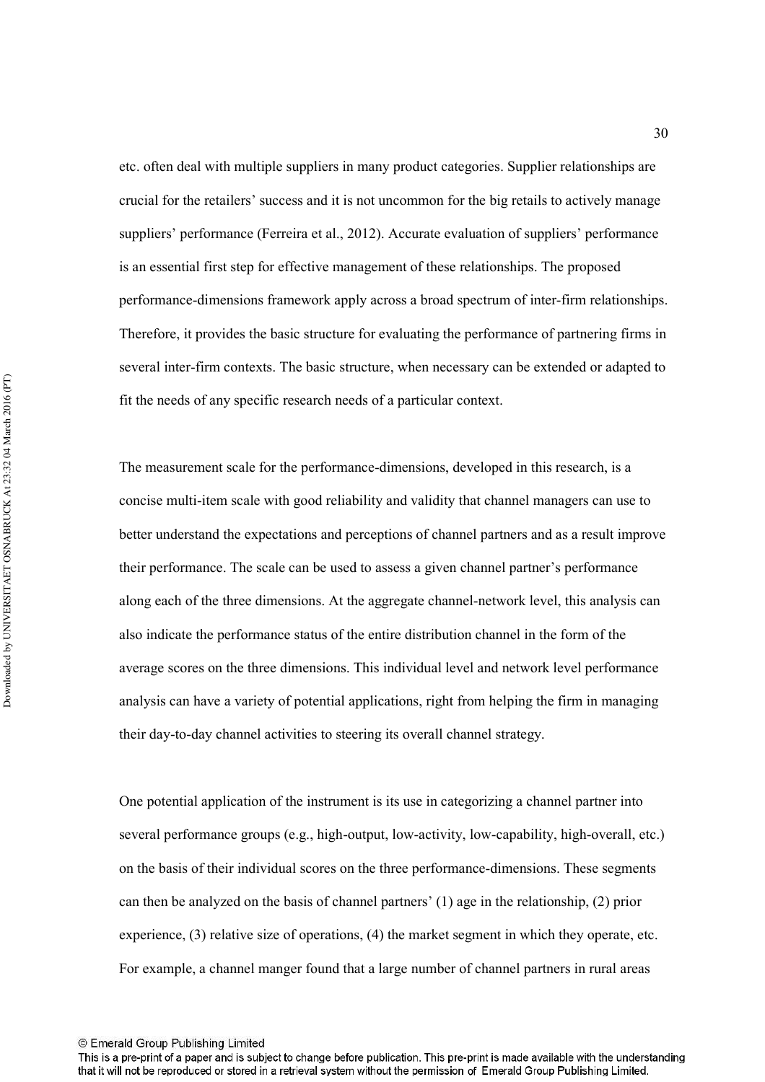etc. often deal with multiple suppliers in many product categories. Supplier relationships are crucial for the retailers' success and it is not uncommon for the big retails to actively manage suppliers' performance (Ferreira et al., 2012). Accurate evaluation of suppliers' performance is an essential first step for effective management of these relationships. The proposed performance-dimensions framework apply across a broad spectrum of inter-firm relationships. Therefore, it provides the basic structure for evaluating the performance of partnering firms in several inter-firm contexts. The basic structure, when necessary can be extended or adapted to fit the needs of any specific research needs of a particular context.

The measurement scale for the performance-dimensions, developed in this research, is a concise multi-item scale with good reliability and validity that channel managers can use to better understand the expectations and perceptions of channel partners and as a result improve their performance. The scale can be used to assess a given channel partner's performance along each of the three dimensions. At the aggregate channel-network level, this analysis can also indicate the performance status of the entire distribution channel in the form of the average scores on the three dimensions. This individual level and network level performance analysis can have a variety of potential applications, right from helping the firm in managing their day-to-day channel activities to steering its overall channel strategy.

One potential application of the instrument is its use in categorizing a channel partner into several performance groups (e.g., high-output, low-activity, low-capability, high-overall, etc.) on the basis of their individual scores on the three performance-dimensions. These segments can then be analyzed on the basis of channel partners' (1) age in the relationship, (2) prior experience, (3) relative size of operations, (4) the market segment in which they operate, etc. For example, a channel manger found that a large number of channel partners in rural areas

This is a pre-print of a paper and is subject to change before publication. This pre-print is made available with the understanding that it will not be reproduced or stored in a retrieval system without the permission of Emerald Group Publishing Limited.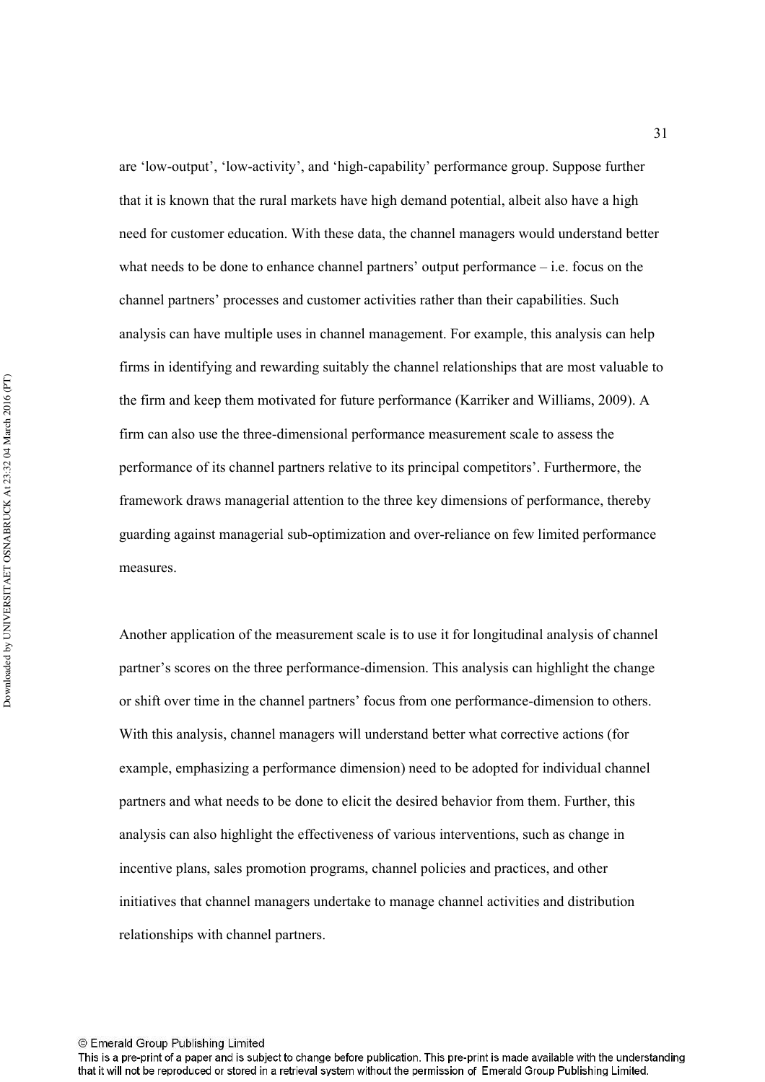are 'low-output', 'low-activity', and 'high-capability' performance group. Suppose further that it is known that the rural markets have high demand potential, albeit also have a high need for customer education. With these data, the channel managers would understand better what needs to be done to enhance channel partners' output performance  $-$  i.e. focus on the channel partners' processes and customer activities rather than their capabilities. Such analysis can have multiple uses in channel management. For example, this analysis can help firms in identifying and rewarding suitably the channel relationships that are most valuable to the firm and keep them motivated for future performance (Karriker and Williams, 2009). A firm can also use the three-dimensional performance measurement scale to assess the performance of its channel partners relative to its principal competitors'. Furthermore, the framework draws managerial attention to the three key dimensions of performance, thereby guarding against managerial sub-optimization and over-reliance on few limited performance measures.

Another application of the measurement scale is to use it for longitudinal analysis of channel partner's scores on the three performance-dimension. This analysis can highlight the change or shift over time in the channel partners' focus from one performance-dimension to others. With this analysis, channel managers will understand better what corrective actions (for example, emphasizing a performance dimension) need to be adopted for individual channel partners and what needs to be done to elicit the desired behavior from them. Further, this analysis can also highlight the effectiveness of various interventions, such as change in incentive plans, sales promotion programs, channel policies and practices, and other initiatives that channel managers undertake to manage channel activities and distribution relationships with channel partners.

© Emerald Group Publishing Limited

31

This is a pre-print of a paper and is subject to change before publication. This pre-print is made available with the understanding that it will not be reproduced or stored in a retrieval system without the permission of Emerald Group Publishing Limited.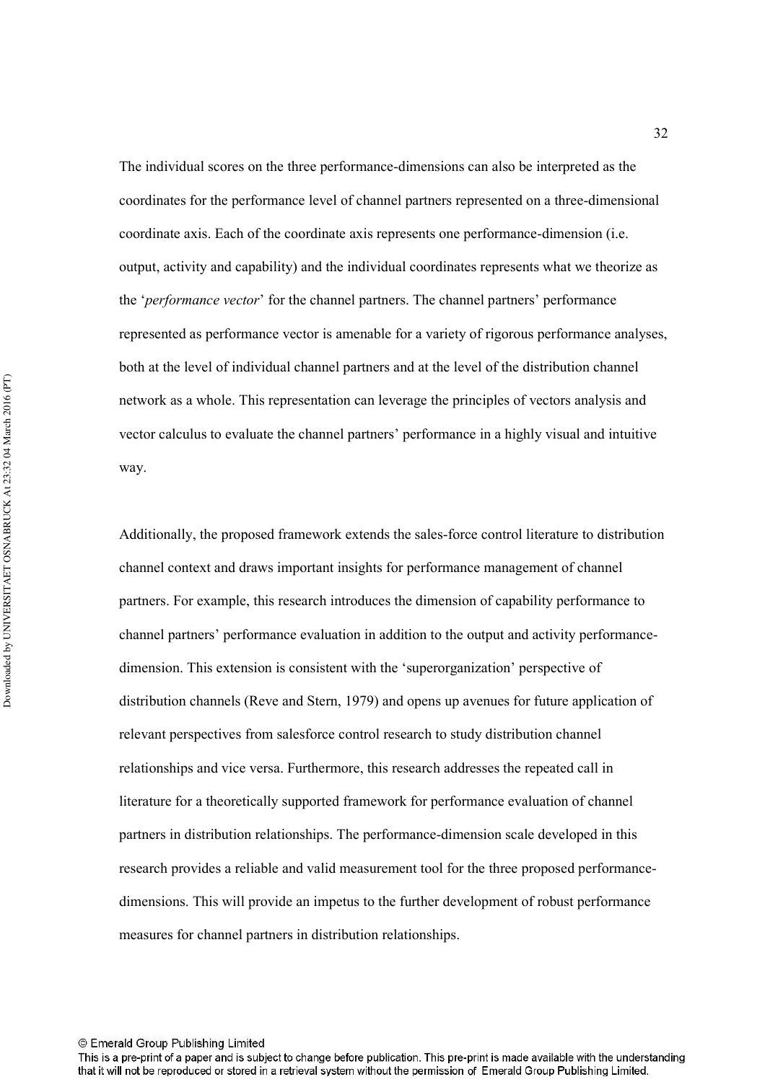The individual scores on the three performance-dimensions can also be interpreted as the coordinates for the performance level of channel partners represented on a three-dimensional coordinate axis. Each of the coordinate axis represents one performance-dimension (i.e. output, activity and capability) and the individual coordinates represents what we theorize as the '*performance vector*' for the channel partners. The channel partners' performance represented as performance vector is amenable for a variety of rigorous performance analyses, both at the level of individual channel partners and at the level of the distribution channel network as a whole. This representation can leverage the principles of vectors analysis and vector calculus to evaluate the channel partners' performance in a highly visual and intuitive way.

Additionally, the proposed framework extends the sales-force control literature to distribution channel context and draws important insights for performance management of channel partners. For example, this research introduces the dimension of capability performance to channel partners' performance evaluation in addition to the output and activity performancedimension. This extension is consistent with the 'superorganization' perspective of distribution channels (Reve and Stern, 1979) and opens up avenues for future application of relevant perspectives from salesforce control research to study distribution channel relationships and vice versa. Furthermore, this research addresses the repeated call in literature for a theoretically supported framework for performance evaluation of channel partners in distribution relationships. The performance-dimension scale developed in this research provides a reliable and valid measurement tool for the three proposed performancedimensions. This will provide an impetus to the further development of robust performance measures for channel partners in distribution relationships.

© Emerald Group Publishing Limited

32

This is a pre-print of a paper and is subject to change before publication. This pre-print is made available with the understanding that it will not be reproduced or stored in a retrieval system without the permission of Emerald Group Publishing Limited.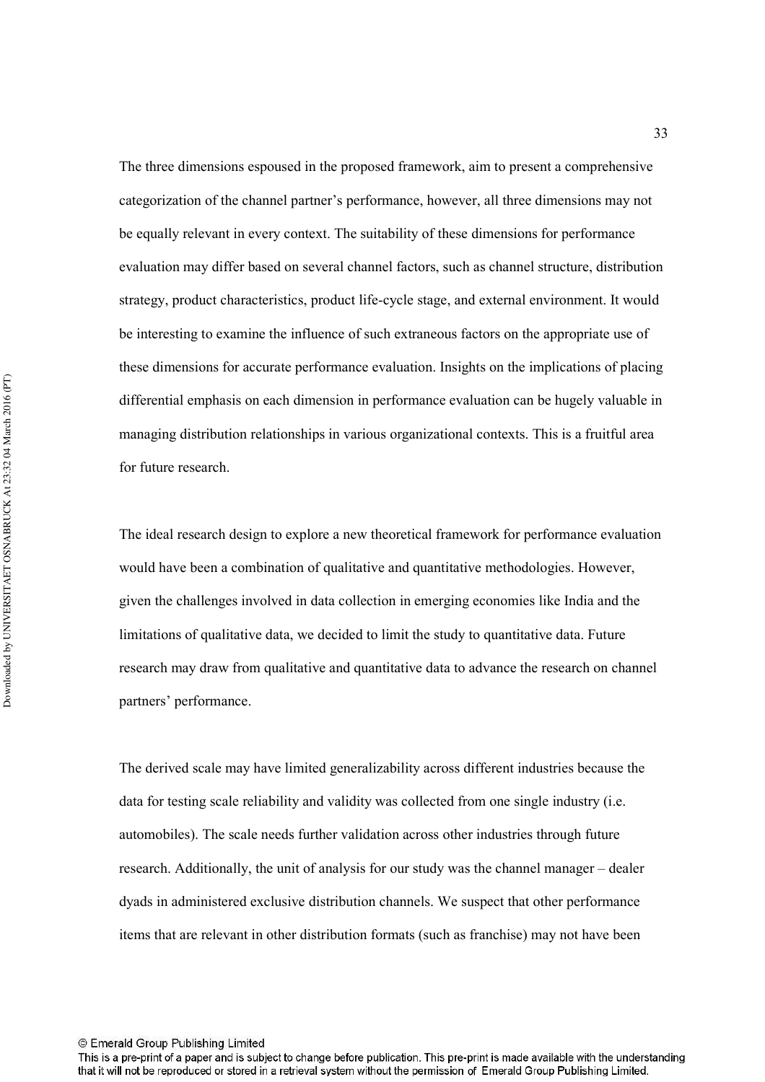The three dimensions espoused in the proposed framework, aim to present a comprehensive categorization of the channel partner's performance, however, all three dimensions may not be equally relevant in every context. The suitability of these dimensions for performance evaluation may differ based on several channel factors, such as channel structure, distribution strategy, product characteristics, product life-cycle stage, and external environment. It would be interesting to examine the influence of such extraneous factors on the appropriate use of these dimensions for accurate performance evaluation. Insights on the implications of placing differential emphasis on each dimension in performance evaluation can be hugely valuable in managing distribution relationships in various organizational contexts. This is a fruitful area for future research.

The ideal research design to explore a new theoretical framework for performance evaluation would have been a combination of qualitative and quantitative methodologies. However, given the challenges involved in data collection in emerging economies like India and the limitations of qualitative data, we decided to limit the study to quantitative data. Future research may draw from qualitative and quantitative data to advance the research on channel partners' performance.

The derived scale may have limited generalizability across different industries because the data for testing scale reliability and validity was collected from one single industry (i.e. automobiles). The scale needs further validation across other industries through future research. Additionally, the unit of analysis for our study was the channel manager – dealer dyads in administered exclusive distribution channels. We suspect that other performance items that are relevant in other distribution formats (such as franchise) may not have been

This is a pre-print of a paper and is subject to change before publication. This pre-print is made available with the understanding that it will not be reproduced or stored in a retrieval system without the permission of Emerald Group Publishing Limited.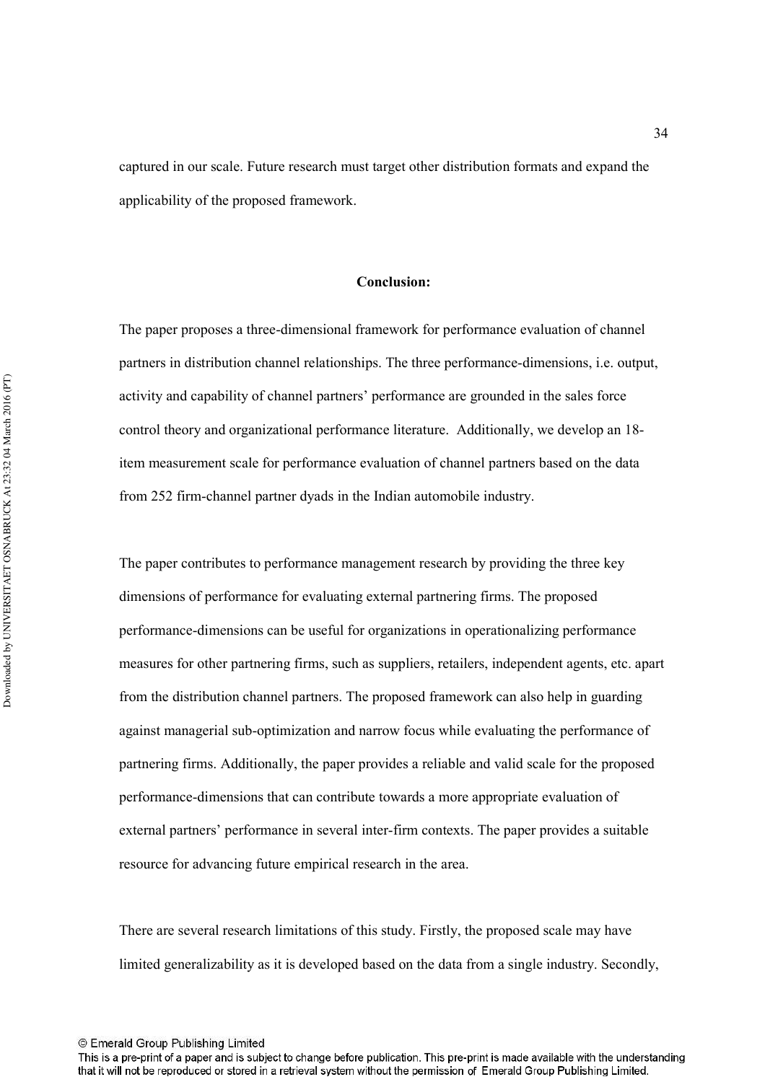captured in our scale. Future research must target other distribution formats and expand the applicability of the proposed framework.

#### **Conclusion:**

The paper proposes a three-dimensional framework for performance evaluation of channel partners in distribution channel relationships. The three performance-dimensions, i.e. output, activity and capability of channel partners' performance are grounded in the sales force control theory and organizational performance literature. Additionally, we develop an 181 item measurement scale for performance evaluation of channel partners based on the data from 252 firm-channel partner dyads in the Indian automobile industry.

The paper contributes to performance management research by providing the three key dimensions of performance for evaluating external partnering firms. The proposed performance-dimensions can be useful for organizations in operationalizing performance measures for other partnering firms, such as suppliers, retailers, independent agents, etc. apart from the distribution channel partners. The proposed framework can also help in guarding against managerial sub-optimization and narrow focus while evaluating the performance of partnering firms. Additionally, the paper provides a reliable and valid scale for the proposed performance-dimensions that can contribute towards a more appropriate evaluation of external partners' performance in several inter-firm contexts. The paper provides a suitable resource for advancing future empirical research in the area.

There are several research limitations of this study. Firstly, the proposed scale may have limited generalizability as it is developed based on the data from a single industry. Secondly,

This is a pre-print of a paper and is subject to change before publication. This pre-print is made available with the understanding that it will not be reproduced or stored in a retrieval system without the permission of Emerald Group Publishing Limited.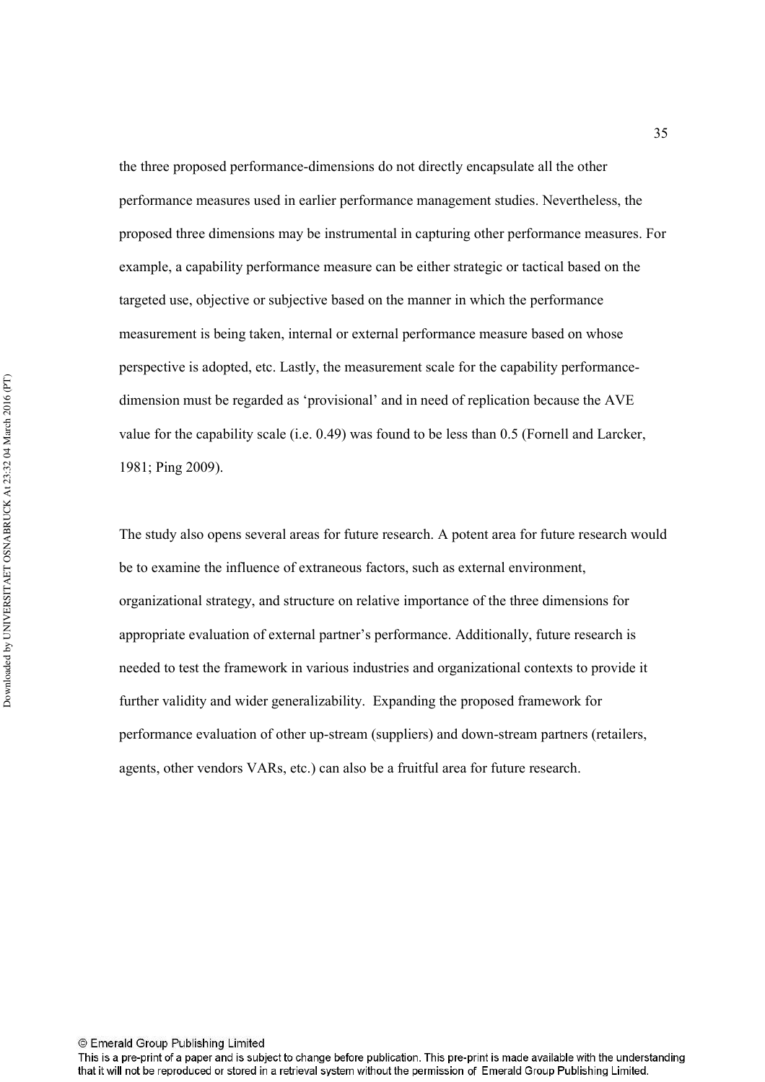the three proposed performance-dimensions do not directly encapsulate all the other performance measures used in earlier performance management studies. Nevertheless, the proposed three dimensions may be instrumental in capturing other performance measures. For example, a capability performance measure can be either strategic or tactical based on the targeted use, objective or subjective based on the manner in which the performance measurement is being taken, internal or external performance measure based on whose perspective is adopted, etc. Lastly, the measurement scale for the capability performance1 dimension must be regarded as 'provisional' and in need of replication because the AVE value for the capability scale (i.e. 0.49) was found to be less than 0.5 (Fornell and Larcker, 1981; Ping 2009).

The study also opens several areas for future research. A potent area for future research would be to examine the influence of extraneous factors, such as external environment, organizational strategy, and structure on relative importance of the three dimensions for appropriate evaluation of external partner's performance. Additionally, future research is needed to test the framework in various industries and organizational contexts to provide it further validity and wider generalizability. Expanding the proposed framework for performance evaluation of other up-stream (suppliers) and down-stream partners (retailers, agents, other vendors VARs, etc.) can also be a fruitful area for future research.

This is a pre-print of a paper and is subject to change before publication. This pre-print is made available with the understanding that it will not be reproduced or stored in a retrieval system without the permission of Emerald Group Publishing Limited.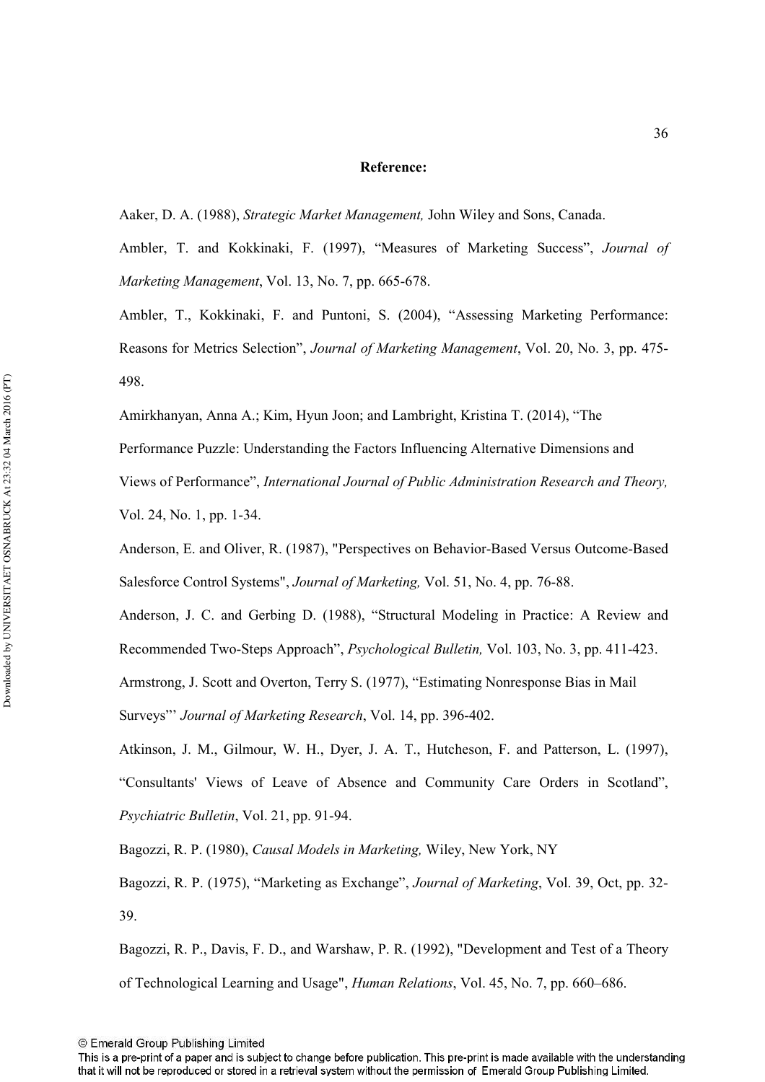#### Reference:

Aaker, D. A. (1988), *Strategic Market Management*, John Wiley and Sons, Canada.

Ambler, T. and Kokkinaki, F. (1997), "Measures of Marketing Success", *Journal of Marketing Management, Vol. 13, No. 7, pp. 665-678.* 

Ambler, T., Kokkinaki, F. and Puntoni, S. (2004), "Assessing Marketing Performance: Reasons for Metrics Selection", *Journal of Marketing Management*, Vol. 20, No. 3, pp. 475-498.

Amirkhanyan, Anna A.; Kim, Hyun Joon; and Lambright, Kristina T. (2014), "The

Performance Puzzle: Understanding the Factors Influencing Alternative Dimensions and Views of Performance", International Journal of Public Administration Research and Theory,

Vol. 24, No. 1, pp. 1-34.

Anderson, E. and Oliver, R. (1987), "Perspectives on Behavior-Based Versus Outcome-Based Salesforce Control Systems", *Journal of Marketing*, Vol. 51, No. 4, pp. 76-88.

Anderson, J. C. and Gerbing D. (1988), "Structural Modeling in Practice: A Review and Recommended Two-Steps Approach", *Psychological Bulletin*, Vol. 103, No. 3, pp. 411-423.

Armstrong, J. Scott and Overton, Terry S. (1977), "Estimating Nonresponse Bias in Mail

Surveys"' *Journal of Marketing Research*, Vol. 14, pp. 396-402.

Atkinson, J. M., Gilmour, W. H., Dyer, J. A. T., Hutcheson, F. and Patterson, L. (1997), "Consultants' Views of Leave of Absence and Community Care Orders in Scotland", Psychiatric Bulletin, Vol. 21, pp. 91-94.

Bagozzi, R. P. (1980), *Causal Models in Marketing*, Wiley, New York, NY

Bagozzi, R. P. (1975), "Marketing as Exchange", *Journal of Marketing*, Vol. 39, Oct, pp. 32-39.

Bagozzi, R. P., Davis, F. D., and Warshaw, P. R. (1992), "Development and Test of a Theory of Technological Learning and Usage", *Human Relations*, Vol. 45, No. 7, pp. 660–686.

This is a pre-print of a paper and is subject to change before publication. This pre-print is made available with the understanding that it will not be reproduced or stored in a retrieval system without the permission of Emerald Group Publishing Limited.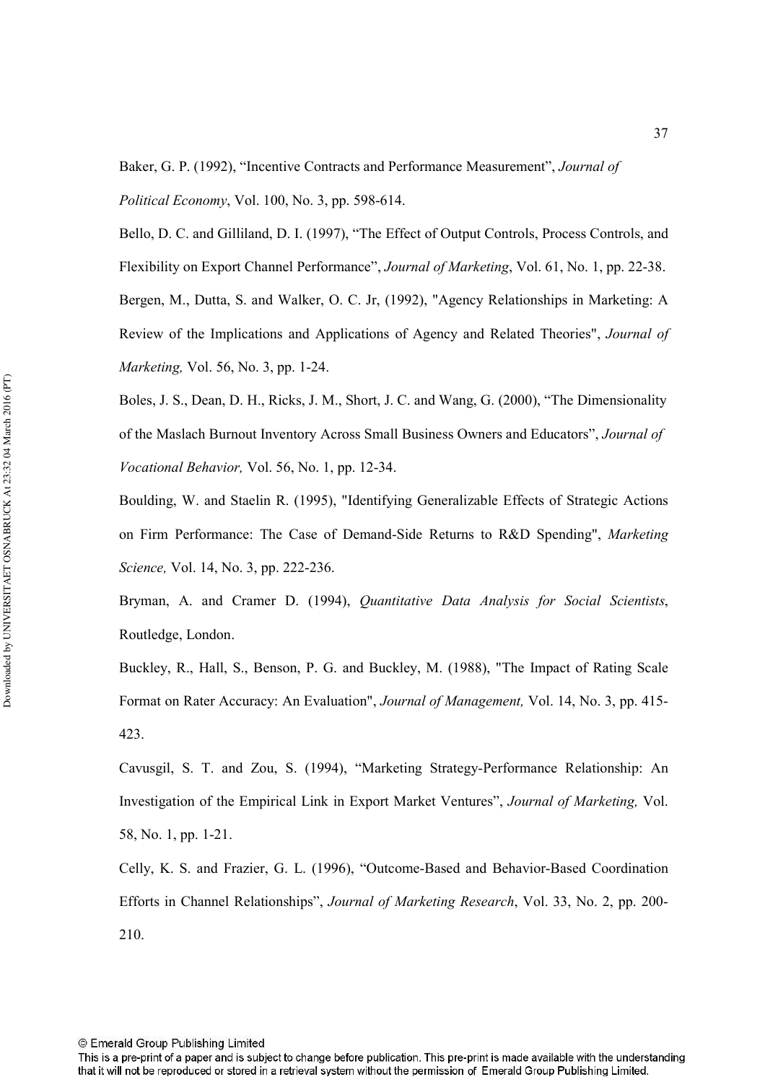Baker, G. P. (1992), "Incentive Contracts and Performance Measurement", *Journal of Political Economy*, Vol. 100, No. 3, pp. 598-614.

Bello, D. C. and Gilliland, D. I. (1997), "The Effect of Output Controls, Process Controls, and Flexibility on Export Channel Performance", *Journal of Marketing*, Vol. 61, No. 1, pp. 22-38. Bergen, M., Dutta, S. and Walker, O. C. Jr, (1992), "Agency Relationships in Marketing: A Review of the Implications and Applications of Agency and Related Theories", *Journal of Marketing, Vol. 56, No. 3, pp. 1-24.* 

Boles, J. S., Dean, D. H., Ricks, J. M., Short, J. C. and Wang, G. (2000), "The Dimensionality of the Maslach Burnout Inventory Across Small Business Owners and Educators", Journal of *Vocational Behavior, Vol. 56, No. 1, pp. 12-34.* 

Boulding, W. and Staelin R. (1995), "Identifying Generalizable Effects of Strategic Actions on Firm Performance: The Case of Demand-Side Returns to R&D Spending", *Marketing Science*, Vol. 14, No. 3, pp. 222-236.

Bryman, A. and Cramer D. (1994), *Quantitative Data Analysis for Social Scientists*, Routledge, London.

Buckley, R., Hall, S., Benson, P. G. and Buckley, M. (1988), "The Impact of Rating Scale Format on Rater Accuracy: An Evaluation", *Journal of Management*, Vol. 14, No. 3, pp. 415-423.

Cavusgil, S. T. and Zou, S. (1994), "Marketing Strategy-Performance Relationship: An Investigation of the Empirical Link in Export Market Ventures", *Journal of Marketing*, Vol. 58, No. 1, pp. 1-21.

Celly, K. S. and Frazier, G. L. (1996), "Outcome-Based and Behavior-Based Coordination Efforts in Channel Relationships", *Journal of Marketing Research*, Vol. 33, No. 2, pp. 200-210.

This is a pre-print of a paper and is subject to change before publication. This pre-print is made available with the understanding that it will not be reproduced or stored in a retrieval system without the permission of Emerald Group Publishing Limited.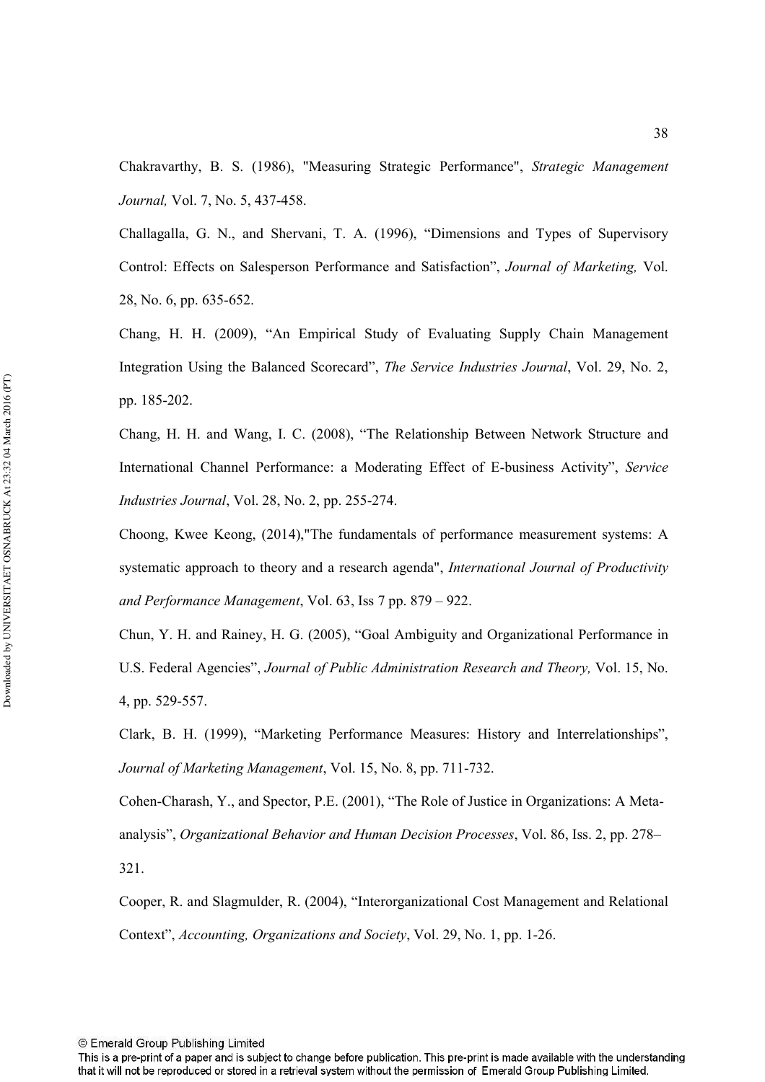Chakravarthy, B. S. (1986), "Measuring Strategic Performance", Strategic Management *Journal, Vol. 7, No. 5, 437-458.* 

Challagalla, G. N., and Shervani, T. A. (1996), "Dimensions and Types of Supervisory Control: Effects on Salesperson Performance and Satisfaction", *Journal of Marketing*, Vol. 28, No. 6, pp. 635-652.

Chang, H. H. (2009), "An Empirical Study of Evaluating Supply Chain Management Integration Using the Balanced Scorecard", *The Service Industries Journal*, Vol. 29, No. 2, pp. 185-202.

Chang, H. H. and Wang, I. C. (2008), "The Relationship Between Network Structure and International Channel Performance: a Moderating Effect of E-business Activity", *Service Industries Journal*, Vol. 28, No. 2, pp. 255-274.

Choong, Kwee Keong, (2014),"The fundamentals of performance measurement systems: A systematic approach to theory and a research agenda", *International Journal of Productivity* and Performance Management, Vol. 63, Iss 7 pp. 879 – 922.

Chun, Y. H. and Rainey, H. G. (2005), "Goal Ambiguity and Organizational Performance in U.S. Federal Agencies", *Journal of Public Administration Research and Theory*, Vol. 15, No. 4, pp. 529-557.

Clark, B. H. (1999), "Marketing Performance Measures: History and Interrelationships", Journal of Marketing Management, Vol. 15, No. 8, pp. 711-732.

Cohen-Charash, Y., and Spector, P.E. (2001), "The Role of Justice in Organizations: A Metaanalysis", *Organizational Behavior and Human Decision Processes*, Vol. 86, Iss. 2, pp. 278– 321.

Cooper, R. and Slagmulder, R. (2004), "Interorganizational Cost Management and Relational Context", Accounting, Organizations and Society, Vol. 29, No. 1, pp. 1-26.

This is a pre-print of a paper and is subject to change before publication. This pre-print is made available with the understanding that it will not be reproduced or stored in a retrieval system without the permission of Emerald Group Publishing Limited.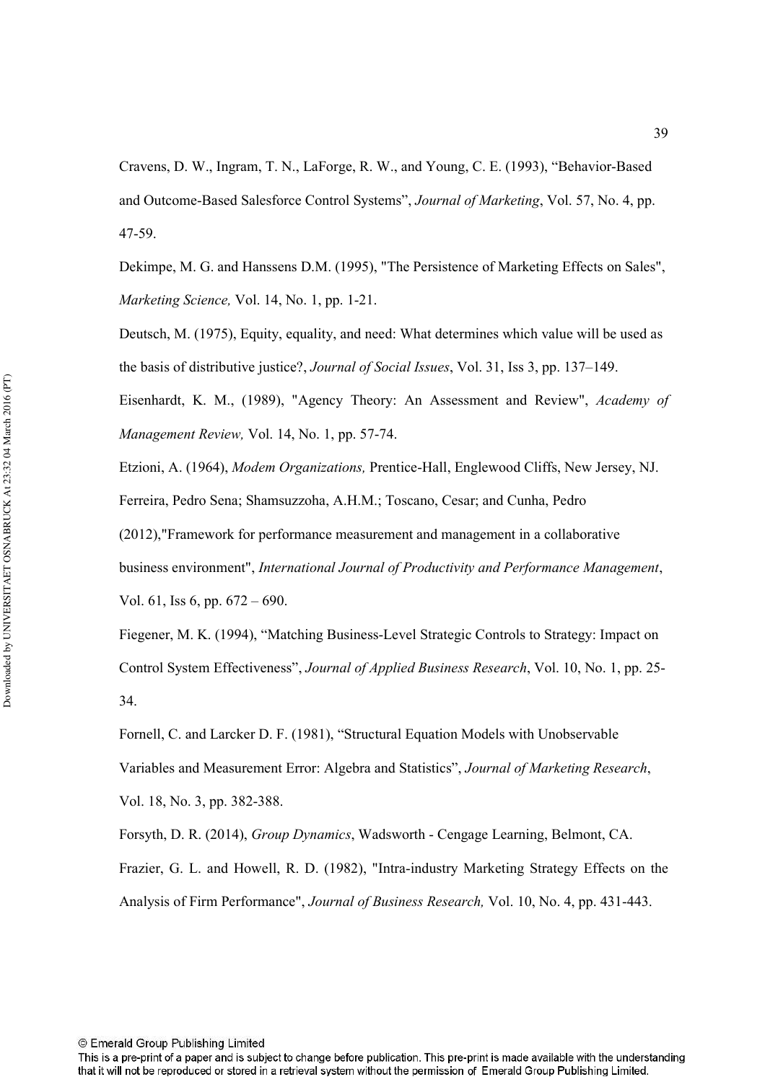Cravens, D. W., Ingram, T. N., LaForge, R. W., and Young, C. E. (1993), "Behavior-Based and Outcome-Based Salesforce Control Systems", *Journal of Marketing*, Vol. 57, No. 4, pp. 47-59

Dekimpe, M. G. and Hanssens D.M. (1995), "The Persistence of Marketing Effects on Sales", *Marketing Science, Vol. 14, No. 1, pp. 1-21.* 

Deutsch, M. (1975), Equity, equality, and need: What determines which value will be used as the basis of distributive justice?, *Journal of Social Issues*, Vol. 31, Iss 3, pp. 137–149.

Eisenhardt, K. M., (1989), "Agency Theory: An Assessment and Review", Academy of *Management Review, Vol. 14, No. 1, pp. 57-74.* 

Etzioni, A. (1964), *Modem Organizations*, Prentice-Hall, Englewood Cliffs, New Jersey, NJ. Ferreira, Pedro Sena; Shamsuzzoha, A.H.M.; Toscano, Cesar; and Cunha, Pedro (2012),"Framework for performance measurement and management in a collaborative business environment", International Journal of Productivity and Performance Management, Vol. 61, Iss 6, pp. 672 – 690.

Fiegener, M. K. (1994), "Matching Business-Level Strategic Controls to Strategy: Impact on Control System Effectiveness", *Journal of Applied Business Research*, Vol. 10, No. 1, pp. 25-34.

Fornell, C. and Larcker D. F. (1981), "Structural Equation Models with Unobservable Variables and Measurement Error: Algebra and Statistics", Journal of Marketing Research, Vol. 18, No. 3, pp. 382-388.

Forsyth, D. R. (2014), *Group Dynamics*, Wadsworth - Cengage Learning, Belmont, CA. Frazier, G. L. and Howell, R. D. (1982), "Intra-industry Marketing Strategy Effects on the Analysis of Firm Performance", *Journal of Business Research*, Vol. 10, No. 4, pp. 431-443.

© Emerald Group Publishing Limited

This is a pre-print of a paper and is subject to change before publication. This pre-print is made available with the understanding that it will not be reproduced or stored in a retrieval system without the permission of Emerald Group Publishing Limited.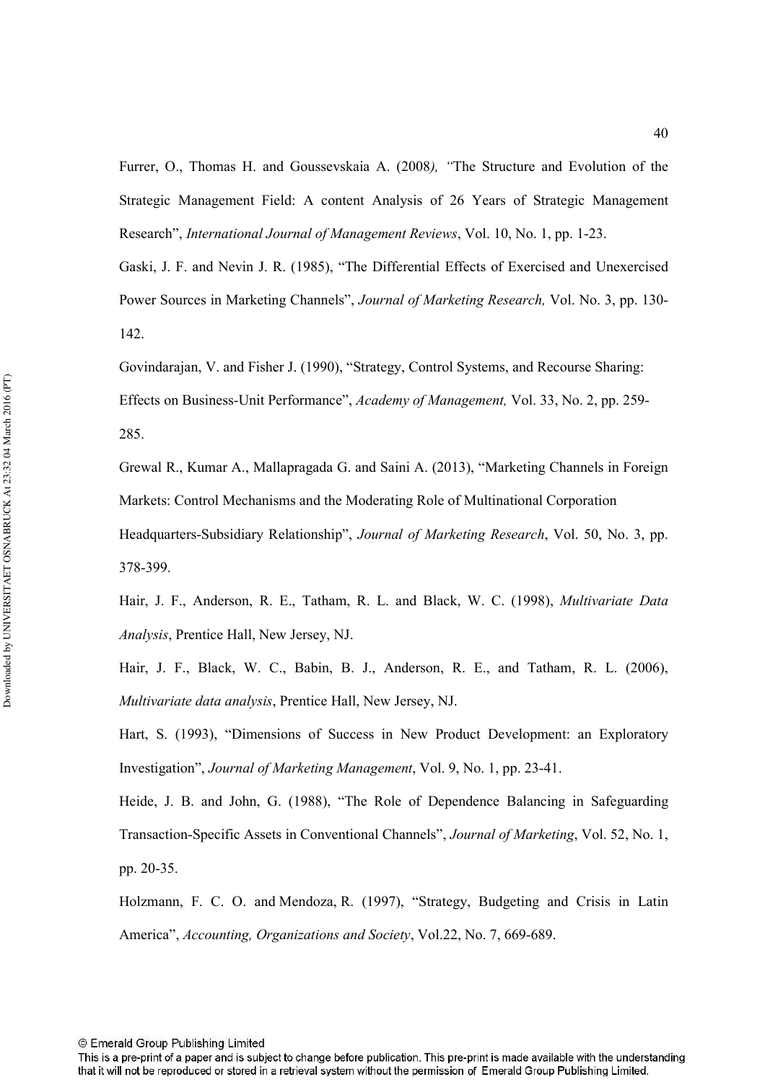Furrer, O., Thomas H. and Goussevskaia A. (2008), "The Structure and Evolution of the Strategic Management Field: A content Analysis of 26 Years of Strategic Management Research", International Journal of Management Reviews, Vol. 10, No. 1, pp. 1-23.

Gaski, J. F. and Nevin J. R. (1985), "The Differential Effects of Exercised and Unexercised Power Sources in Marketing Channels", *Journal of Marketing Research*, Vol. No. 3, pp. 130-142.

Govindarajan, V. and Fisher J. (1990), "Strategy, Control Systems, and Recourse Sharing: Effects on Business-Unit Performance", *Academy of Management*, Vol. 33, No. 2, pp. 259-285.

Grewal R., Kumar A., Mallapragada G. and Saini A. (2013), "Marketing Channels in Foreign Markets: Control Mechanisms and the Moderating Role of Multinational Corporation Headquarters-Subsidiary Relationship", *Journal of Marketing Research*, Vol. 50, No. 3, pp. 378-399.

Hair, J. F., Anderson, R. E., Tatham, R. L. and Black, W. C. (1998), *Multivariate Data Analysis*, Prentice Hall, New Jersey, NJ.

Hair, J. F., Black, W. C., Babin, B. J., Anderson, R. E., and Tatham, R. L. (2006), *Multivariate data analysis*, Prentice Hall, New Jersey, NJ.

Hart, S. (1993), "Dimensions of Success in New Product Development: an Exploratory Investigation", *Journal of Marketing Management*, Vol. 9, No. 1, pp. 23-41.

Heide, J. B. and John, G. (1988), "The Role of Dependence Balancing in Safeguarding Transaction-Specific Assets in Conventional Channels", *Journal of Marketing*, Vol. 52, No. 1, pp. 20-35.

Holzmann, F. C. O. and Mendoza, R. (1997), "Strategy, Budgeting and Crisis in Latin America", Accounting, Organizations and Society, Vol.22, No. 7, 669-689.

This is a pre-print of a paper and is subject to change before publication. This pre-print is made available with the understanding that it will not be reproduced or stored in a retrieval system without the permission of Emerald Group Publishing Limited.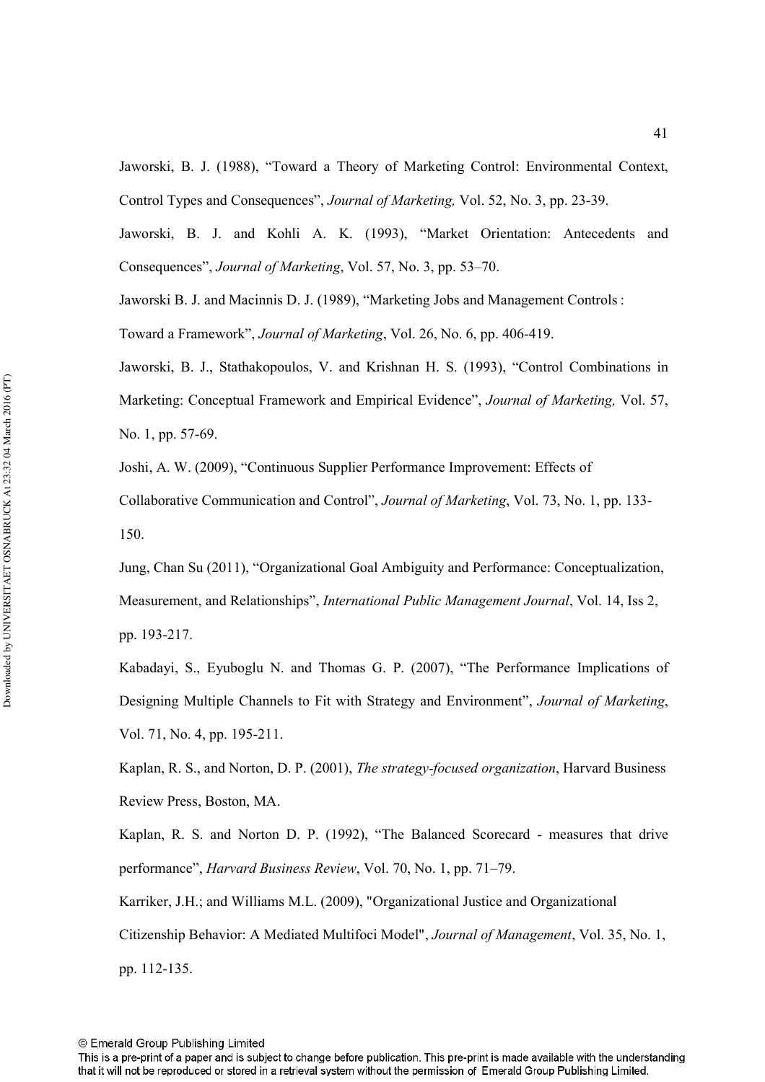Jaworski, B. J. (1988), "Toward a Theory of Marketing Control: Environmental Context, Control Types and Consequences", *Journal of Marketing*, Vol. 52, No. 3, pp. 23-39.

Jaworski, B. J. and Kohli A. K. (1993), "Market Orientation: Antecedents and Consequences", *Journal of Marketing*, Vol. 57, No. 3, pp. 53–70.

Jaworski B. J. and Macinnis D. J. (1989), "Marketing Jobs and Management Controls : Toward a Framework", *Journal of Marketing*, Vol. 26, No. 6, pp. 406-419.

Jaworski, B. J., Stathakopoulos, V. and Krishnan H. S. (1993), "Control Combinations in Marketing: Conceptual Framework and Empirical Evidence", *Journal of Marketing*, Vol. 57, No. 1, pp. 57-69.

Joshi, A. W. (2009), "Continuous Supplier Performance Improvement: Effects of

Collaborative Communication and Control", *Journal of Marketing*, Vol. 73, No. 1, pp. 133-150.

Jung, Chan Su (2011), "Organizational Goal Ambiguity and Performance: Conceptualization, Measurement, and Relationships", *International Public Management Journal*, Vol. 14, Iss 2, pp. 193-217.

Kabadayi, S., Eyuboglu N. and Thomas G. P. (2007), "The Performance Implications of Designing Multiple Channels to Fit with Strategy and Environment", *Journal of Marketing*, Vol. 71, No. 4, pp. 195-211.

Kaplan, R. S., and Norton, D. P. (2001), *The strategy-focused organization*, Harvard Business Review Press, Boston, MA.

Kaplan, R. S. and Norton D. P. (1992), "The Balanced Scorecard - measures that drive performance", *Harvard Business Review*, Vol. 70, No. 1, pp. 71–79.

Karriker, J.H.; and Williams M.L. (2009), "Organizational Justice and Organizational Citizenship Behavior: A Mediated Multifoci Model", *Journal of Management*, Vol. 35, No. 1, pp. 112-135.

This is a pre-print of a paper and is subject to change before publication. This pre-print is made available with the understanding that it will not be reproduced or stored in a retrieval system without the permission of Emerald Group Publishing Limited.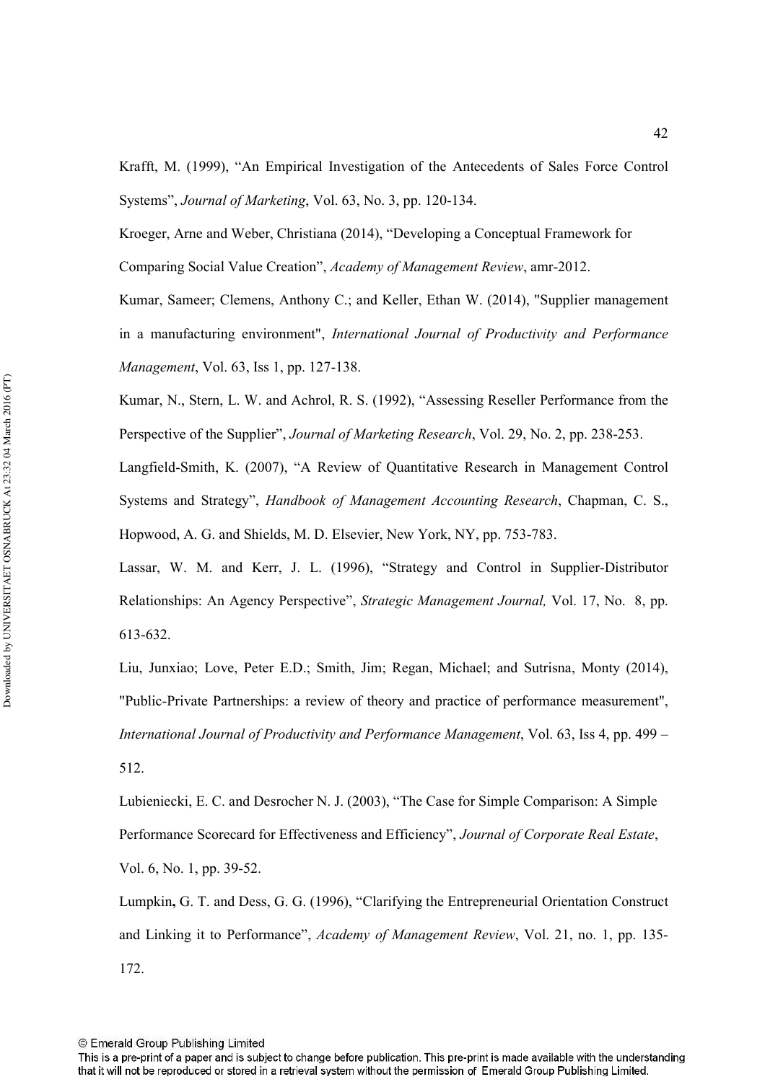Krafft, M. (1999), "An Empirical Investigation of the Antecedents of Sales Force Control Systems", *Journal of Marketing*, Vol. 63, No. 3, pp. 120-134.

Kroeger, Arne and Weber, Christiana (2014), "Developing a Conceptual Framework for Comparing Social Value Creation", Academy of Management Review, amr-2012.

Kumar, Sameer; Clemens, Anthony C.; and Keller, Ethan W. (2014), "Supplier management in a manufacturing environment", International Journal of Productivity and Performance *Management, Vol. 63, Iss 1, pp. 127-138.* 

Kumar, N., Stern, L. W. and Achrol, R. S. (1992), "Assessing Reseller Performance from the Perspective of the Supplier", *Journal of Marketing Research*, Vol. 29, No. 2, pp. 238-253.

Langfield-Smith, K. (2007), "A Review of Quantitative Research in Management Control Systems and Strategy", *Handbook of Management Accounting Research*, Chapman, C. S., Hopwood, A. G. and Shields, M. D. Elsevier, New York, NY, pp. 753-783.

Lassar, W. M. and Kerr, J. L. (1996), "Strategy and Control in Supplier-Distributor Relationships: An Agency Perspective", *Strategic Management Journal*, Vol. 17, No. 8, pp. 613-632.

Liu, Junxiao; Love, Peter E.D.; Smith, Jim; Regan, Michael; and Sutrisna, Monty (2014), "Public-Private Partnerships: a review of theory and practice of performance measurement", International Journal of Productivity and Performance Management, Vol. 63, Iss 4, pp. 499 – 512.

Lubieniecki, E. C. and Desrocher N. J. (2003), "The Case for Simple Comparison: A Simple Performance Scorecard for Effectiveness and Efficiency", Journal of Corporate Real Estate, Vol. 6, No. 1, pp. 39-52.

Lumpkin, G. T. and Dess, G. G. (1996), "Clarifying the Entrepreneurial Orientation Construct and Linking it to Performance", *Academy of Management Review*, Vol. 21, no. 1, pp. 135-172.

<sup>©</sup> Emerald Group Publishing Limited

This is a pre-print of a paper and is subject to change before publication. This pre-print is made available with the understanding that it will not be reproduced or stored in a retrieval system without the permission of Emerald Group Publishing Limited.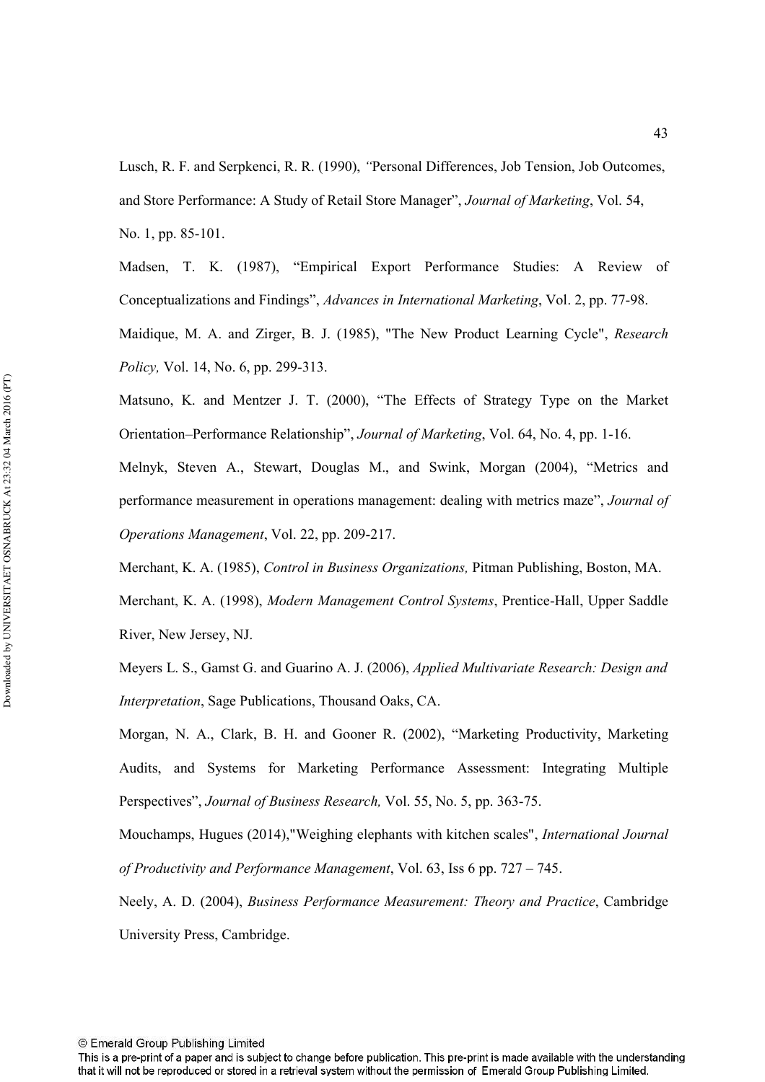Lusch, R. F. and Serpkenci, R. R. (1990), *"Personal Differences*, Job Tension, Job Outcomes, and Store Performance: A Study of Retail Store Manager", *Journal of Marketing*, Vol. 54, No. 1, pp. 85-101.

Madsen, T. K. (1987), "Empirical Export Performance Studies: A Review of Conceptualizations and Findings", *Advances in International Marketing*, Vol. 2, pp. 77-98. Maidique, M. A. and Zirger, B. J. (1985), "The New Product Learning Cycle", *Research Policy*, Vol. 14, No. 6, pp. 299-313.

Matsuno, K. and Mentzer J. T. (2000), "The Effects of Strategy Type on the Market Orientation–Performance Relationship", *Journal of Marketing*, Vol. 64, No. 4, pp. 1-16.

Melnyk, Steven A., Stewart, Douglas M., and Swink, Morgan (2004), "Metrics and performance measurement in operations management: dealing with metrics maze", *Journal of* Operations Management, Vol. 22, pp. 209-217.

Merchant, K. A. (1985), *Control in Business Organizations*, Pitman Publishing, Boston, MA. Merchant, K. A. (1998), *Modern Management Control Systems*, Prentice-Hall, Upper Saddle River, New Jersey, NJ.

Meyers L. S., Gamst G. and Guarino A. J. (2006), *Applied Multivariate Research: Design and Interpretation*, Sage Publications, Thousand Oaks, CA.

Morgan, N. A., Clark, B. H. and Gooner R. (2002), "Marketing Productivity, Marketing Audits, and Systems for Marketing Performance Assessment: Integrating Multiple Perspectives", *Journal of Business Research*, Vol. 55, No. 5, pp. 363-75.

Mouchamps, Hugues (2014),"Weighing elephants with kitchen scales", *International Journal* of Productivity and Performance Management, Vol. 63, Iss 6 pp. 727 – 745.

Neely, A. D. (2004), *Business Performance Measurement: Theory and Practice*, Cambridge University Press, Cambridge.

This is a pre-print of a paper and is subject to change before publication. This pre-print is made available with the understanding that it will not be reproduced or stored in a retrieval system without the permission of Emerald Group Publishing Limited.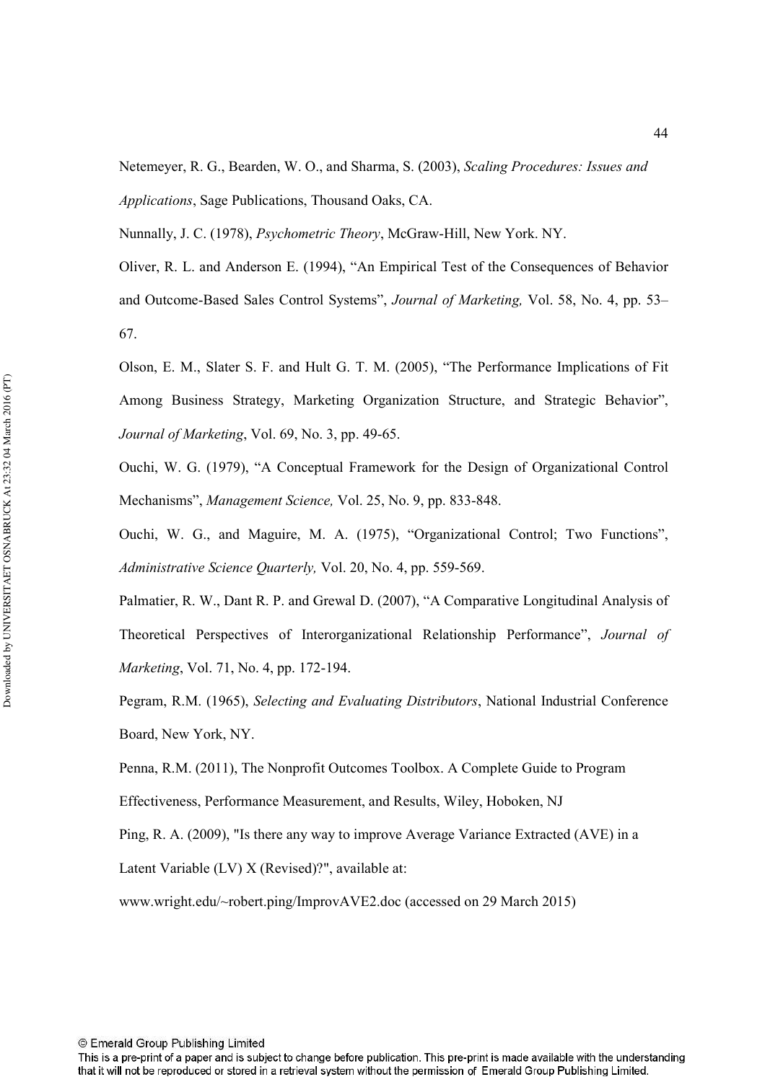Netemeyer, R. G., Bearden, W. O., and Sharma, S. (2003), *Scaling Procedures: Issues and* Applications, Sage Publications, Thousand Oaks, CA.

Nunnally, J. C. (1978), *Psychometric Theory*, McGraw-Hill, New York. NY.

Oliver, R. L. and Anderson E. (1994), "An Empirical Test of the Consequences of Behavior and Outcome-Based Sales Control Systems", *Journal of Marketing*, Vol. 58, No. 4, pp. 53– 67.

Olson, E. M., Slater S. F. and Hult G. T. M. (2005), "The Performance Implications of Fit Among Business Strategy, Marketing Organization Structure, and Strategic Behavior", *Journal of Marketing*, Vol. 69, No. 3, pp. 49-65.

Ouchi, W. G. (1979), "A Conceptual Framework for the Design of Organizational Control Mechanisms", Management Science, Vol. 25, No. 9, pp. 833-848.

Ouchi, W. G., and Maguire, M. A. (1975), "Organizational Control; Two Functions", Administrative Science Quarterly, Vol. 20, No. 4, pp. 559-569.

Palmatier, R. W., Dant R. P. and Grewal D. (2007), "A Comparative Longitudinal Analysis of Theoretical Perspectives of Interorganizational Relationship Performance", Journal of *Marketing, Vol. 71, No. 4, pp. 172-194.* 

Pegram, R.M. (1965), Selecting and Evaluating Distributors, National Industrial Conference Board, New York, NY.

Penna, R.M. (2011), The Nonprofit Outcomes Toolbox. A Complete Guide to Program

Effectiveness, Performance Measurement, and Results, Wiley, Hoboken, NJ

Ping, R. A. (2009), "Is there any way to improve Average Variance Extracted (AVE) in a

Latent Variable (LV) X (Revised)?", available at:

www.wright.edu/~robert.ping/ImprovAVE2.doc (accessed on 29 March 2015)

This is a pre-print of a paper and is subject to change before publication. This pre-print is made available with the understanding that it will not be reproduced or stored in a retrieval system without the permission of Emerald Group Publishing Limited.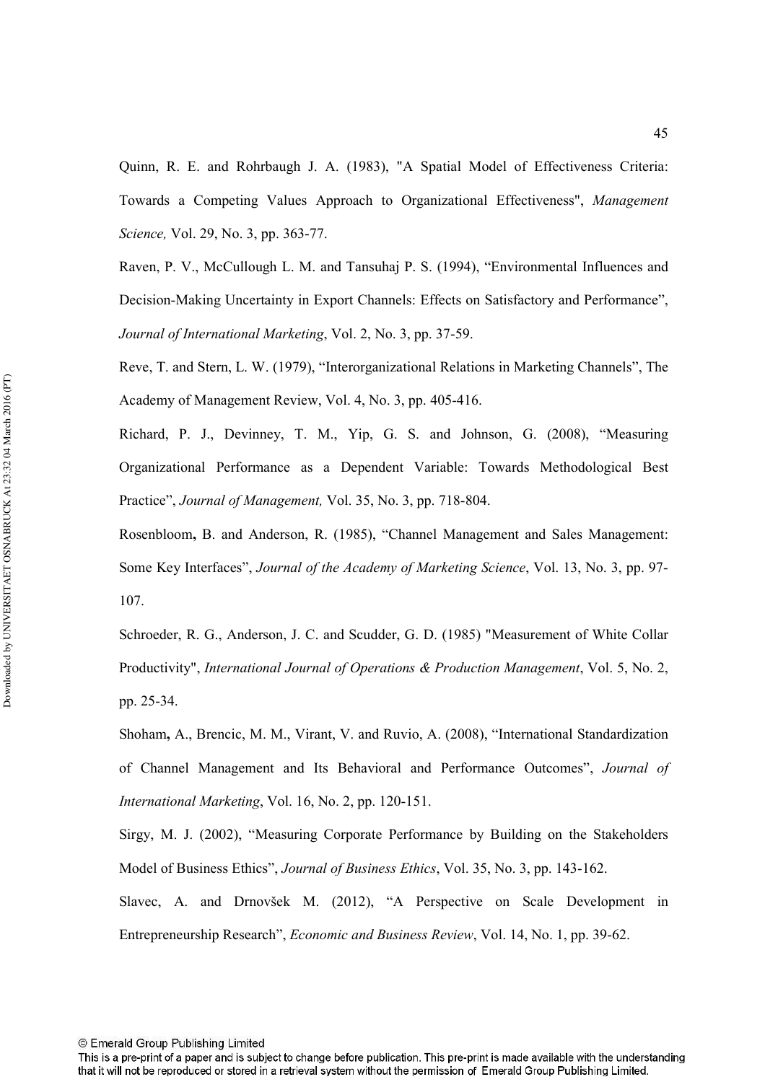Quinn, R. E. and Rohrbaugh J. A. (1983), "A Spatial Model of Effectiveness Criteria: Towards a Competing Values Approach to Organizational Effectiveness", Management *Science*, Vol. 29, No. 3, pp. 363-77.

Raven, P. V., McCullough L. M. and Tansuhaj P. S. (1994), "Environmental Influences and Decision-Making Uncertainty in Export Channels: Effects on Satisfactory and Performance", *Journal of International Marketing, Vol. 2, No. 3, pp. 37-59.* 

Reve, T. and Stern, L. W. (1979), "Interorganizational Relations in Marketing Channels", The Academy of Management Review, Vol. 4, No. 3, pp. 405-416.

Richard, P. J., Devinney, T. M., Yip, G. S. and Johnson, G. (2008), "Measuring Organizational Performance as a Dependent Variable: Towards Methodological Best Practice", *Journal of Management*, Vol. 35, No. 3, pp. 718-804.

Rosenbloom, B. and Anderson, R. (1985), "Channel Management and Sales Management: Some Key Interfaces", *Journal of the Academy of Marketing Science*, Vol. 13, No. 3, pp. 97-107.

Schroeder, R. G., Anderson, J. C. and Scudder, G. D. (1985) "Measurement of White Collar Productivity", *International Journal of Operations & Production Management*, Vol. 5, No. 2, pp. 25-34.

Shoham, A., Brencic, M. M., Virant, V. and Ruvio, A. (2008), "International Standardization of Channel Management and Its Behavioral and Performance Outcomes", Journal of *International Marketing*, Vol. 16, No. 2, pp. 120-151.

Sirgy, M. J. (2002), "Measuring Corporate Performance by Building on the Stakeholders Model of Business Ethics", *Journal of Business Ethics*, Vol. 35, No. 3, pp. 143-162.

Slavec, A. and Drnovšek M. (2012), "A Perspective on Scale Development in Entrepreneurship Research", *Economic and Business Review*, Vol. 14, No. 1, pp. 39-62.

This is a pre-print of a paper and is subject to change before publication. This pre-print is made available with the understanding that it will not be reproduced or stored in a retrieval system without the permission of Emerald Group Publishing Limited.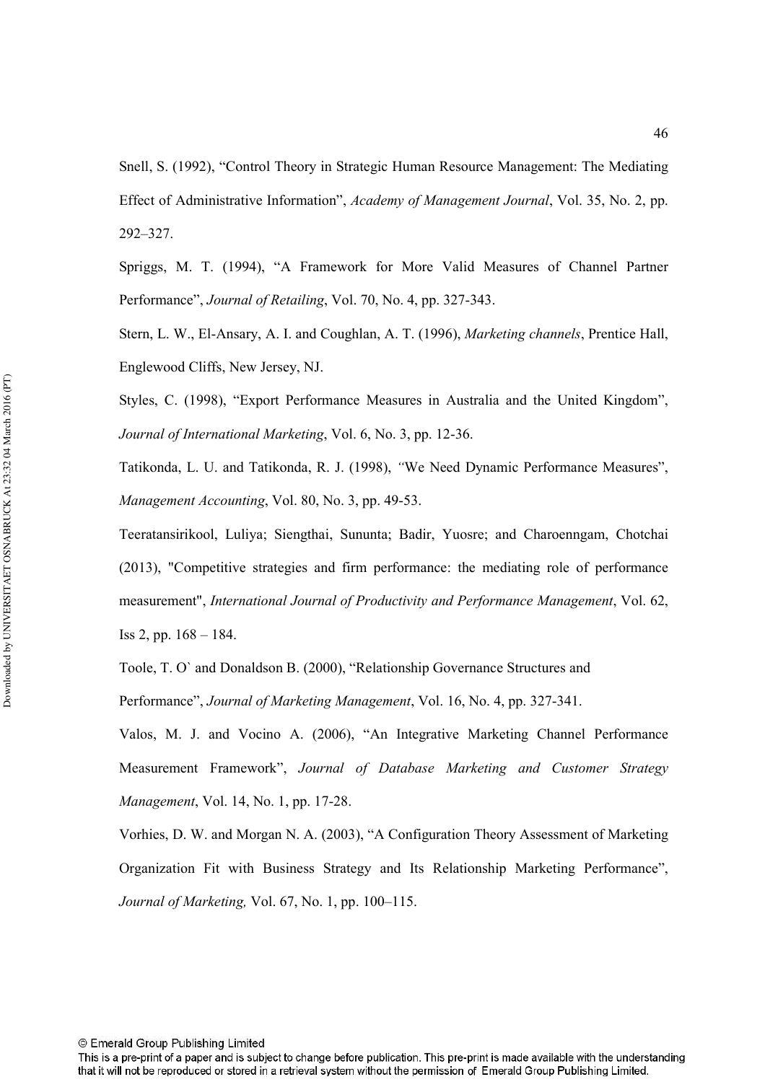Snell, S. (1992), "Control Theory in Strategic Human Resource Management: The Mediating Effect of Administrative Information", *Academy of Management Journal*, Vol. 35, No. 2, pp. 292–327.

Spriggs, M. T. (1994), "A Framework for More Valid Measures of Channel Partner Performance", *Journal of Retailing*, Vol. 70, No. 4, pp. 327-343.

Stern, L. W., El-Ansary, A. I. and Coughlan, A. T. (1996), *Marketing channels*, Prentice Hall, Englewood Cliffs, New Jersey, NJ.

Styles, C. (1998), "Export Performance Measures in Australia and the United Kingdom", *Journal of International Marketing, Vol. 6, No. 3, pp. 12-36.* 

Tatikonda, L. U. and Tatikonda, R. J. (1998),*4*We Need Dynamic Performance Measures", *Management Accounting, Vol. 80, No. 3, pp. 49-53.* 

Teeratansirikool, Luliya; Siengthai, Sununta; Badir, Yuosre; and Charoenngam, Chotchai (2013), "Competitive strategies and firm performance: the mediating role of performance measurement", International Journal of Productivity and Performance Management, Vol. 62, Iss 2, pp. 168 – 184.

Toole, T. O` and Donaldson B. (2000), "Relationship Governance Structures and

Performance", *Journal of Marketing Management*, Vol. 16, No. 4, pp. 327-341.

Valos, M. J. and Vocino A. (2006), "An Integrative Marketing Channel Performance Measurement Framework", Journal of Database Marketing and Customer Strategy *Management*, Vol. 14, No. 1, pp. 17-28.

Vorhies, D. W. and Morgan N. A. (2003), "A Configuration Theory Assessment of Marketing Organization Fit with Business Strategy and Its Relationship Marketing Performance", *Journal of Marketing, Vol. 67, No. 1, pp. 100–115.* 

This is a pre-print of a paper and is subject to change before publication. This pre-print is made available with the understanding that it will not be reproduced or stored in a retrieval system without the permission of Emerald Group Publishing Limited.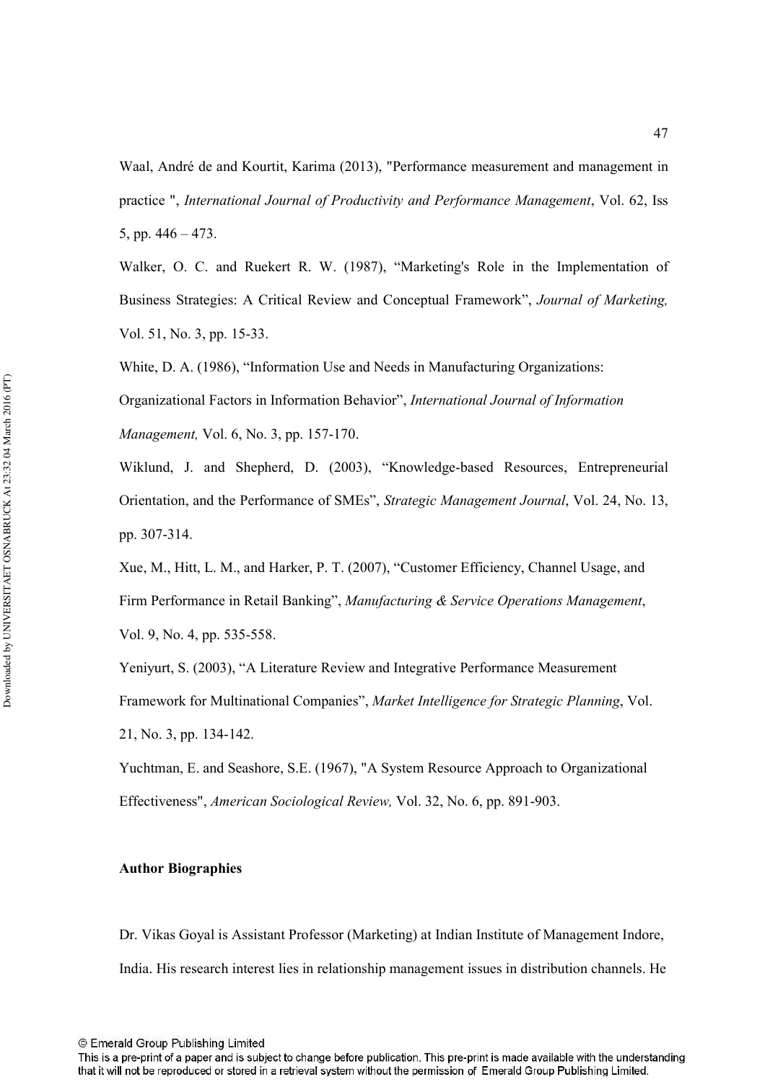Waal, André de and Kourtit, Karima (2013), "Performance measurement and management in practice ", International Journal of Productivity and Performance Management, Vol. 62, Iss 5, pp. 446 – 473.

Walker, O. C. and Ruekert R. W. (1987), "Marketing's Role in the Implementation of Business Strategies: A Critical Review and Conceptual Framework", *Journal of Marketing*, Vol. 51, No. 3, pp. 15-33.

White, D. A. (1986), "Information Use and Needs in Manufacturing Organizations:

Organizational Factors in Information Behavior", International Journal of Information *Management, Vol. 6, No. 3, pp. 157-170.* 

Wiklund, J. and Shepherd, D. (2003), "Knowledge-based Resources, Entrepreneurial Orientation, and the Performance of SMEs", *Strategic Management Journal*, Vol. 24, No. 13, pp. 307-314.

Xue, M., Hitt, L. M., and Harker, P. T. (2007), "Customer Efficiency, Channel Usage, and Firm Performance in Retail Banking", Manufacturing & Service Operations Management, Vol. 9, No. 4, pp. 535-558.

Yeniyurt, S. (2003), "A Literature Review and Integrative Performance Measurement Framework for Multinational Companies", Market Intelligence for Strategic Planning, Vol. 21, No. 3, pp. 1341142.

Yuchtman, E. and Seashore, S.E. (1967), "A System Resource Approach to Organizational Effectiveness", *American Sociological Review*, Vol. 32, No. 6, pp. 891-903.

#### **Author Biographies**

Dr. Vikas Goyal is Assistant Professor (Marketing) at Indian Institute of Management Indore, India. His research interest lies in relationship management issues in distribution channels. He

© Emerald Group Publishing Limited

This is a pre-print of a paper and is subject to change before publication. This pre-print is made available with the understanding that it will not be reproduced or stored in a retrieval system without the permission of Emerald Group Publishing Limited.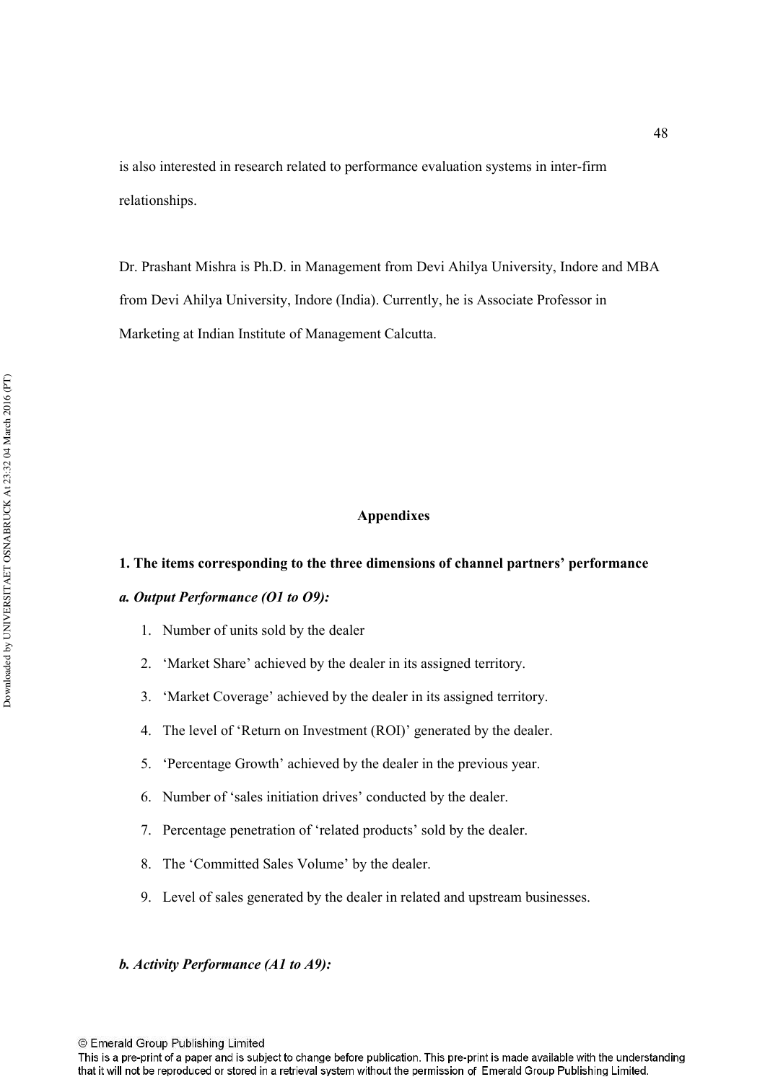is also interested in research related to performance evaluation systems in inter-firm relationships.

Dr. Prashant Mishra is Ph.D. in Management from Devi Ahilya University, Indore and MBA from Devi Ahilya University, Indore (India). Currently, he is Associate Professor in Marketing at Indian Institute of Management Calcutta.

#### **Appendixes**

#### 1. The items corresponding to the three dimensions of channel partners' performance

#### a. Output Performance (O1 to *O9*):

- 1. Number of units sold by the dealer
- 2. 'Market Share' achieved by the dealer in its assigned territory.
- 3. 'Market Coverage' achieved by the dealer in its assigned territory.
- 4. The level of 'Return on Investment (ROI)' generated by the dealer.
- 5. 'Percentage Growth' achieved by the dealer in the previous year.
- 6. Number of 'sales initiation drives' conducted by the dealer.
- 7. Percentage penetration of 'related products' sold by the dealer.
- 8. The 'Committed Sales Volume' by the dealer.
- 9. Level of sales generated by the dealer in related and upstream businesses.

#### **b.** Activity Performance (A1 to A9):

© Emerald Group Publishing Limited

This is a pre-print of a paper and is subject to change before publication. This pre-print is made available with the understanding that it will not be reproduced or stored in a retrieval system without the permission of Emerald Group Publishing Limited.

48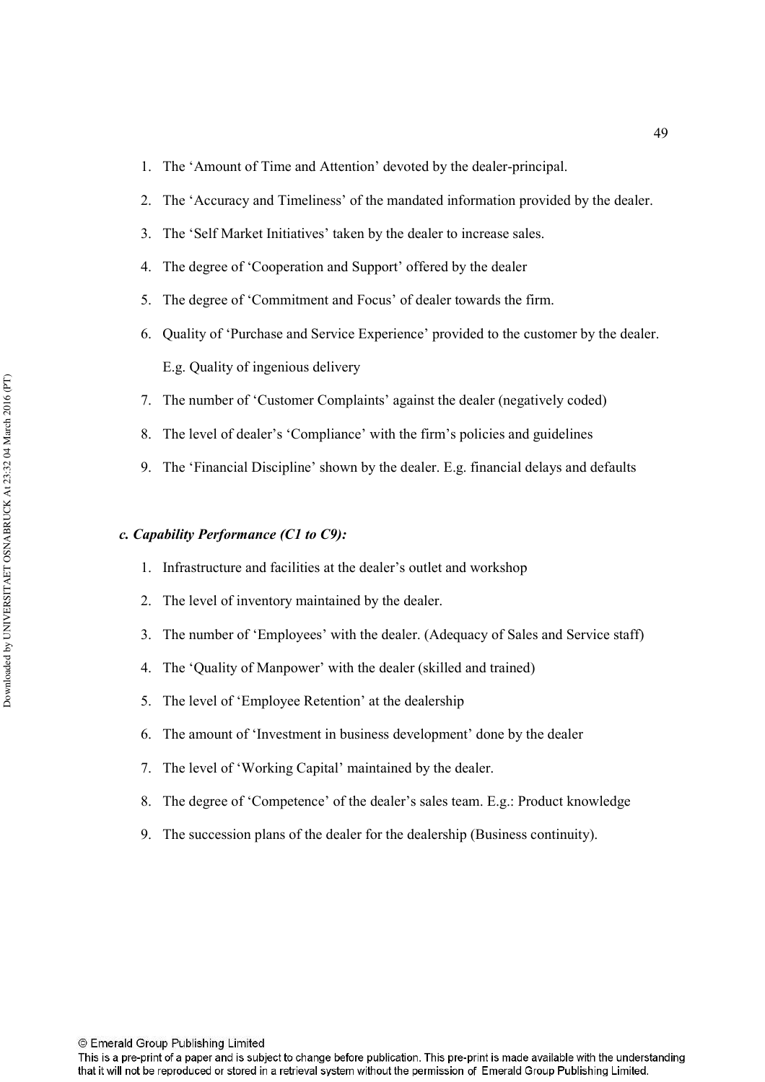- 1. The 'Amount of Time and Attention' devoted by the dealer-principal.
- 2. The 'Accuracy and Timeliness' of the mandated information provided by the dealer.
- 3. The 'Self Market Initiatives' taken by the dealer to increase sales.
- 4. The degree of 'Cooperation and Support' offered by the dealer
- 5. The degree of 'Commitment and Focus' of dealer towards the firm.
- 6. Quality of 'Purchase and Service Experience' provided to the customer by the dealer. E.g. Quality of ingenious delivery
- 7. The number of 'Customer Complaints' against the dealer (negatively coded)
- 8. The level of dealer's 'Compliance' with the firm's policies and guidelines
- 9. The 'Financial Discipline' shown by the dealer. E.g. financial delays and defaults

#### c. Capability Performance (C1 to C9):

- 1. Infrastructure and facilities at the dealer's outlet and workshop
- 2. The level of inventory maintained by the dealer.
- 3. The number of 'Employees' with the dealer. (Adequacy of Sales and Service staff)
- 4. The 'Quality of Manpower' with the dealer (skilled and trained)
- 5. The level of 'Employee Retention' at the dealership
- 6. The amount of 'Investment in business development' done by the dealer
- 7. The level of 'Working Capital' maintained by the dealer.
- 8. The degree of 'Competence' of the dealer's sales team. E.g.: Product knowledge
- 9. The succession plans of the dealer for the dealership (Business continuity).

© Emerald Group Publishing Limited

This is a pre-print of a paper and is subject to change before publication. This pre-print is made available with the understanding that it will not be reproduced or stored in a retrieval system without the permission of Emerald Group Publishing Limited.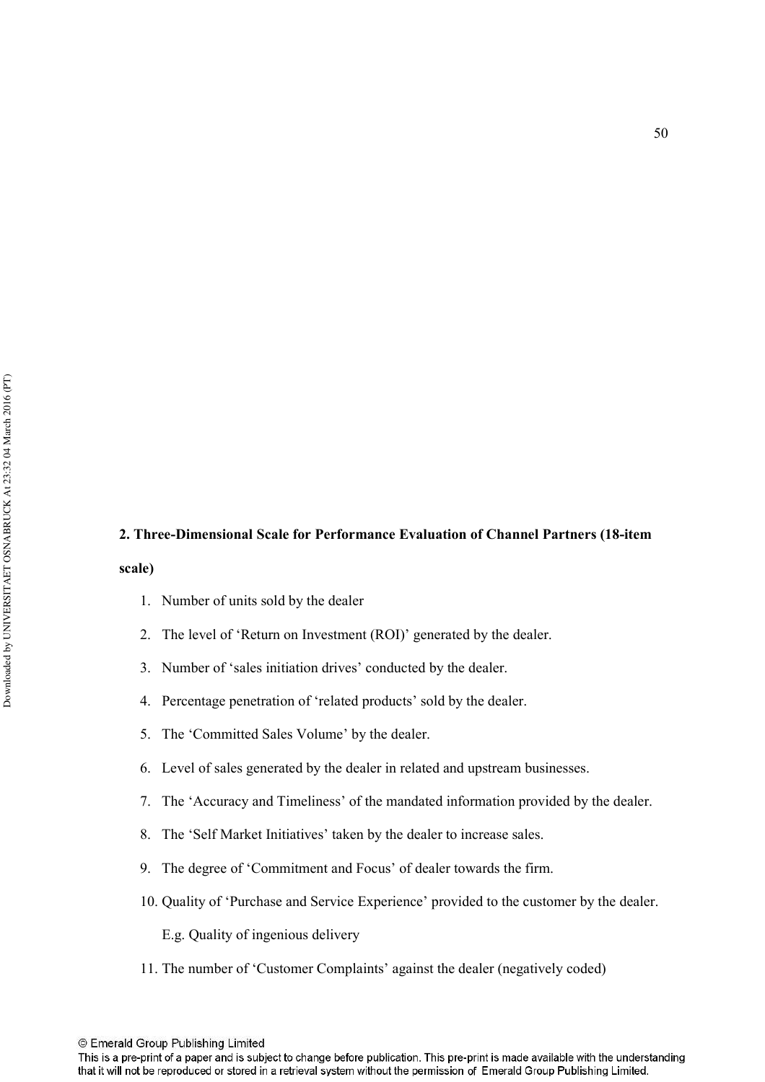#### 2. Three-Dimensional Scale for Performance Evaluation of Channel Partners (18-item

#### scale)

- 1. Number of units sold by the dealer
- 2. The level of 'Return on Investment (ROI)' generated by the dealer.
- 3. Number of 'sales initiation drives' conducted by the dealer.
- 4. Percentage penetration of 'related products' sold by the dealer.
- 5. The 'Committed Sales Volume' by the dealer.
- 6. Level of sales generated by the dealer in related and upstream businesses.
- 7. The 'Accuracy and Timeliness' of the mandated information provided by the dealer.
- 8. The 'Self Market Initiatives' taken by the dealer to increase sales.
- 9. The degree of 'Commitment and Focus' of dealer towards the firm.
- 10. Quality of 'Purchase and Service Experience' provided to the customer by the dealer.

E.g. Quality of ingenious delivery

11. The number of 'Customer Complaints' against the dealer (negatively coded)

© Emerald Group Publishing Limited

This is a pre-print of a paper and is subject to change before publication. This pre-print is made available with the understanding that it will not be reproduced or stored in a retrieval system without the permission of Emerald Group Publishing Limited.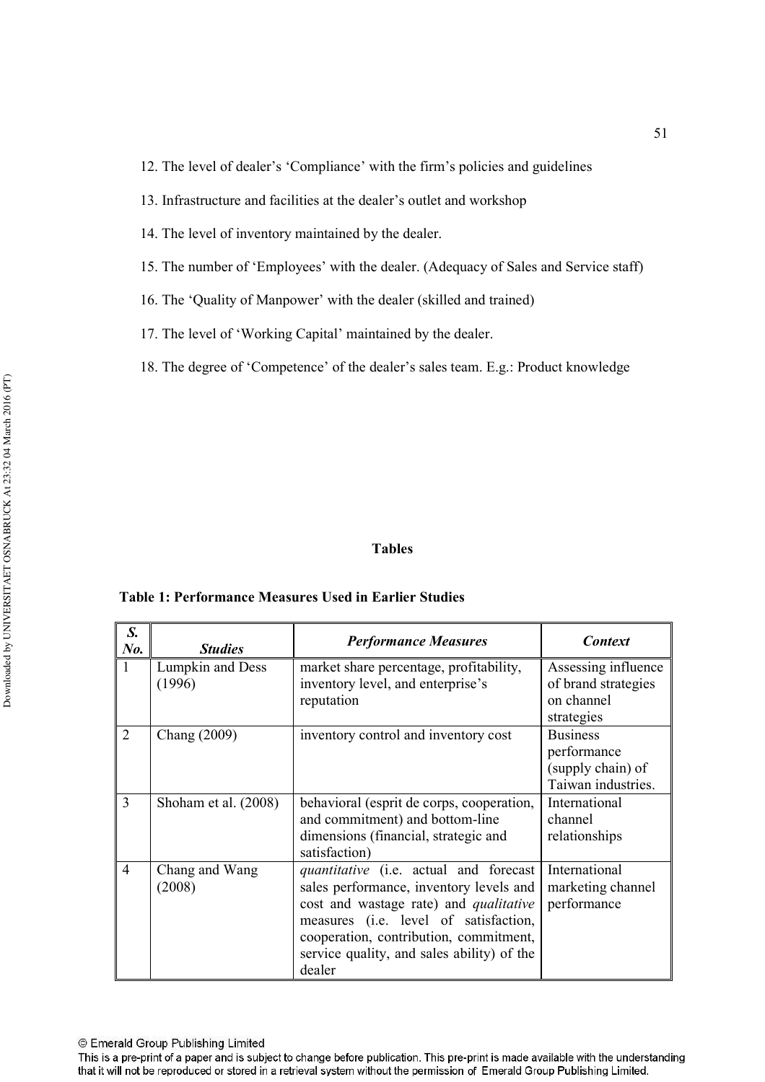13. Infrastructure and facilities at the dealer's outlet and workshop

14. The level of inventory maintained by the dealer.

15. The number of 'Employees' with the dealer. (Adequacy of Sales and Service staff)

16. The 'Quality of Manpower' with the dealer (skilled and trained)

17. The level of 'Working Capital' maintained by the dealer.

18. The degree of 'Competence' of the dealer's sales team. E.g.: Product knowledge

#### **Tables**

#### **Table 1: Performance Measures Used in Earlier Studies**

| S.<br>$N0$ .   | <b>Studies</b>             | <b>Performance Measures</b>                                                                                                                                                                                                                                                   | <b>Context</b>                                                            |
|----------------|----------------------------|-------------------------------------------------------------------------------------------------------------------------------------------------------------------------------------------------------------------------------------------------------------------------------|---------------------------------------------------------------------------|
| $\mathbf{1}$   | Lumpkin and Dess<br>(1996) | market share percentage, profitability,<br>inventory level, and enterprise's<br>reputation                                                                                                                                                                                    | Assessing influence<br>of brand strategies<br>on channel<br>strategies    |
| $\overline{2}$ | Chang (2009)               | inventory control and inventory cost                                                                                                                                                                                                                                          | <b>Business</b><br>performance<br>(supply chain) of<br>Taiwan industries. |
| 3              | Shoham et al. (2008)       | behavioral (esprit de corps, cooperation,<br>and commitment) and bottom-line<br>dimensions (financial, strategic and<br>satisfaction)                                                                                                                                         | International<br>channel<br>relationships                                 |
| $\overline{4}$ | Chang and Wang<br>(2008)   | quantitative (i.e. actual and forecast<br>sales performance, inventory levels and<br>cost and wastage rate) and <i>qualitative</i><br>measures (i.e. level of satisfaction,<br>cooperation, contribution, commitment,<br>service quality, and sales ability) of the<br>dealer | International<br>marketing channel<br>performance                         |

This is a pre-print of a paper and is subject to change before publication. This pre-print is made available with the understanding that it will not be reproduced or stored in a retrieval system without the permission of Emerald Group Publishing Limited.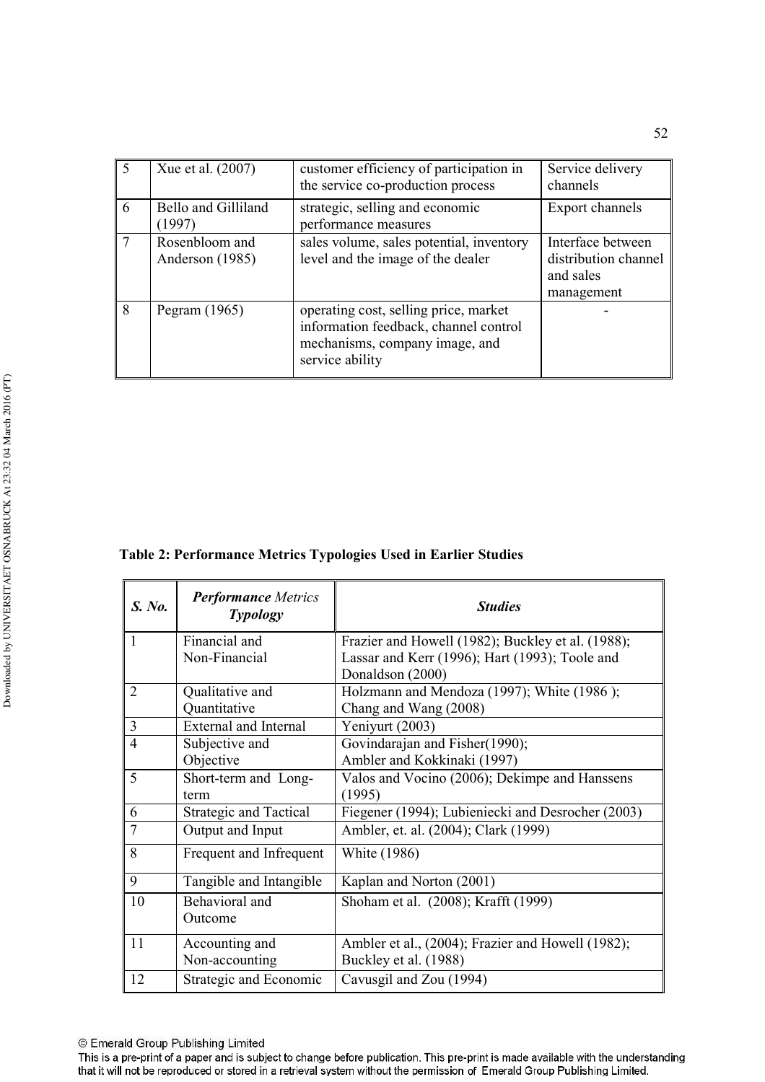|   | Xue et al. (2007)                 | customer efficiency of participation in<br>the service co-production process                                                        | Service delivery<br>channels                                         |
|---|-----------------------------------|-------------------------------------------------------------------------------------------------------------------------------------|----------------------------------------------------------------------|
| 6 | Bello and Gilliland<br>(1997)     | strategic, selling and economic<br>performance measures                                                                             | Export channels                                                      |
|   | Rosenbloom and<br>Anderson (1985) | sales volume, sales potential, inventory<br>level and the image of the dealer                                                       | Interface between<br>distribution channel<br>and sales<br>management |
| 8 | Pegram $(1965)$                   | operating cost, selling price, market<br>information feedback, channel control<br>mechanisms, company image, and<br>service ability |                                                                      |

#### Table 2: Performance Metrics Typologies Used in Earlier Studies

| S. No. | <b>Performance Metrics</b><br><b>Typology</b> | <b>Studies</b>                                    |  |
|--------|-----------------------------------------------|---------------------------------------------------|--|
| 1      | Financial and                                 | Frazier and Howell (1982); Buckley et al. (1988); |  |
|        | Non-Financial                                 | Lassar and Kerr (1996); Hart (1993); Toole and    |  |
|        |                                               | Donaldson (2000)                                  |  |
| 2      | Qualitative and                               | Holzmann and Mendoza (1997); White (1986);        |  |
|        | Quantitative                                  | Chang and Wang (2008)                             |  |
| 3      | <b>External and Internal</b>                  | Yeniyurt (2003)                                   |  |
| 4      | Subjective and                                | Govindarajan and Fisher(1990);                    |  |
|        | Objective                                     | Ambler and Kokkinaki (1997)                       |  |
| 5      | Short-term and Long-                          | Valos and Vocino (2006); Dekimpe and Hanssens     |  |
|        | term                                          | (1995)                                            |  |
| 6      | <b>Strategic and Tactical</b>                 | Fiegener (1994); Lubieniecki and Desrocher (2003) |  |
| 7      | Output and Input                              | Ambler, et. al. (2004); Clark (1999)              |  |
| 8      | Frequent and Infrequent                       | White (1986)                                      |  |
| 9      | Tangible and Intangible                       | Kaplan and Norton (2001)                          |  |
| 10     | Behavioral and                                | Shoham et al. (2008); Krafft (1999)               |  |
|        | Outcome                                       |                                                   |  |
| 11     | Accounting and                                | Ambler et al., (2004); Frazier and Howell (1982); |  |
|        | Non-accounting                                | Buckley et al. (1988)                             |  |
| 12     | Strategic and Economic                        | Cavusgil and Zou (1994)                           |  |

This is a pre-print of a paper and is subject to change before publication. This pre-print is made available with the understanding that it will not be reproduced or stored in a retrieval system without the permission of Emerald Group Publishing Limited.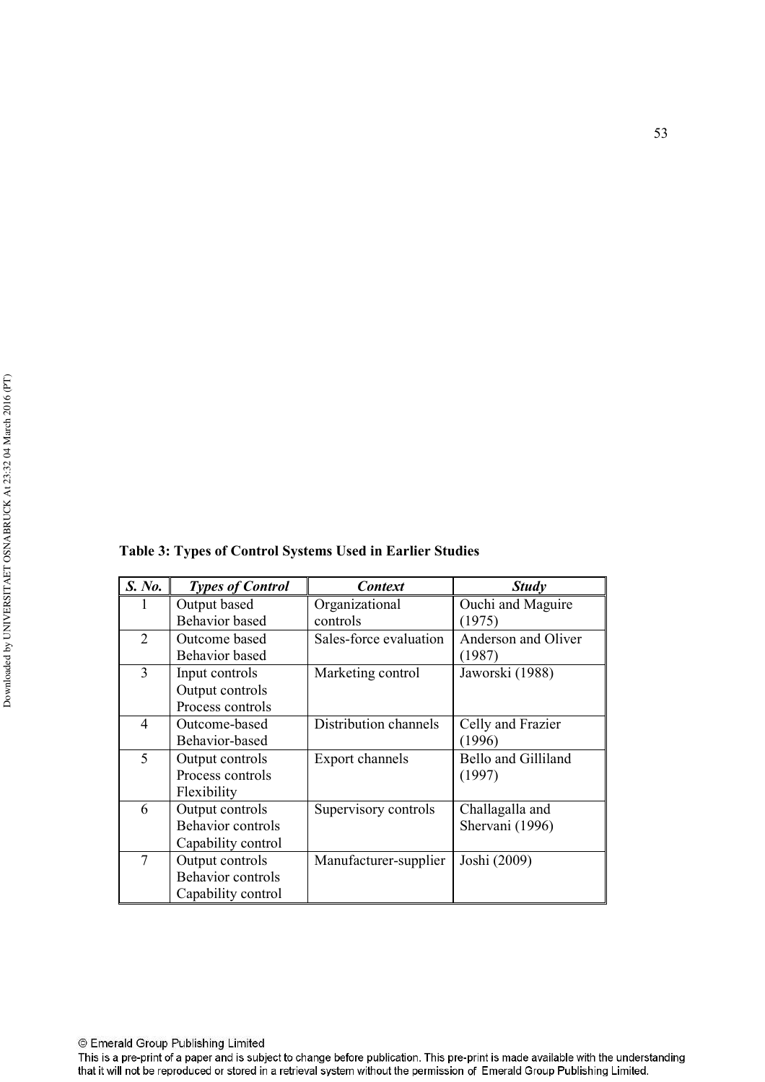|  | Table 3: Types of Control Systems Used in Earlier Studies |
|--|-----------------------------------------------------------|
|  |                                                           |

| S. No.                   | <b>Types of Control</b> | <b>Context</b>         | <b>Study</b>               |
|--------------------------|-------------------------|------------------------|----------------------------|
|                          | Output based            | Organizational         | Ouchi and Maguire          |
|                          | <b>Behavior</b> based   | controls               | (1975)                     |
| $\overline{2}$           | Outcome based           | Sales-force evaluation | Anderson and Oliver        |
|                          | Behavior based          |                        | (1987)                     |
| 3                        | Input controls          | Marketing control      | Jaworski (1988)            |
|                          | Output controls         |                        |                            |
|                          | Process controls        |                        |                            |
| 4                        | Outcome-based           | Distribution channels  | Celly and Frazier          |
|                          | Behavior-based          |                        | (1996)                     |
| $\overline{\mathcal{L}}$ | Output controls         | Export channels        | <b>Bello and Gilliland</b> |
|                          | Process controls        |                        | (1997)                     |
|                          | Flexibility             |                        |                            |
| 6                        | Output controls         | Supervisory controls   | Challagalla and            |
|                          | Behavior controls       |                        | Shervani (1996)            |
|                          | Capability control      |                        |                            |
| 7                        | Output controls         | Manufacturer-supplier  | Joshi (2009)               |
|                          | Behavior controls       |                        |                            |
|                          | Capability control      |                        |                            |

This is a pre-print of a paper and is subject to change before publication. This pre-print is made available with the understanding that it will not be reproduced or stored in a retrieval system without the permission of Emerald Group Publishing Limited.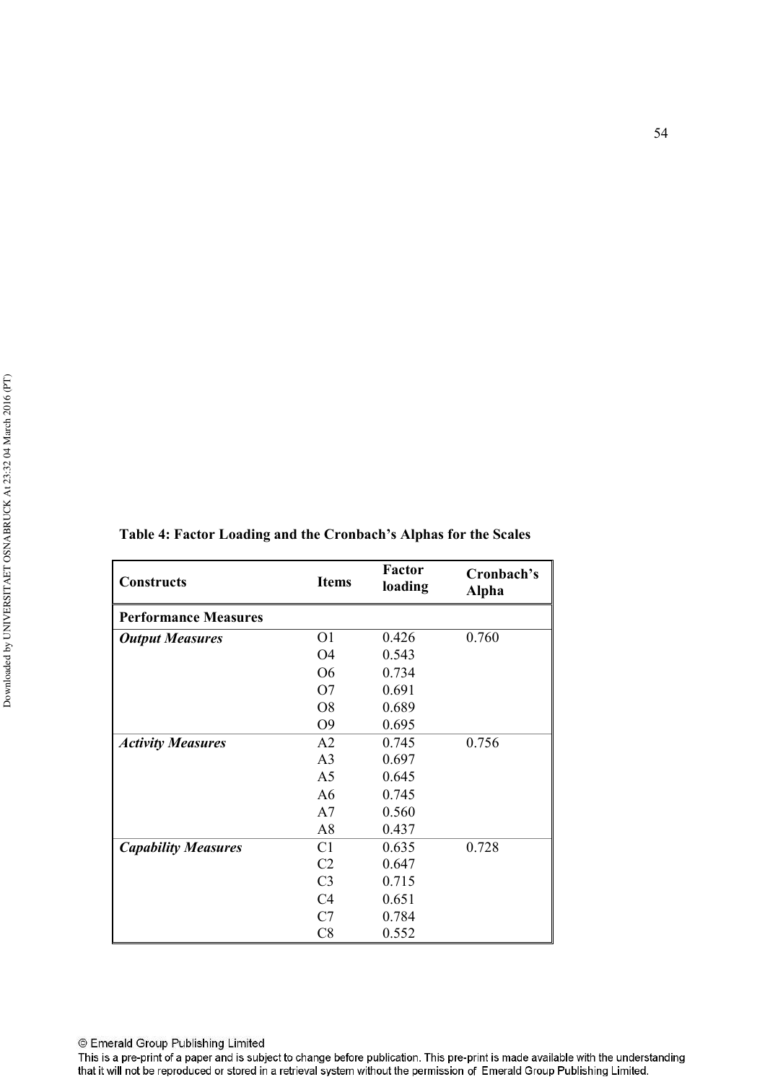| <b>Constructs</b>           | <b>Items</b>   | Factor<br>loading | Cronbach's<br><b>Alpha</b> |
|-----------------------------|----------------|-------------------|----------------------------|
| <b>Performance Measures</b> |                |                   |                            |
| <b>Output Measures</b>      | O <sub>1</sub> | 0.426             | 0.760                      |
|                             | O4             | 0.543             |                            |
|                             | O <sub>6</sub> | 0.734             |                            |
|                             | O7             | 0.691             |                            |
|                             | O <sub>8</sub> | 0.689             |                            |
|                             | O <sub>9</sub> | 0.695             |                            |
| <b>Activity Measures</b>    | A2             | 0.745             | 0.756                      |
|                             | A <sub>3</sub> | 0.697             |                            |
|                             | A <sub>5</sub> | 0.645             |                            |
|                             | A <sub>6</sub> | 0.745             |                            |
|                             | A7             | 0.560             |                            |
|                             | A8             | 0.437             |                            |
| <b>Capability Measures</b>  | C <sub>1</sub> | 0.635             | 0.728                      |
|                             | C <sub>2</sub> | 0.647             |                            |
|                             | C <sub>3</sub> | 0.715             |                            |
|                             | C <sub>4</sub> | 0.651             |                            |
|                             | C7             | 0.784             |                            |
|                             | C8             | 0.552             |                            |

### Table 4: Factor Loading and the Cronbach's Alphas for the Scales

This is a pre-print of a paper and is subject to change before publication. This pre-print is made available with the understanding that it will not be reproduced or stored in a retrieval system without the permission of Emerald Group Publishing Limited.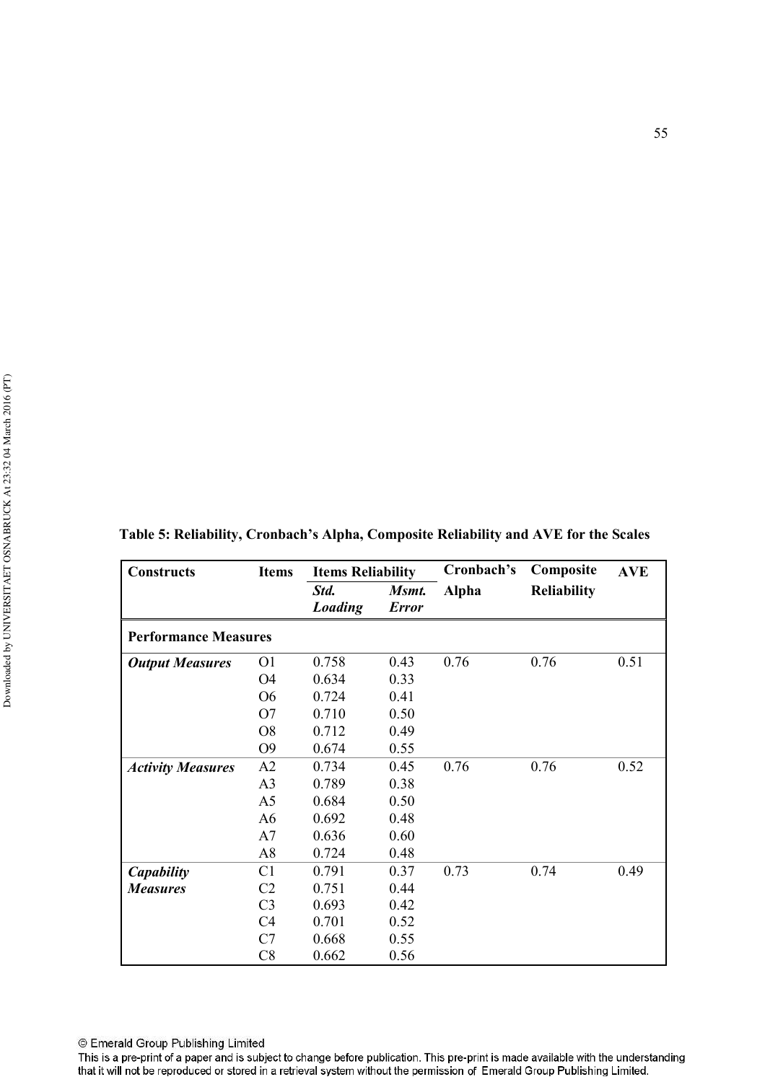| <b>Constructs</b>           | <b>Items</b>   | <b>Items Reliability</b> |                       | Cronbach's | Composite          | <b>AVE</b> |
|-----------------------------|----------------|--------------------------|-----------------------|------------|--------------------|------------|
|                             |                | Std.<br>Loading          | Msmt.<br><b>Error</b> | Alpha      | <b>Reliability</b> |            |
| <b>Performance Measures</b> |                |                          |                       |            |                    |            |
| <b>Output Measures</b>      | O <sub>1</sub> | 0.758                    | 0.43                  | 0.76       | 0.76               | 0.51       |
|                             | O4             | 0.634                    | 0.33                  |            |                    |            |
|                             | <b>O6</b>      | 0.724                    | 0.41                  |            |                    |            |
|                             | O <sub>7</sub> | 0.710                    | 0.50                  |            |                    |            |
|                             | O <sub>8</sub> | 0.712                    | 0.49                  |            |                    |            |
|                             | O <sub>9</sub> | 0.674                    | 0.55                  |            |                    |            |
| <b>Activity Measures</b>    | A2             | 0.734                    | 0.45                  | 0.76       | 0.76               | 0.52       |
|                             | A <sub>3</sub> | 0.789                    | 0.38                  |            |                    |            |
|                             | A <sub>5</sub> | 0.684                    | 0.50                  |            |                    |            |
|                             | A <sub>6</sub> | 0.692                    | 0.48                  |            |                    |            |
|                             | A7             | 0.636                    | 0.60                  |            |                    |            |
|                             | A8             | 0.724                    | 0.48                  |            |                    |            |
| Capability                  | C <sub>1</sub> | 0.791                    | 0.37                  | 0.73       | 0.74               | 0.49       |
| <b>Measures</b>             | C <sub>2</sub> | 0.751                    | 0.44                  |            |                    |            |
|                             | C <sub>3</sub> | 0.693                    | 0.42                  |            |                    |            |
|                             | C <sub>4</sub> | 0.701                    | 0.52                  |            |                    |            |
|                             | C7             | 0.668                    | 0.55                  |            |                    |            |
|                             | C8             | 0.662                    | 0.56                  |            |                    |            |

| Table 5: Reliability, Cronbach's Alpha, Composite Reliability and AVE for the Scales |  |  |
|--------------------------------------------------------------------------------------|--|--|
|--------------------------------------------------------------------------------------|--|--|

This is a pre-print of a paper and is subject to change before publication. This pre-print is made available with the understanding<br>that it will not be reproduced or stored in a retrieval system without the permission of E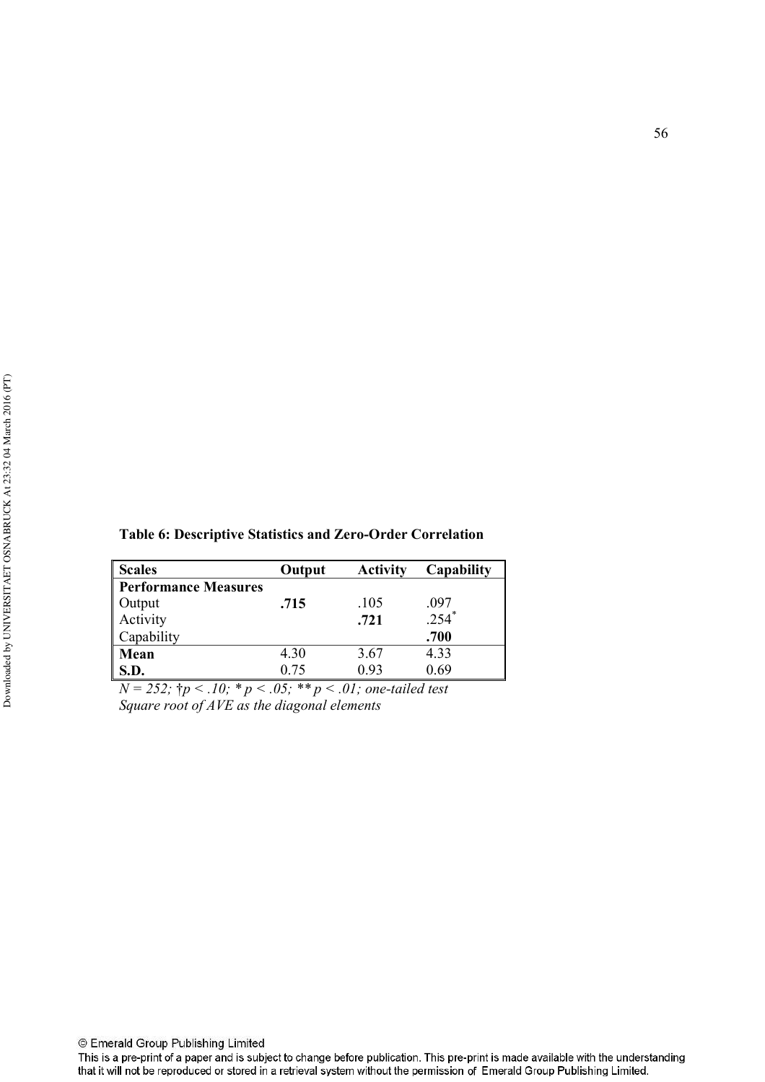| <b>Scales</b>               | Output | <b>Activity</b> | Capability |
|-----------------------------|--------|-----------------|------------|
| <b>Performance Measures</b> |        |                 |            |
| Output                      | .715   | .105            | .097       |
| Activity                    |        | .721            | $.254*$    |
| Capability                  |        |                 | .700       |
| Mean                        | 4.30   | 3.67            | 4.33       |
| <b>S.D.</b>                 | 0.75   | 0.93            | 0.69       |

 $N = 252$ ;  $\dagger p < .10$ ;  $\dagger p < .05$ ;  $\dagger \dagger p < .01$ ; one-tailed test Square root of AVE as the diagonal elements

© Emerald Group Publishing Limited

This is a pre-print of a paper and is subject to change before publication. This pre-print is made available with the understanding that it will not be reproduced or stored in a retrieval system without the permission of Emerald Group Publishing Limited.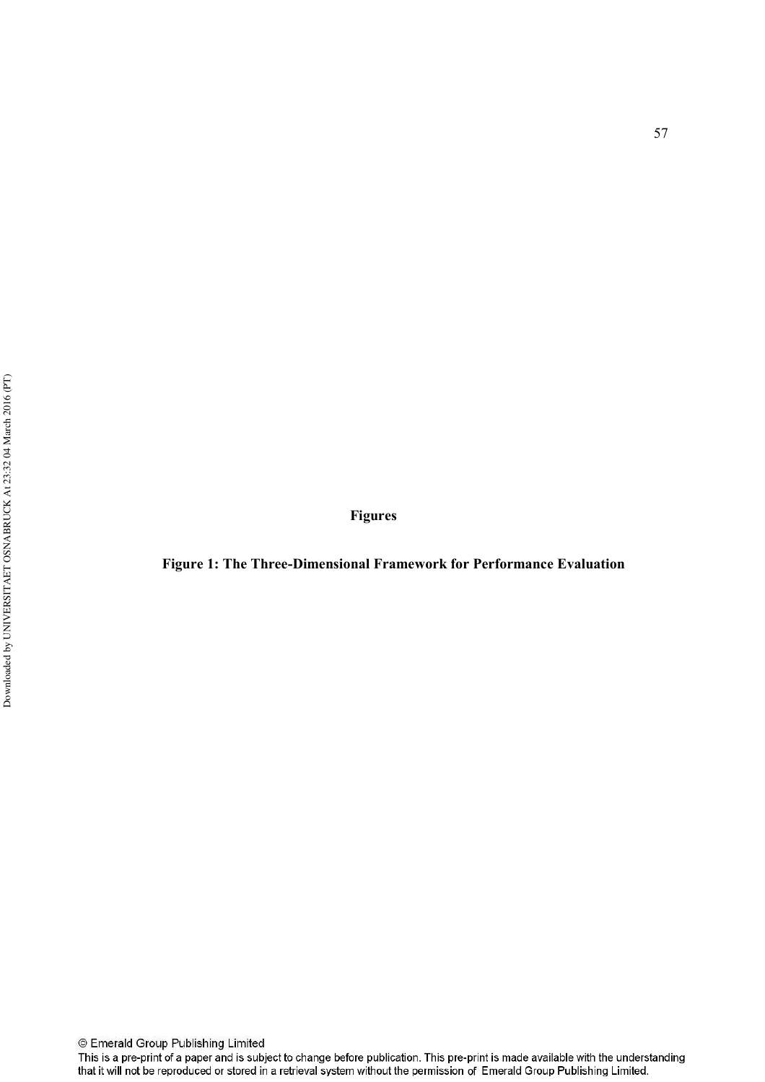**Figures** 

Figure 1: The Three-Dimensional Framework for Performance Evaluation

This is a pre-print of a paper and is subject to change before publication. This pre-print is made available with the understanding that it will not be reproduced or stored in a retrieval system without the permission of Emerald Group Publishing Limited.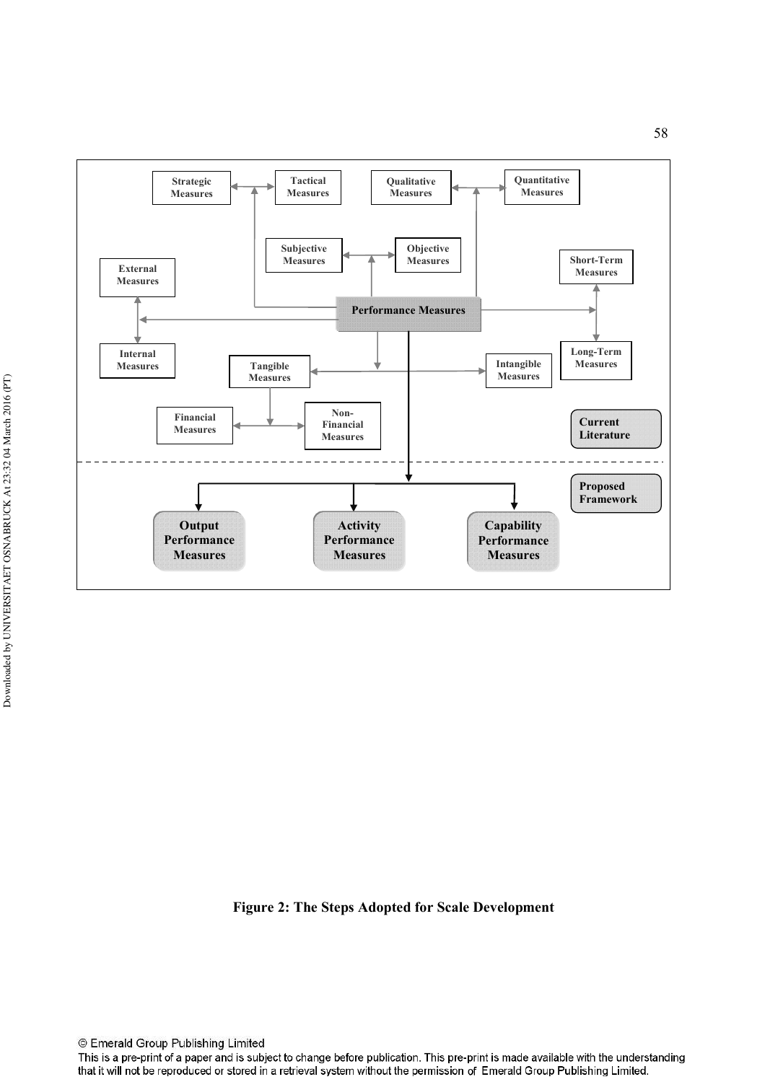

Figure 2: The Steps Adopted for Scale Development

© Emerald Group Publishing Limited

This is a pre-print of a paper and is subject to change before publication. This pre-print is made available with the understanding that it will not be reproduced or stored in a retrieval system without the permission of Emerald Group Publishing Limited.